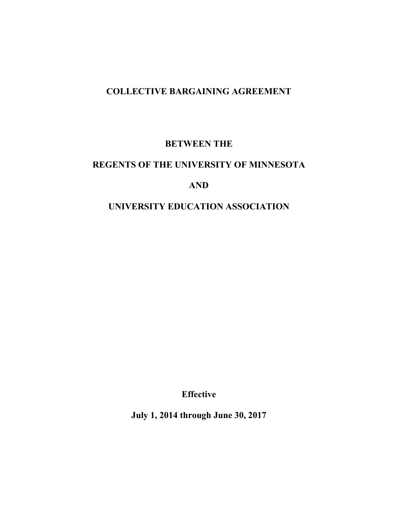# **COLLECTIVE BARGAINING AGREEMENT**

## **BETWEEN THE**

# **REGENTS OF THE UNIVERSITY OF MINNESOTA**

## **AND**

# **UNIVERSITY EDUCATION ASSOCIATION**

**Effective** 

**July 1, 2014 through June 30, 2017**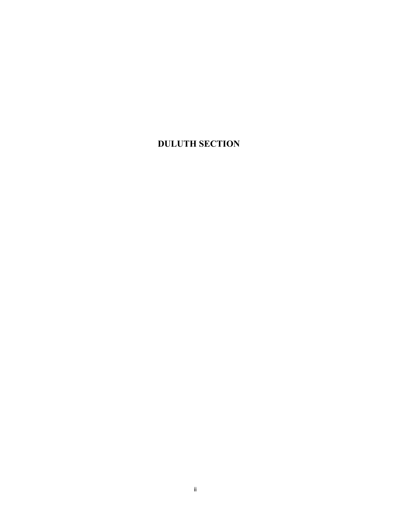# **DULUTH SECTION**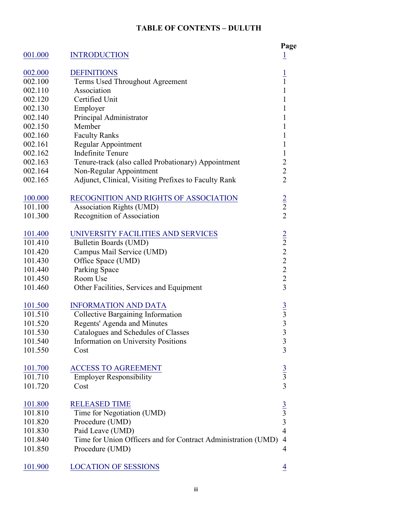### **TABLE OF CONTENTS – DULUTH**

|                |                                                               | Page                                            |
|----------------|---------------------------------------------------------------|-------------------------------------------------|
| 001.000        | <b>INTRODUCTION</b>                                           | $\overline{1}$                                  |
| 002.000        | <b>DEFINITIONS</b>                                            |                                                 |
| 002.100        | Terms Used Throughout Agreement                               | $\frac{1}{1}$                                   |
| 002.110        | Association                                                   | $\mathbf{1}$                                    |
| 002.120        | Certified Unit                                                | $\mathbf{1}$                                    |
| 002.130        | Employer                                                      | $\mathbf{1}$                                    |
| 002.140        | Principal Administrator                                       | $\mathbf{1}$                                    |
| 002.150        | Member                                                        | 1                                               |
| 002.160        | <b>Faculty Ranks</b>                                          | $\mathbf{1}$                                    |
| 002.161        | Regular Appointment                                           | 1                                               |
| 002.162        | <b>Indefinite Tenure</b>                                      | $\mathbf{1}$                                    |
| 002.163        | Tenure-track (also called Probationary) Appointment           | $\overline{c}$                                  |
| 002.164        | Non-Regular Appointment                                       |                                                 |
| 002.165        | Adjunct, Clinical, Visiting Prefixes to Faculty Rank          | $\frac{2}{2}$                                   |
|                |                                                               |                                                 |
| 100.000        | RECOGNITION AND RIGHTS OF ASSOCIATION                         |                                                 |
| 101.100        | <b>Association Rights (UMD)</b>                               | $\frac{2}{2}$                                   |
| 101.300        | Recognition of Association                                    |                                                 |
| 101.400        | UNIVERSITY FACILITIES AND SERVICES                            |                                                 |
| 101.410        | Bulletin Boards (UMD)                                         |                                                 |
| 101.420        | Campus Mail Service (UMD)                                     | $\frac{2}{2}$<br>$\frac{2}{2}$<br>$\frac{2}{2}$ |
| 101.430        | Office Space (UMD)                                            |                                                 |
| 101.440        | <b>Parking Space</b>                                          |                                                 |
| 101.450        | Room Use                                                      |                                                 |
| 101.460        | Other Facilities, Services and Equipment                      | $\overline{3}$                                  |
|                |                                                               |                                                 |
| 101.500        | <b>INFORMATION AND DATA</b>                                   |                                                 |
| 101.510        | <b>Collective Bargaining Information</b>                      | $\frac{3}{3}$                                   |
| 101.520        | Regents' Agenda and Minutes                                   |                                                 |
| 101.530        | Catalogues and Schedules of Classes                           | $\overline{3}$                                  |
| 101.540        | Information on University Positions                           | $\mathfrak{Z}$                                  |
| 101.550        | Cost                                                          | 3                                               |
| <u>101.700</u> | <b>ACCESS TO AGREEMENT</b>                                    |                                                 |
| 101.710        | <b>Employer Responsibility</b>                                |                                                 |
| 101.720        | Cost                                                          | $\frac{3}{3}$                                   |
|                |                                                               |                                                 |
| 101.800        | <b>RELEASED TIME</b>                                          |                                                 |
| 101.810        | Time for Negotiation (UMD)                                    | $\frac{3}{3}$                                   |
| 101.820        | Procedure (UMD)                                               |                                                 |
| 101.830        | Paid Leave (UMD)                                              | $\overline{4}$                                  |
| 101.840        | Time for Union Officers and for Contract Administration (UMD) | $\overline{4}$                                  |
| 101.850        | Procedure (UMD)                                               | 4                                               |
| 101.900        | <b>LOCATION OF SESSIONS</b>                                   | 4                                               |
|                |                                                               |                                                 |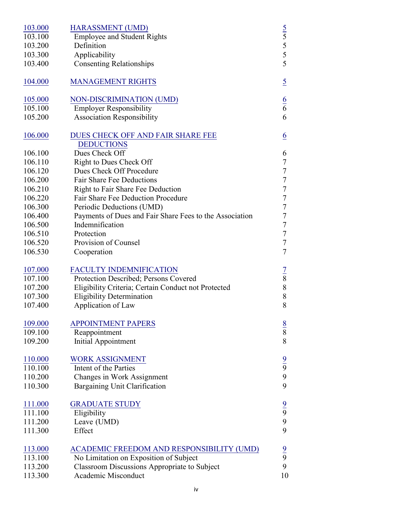| 103.000 | <b>HARASSMENT (UMD)</b>                                 |                             |
|---------|---------------------------------------------------------|-----------------------------|
| 103.100 | <b>Employee and Student Rights</b>                      |                             |
| 103.200 | Definition                                              | $\frac{5}{5}$ $\frac{5}{5}$ |
| 103.300 | Applicability                                           |                             |
| 103.400 | <b>Consenting Relationships</b>                         | 5                           |
|         |                                                         |                             |
| 104.000 | <b>MANAGEMENT RIGHTS</b>                                | $\overline{5}$              |
|         |                                                         |                             |
| 105.000 | NON-DISCRIMINATION (UMD)                                | $\frac{6}{6}$               |
| 105.100 | <b>Employer Responsibility</b>                          |                             |
| 105.200 | <b>Association Responsibility</b>                       | 6                           |
|         |                                                         |                             |
| 106.000 | DUES CHECK OFF AND FAIR SHARE FEE                       | $\underline{6}$             |
|         | <b>DEDUCTIONS</b>                                       |                             |
| 106.100 | Dues Check Off                                          | 6                           |
| 106.110 | Right to Dues Check Off                                 | $\sqrt{ }$                  |
| 106.120 | Dues Check Off Procedure                                | $\sqrt{ }$                  |
| 106.200 | <b>Fair Share Fee Deductions</b>                        | $\sqrt{ }$                  |
| 106.210 | Right to Fair Share Fee Deduction                       | $\sqrt{ }$                  |
| 106.220 | Fair Share Fee Deduction Procedure                      | $\sqrt{ }$                  |
| 106.300 | Periodic Deductions (UMD)                               | $\boldsymbol{7}$            |
| 106.400 | Payments of Dues and Fair Share Fees to the Association | $\overline{7}$              |
| 106.500 | Indemnification                                         | $\overline{7}$              |
| 106.510 | Protection                                              | $\sqrt{ }$                  |
| 106.520 | Provision of Counsel                                    | $\overline{7}$              |
| 106.530 | Cooperation                                             | $\overline{7}$              |
|         |                                                         |                             |
| 107.000 | <b>FACULTY INDEMNIFICATION</b>                          | $\frac{7}{8}$               |
| 107.100 | Protection Described; Persons Covered                   |                             |
| 107.200 | Eligibility Criteria; Certain Conduct not Protected     | 8                           |
| 107.300 | <b>Eligibility Determination</b>                        | 8                           |
| 107.400 | Application of Law                                      | 8                           |
| 109.000 | <b>APPOINTMENT PAPERS</b>                               |                             |
| 109.100 | Reappointment                                           | $\frac{8}{8}$               |
| 109.200 | <b>Initial Appointment</b>                              | 8                           |
|         |                                                         |                             |
| 110.000 | <b>WORK ASSIGNMENT</b>                                  |                             |
| 110.100 | Intent of the Parties                                   | $\frac{9}{9}$               |
| 110.200 | Changes in Work Assignment                              | 9                           |
| 110.300 | <b>Bargaining Unit Clarification</b>                    | 9                           |
|         |                                                         |                             |
| 111.000 | <b>GRADUATE STUDY</b>                                   |                             |
| 111.100 | Eligibility                                             | $\frac{9}{9}$               |
| 111.200 | Leave (UMD)                                             | 9                           |
| 111.300 | Effect                                                  | 9                           |
|         |                                                         |                             |
| 113.000 | ACADEMIC FREEDOM AND RESPONSIBILITY (UMD)               | $\frac{9}{9}$               |
| 113.100 | No Limitation on Exposition of Subject                  |                             |
| 113.200 | <b>Classroom Discussions Appropriate to Subject</b>     | 9                           |
| 113.300 | Academic Misconduct                                     | 10                          |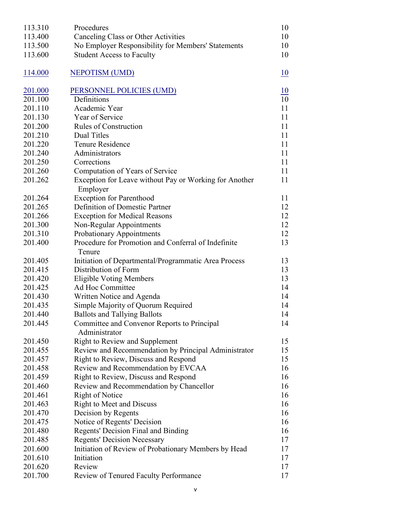| 113.310 | Procedures                                                         | 10 |
|---------|--------------------------------------------------------------------|----|
| 113.400 | Canceling Class or Other Activities                                | 10 |
| 113.500 | No Employer Responsibility for Members' Statements                 | 10 |
| 113.600 | <b>Student Access to Faculty</b>                                   | 10 |
| 114.000 | <b>NEPOTISM (UMD)</b>                                              | 10 |
| 201.000 | PERSONNEL POLICIES (UMD)                                           | 10 |
| 201.100 | Definitions                                                        | 10 |
| 201.110 | Academic Year                                                      | 11 |
| 201.130 | Year of Service                                                    | 11 |
| 201.200 | <b>Rules of Construction</b>                                       | 11 |
| 201.210 | Dual Titles                                                        | 11 |
| 201.220 | Tenure Residence                                                   | 11 |
| 201.240 | Administrators                                                     | 11 |
| 201.250 | Corrections                                                        | 11 |
| 201.260 | Computation of Years of Service                                    | 11 |
| 201.262 | Exception for Leave without Pay or Working for Another<br>Employer | 11 |
| 201.264 | <b>Exception for Parenthood</b>                                    | 11 |
| 201.265 | Definition of Domestic Partner                                     | 12 |
| 201.266 | <b>Exception for Medical Reasons</b>                               | 12 |
| 201.300 | Non-Regular Appointments                                           | 12 |
| 201.310 | Probationary Appointments                                          | 12 |
| 201.400 | Procedure for Promotion and Conferral of Indefinite<br>Tenure      | 13 |
| 201.405 | Initiation of Departmental/Programmatic Area Process               | 13 |
| 201.415 | Distribution of Form                                               | 13 |
| 201.420 | <b>Eligible Voting Members</b>                                     | 13 |
| 201.425 | Ad Hoc Committee                                                   | 14 |
| 201.430 | Written Notice and Agenda                                          | 14 |
| 201.435 | Simple Majority of Quorum Required                                 | 14 |
| 201.440 | <b>Ballots and Tallying Ballots</b>                                | 14 |
| 201.445 | Committee and Convenor Reports to Principal<br>Administrator       | 14 |
| 201.450 | Right to Review and Supplement                                     | 15 |
| 201.455 | Review and Recommendation by Principal Administrator               | 15 |
| 201.457 | Right to Review, Discuss and Respond                               | 15 |
| 201.458 | Review and Recommendation by EVCAA                                 | 16 |
| 201.459 | Right to Review, Discuss and Respond                               | 16 |
| 201.460 | Review and Recommendation by Chancellor                            | 16 |
| 201.461 | Right of Notice                                                    | 16 |
| 201.463 | <b>Right to Meet and Discuss</b>                                   | 16 |
| 201.470 | Decision by Regents                                                | 16 |
| 201.475 | Notice of Regents' Decision                                        | 16 |
| 201.480 | Regents' Decision Final and Binding                                | 16 |
| 201.485 | <b>Regents' Decision Necessary</b>                                 | 17 |
| 201.600 | Initiation of Review of Probationary Members by Head               | 17 |
| 201.610 | Initiation                                                         | 17 |
| 201.620 | Review                                                             | 17 |
| 201.700 | Review of Tenured Faculty Performance                              | 17 |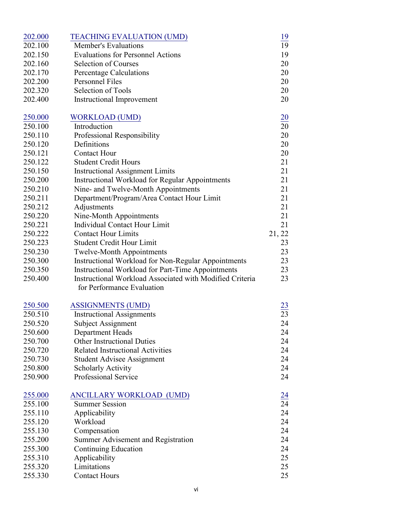| 202.000 | <b>TEACHING EVALUATION (UMD)</b>                           | <u> 19</u>      |
|---------|------------------------------------------------------------|-----------------|
| 202.100 | <b>Member's Evaluations</b>                                | 19              |
| 202.150 | <b>Evaluations for Personnel Actions</b>                   | 19              |
| 202.160 | <b>Selection of Courses</b>                                | 20              |
| 202.170 | <b>Percentage Calculations</b>                             | 20              |
| 202.200 | Personnel Files                                            | 20              |
| 202.320 | Selection of Tools                                         | 20              |
| 202.400 | <b>Instructional Improvement</b>                           | 20              |
| 250.000 | <b>WORKLOAD (UMD)</b>                                      | $\overline{20}$ |
| 250.100 | Introduction                                               | $\overline{20}$ |
| 250.110 | Professional Responsibility                                | 20              |
| 250.120 | Definitions                                                | 20              |
| 250.121 | <b>Contact Hour</b>                                        | 20              |
| 250.122 | <b>Student Credit Hours</b>                                | 21              |
| 250.150 | <b>Instructional Assignment Limits</b>                     | 21              |
| 250.200 | <b>Instructional Workload for Regular Appointments</b>     | 21              |
| 250.210 | Nine- and Twelve-Month Appointments                        | 21              |
| 250.211 | Department/Program/Area Contact Hour Limit                 | 21              |
| 250.212 | Adjustments                                                | 21              |
| 250.220 | Nine-Month Appointments                                    | 21              |
| 250.221 | Individual Contact Hour Limit                              | 21              |
| 250.222 | <b>Contact Hour Limits</b>                                 | 21, 22          |
| 250.223 | <b>Student Credit Hour Limit</b>                           | 23              |
| 250.230 | <b>Twelve-Month Appointments</b>                           | 23              |
| 250.300 | <b>Instructional Workload for Non-Regular Appointments</b> | 23              |
| 250.350 | Instructional Workload for Part-Time Appointments          | 23              |
| 250.400 | Instructional Workload Associated with Modified Criteria   | 23              |
|         | for Performance Evaluation                                 |                 |
| 250.500 | <b>ASSIGNMENTS (UMD)</b>                                   | $\frac{23}{23}$ |
| 250.510 | <b>Instructional Assignments</b>                           |                 |
| 250.520 | <b>Subject Assignment</b>                                  | 24              |
| 250.600 | Department Heads                                           | 24              |
| 250.700 | <b>Other Instructional Duties</b>                          | 24              |
| 250.720 | <b>Related Instructional Activities</b>                    | 24              |
| 250.730 | <b>Student Advisee Assignment</b>                          | 24              |
| 250.800 | <b>Scholarly Activity</b>                                  | 24              |
| 250.900 | Professional Service                                       | 24              |
| 255.000 | ANCILLARY WORKLOAD (UMD)                                   | $\frac{24}{24}$ |
| 255.100 | <b>Summer Session</b>                                      |                 |
| 255.110 | Applicability                                              | 24              |
| 255.120 | Workload                                                   | 24              |
| 255.130 | Compensation                                               | 24              |
| 255.200 | Summer Advisement and Registration                         | 24              |
| 255.300 | Continuing Education                                       | 24              |
| 255.310 | Applicability                                              | 25              |
| 255.320 | Limitations                                                | 25              |
| 255.330 | <b>Contact Hours</b>                                       | 25              |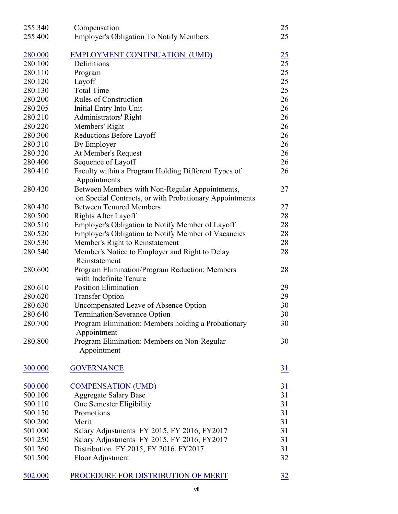| 255.340 | Compensation                                               | 25              |
|---------|------------------------------------------------------------|-----------------|
| 255.400 | <b>Employer's Obligation To Notify Members</b>             | 25              |
|         |                                                            |                 |
| 280.000 | EMPLOYMENT CONTINUATION (UMD)                              | $\frac{25}{2}$  |
| 280.100 | Definitions                                                | 25              |
| 280.110 | Program                                                    | 25              |
| 280.120 | Layoff                                                     | 25              |
| 280.130 | <b>Total Time</b>                                          | 25              |
| 280.200 | <b>Rules of Construction</b>                               | 26              |
| 280.205 | Initial Entry Into Unit                                    | 26              |
| 280.210 | Administrators' Right                                      | 26              |
| 280.220 | Members' Right                                             | 26              |
| 280.300 | Reductions Before Layoff                                   | 26              |
| 280.310 | By Employer                                                | 26              |
| 280.320 | At Member's Request                                        | 26              |
| 280.400 | Sequence of Layoff                                         | 26              |
| 280.410 | Faculty within a Program Holding Different Types of        | 26              |
|         | Appointments                                               |                 |
| 280.420 | Between Members with Non-Regular Appointments,             | 27              |
|         |                                                            |                 |
|         | on Special Contracts, or with Probationary Appointments    |                 |
| 280.430 | <b>Between Tenured Members</b>                             | 27              |
| 280.500 | Rights After Layoff                                        | 28              |
| 280.510 | Employer's Obligation to Notify Member of Layoff           | 28              |
| 280.520 | <b>Employer's Obligation to Notify Member of Vacancies</b> | 28              |
| 280.530 | Member's Right to Reinstatement                            | 28              |
| 280.540 | Member's Notice to Employer and Right to Delay             | 28              |
|         | Reinstatement                                              |                 |
| 280.600 | Program Elimination/Program Reduction: Members             | 28              |
|         | with Indefinite Tenure                                     |                 |
| 280.610 | <b>Position Elimination</b>                                | 29              |
| 280.620 | <b>Transfer Option</b>                                     | 29              |
| 280.630 | Uncompensated Leave of Absence Option                      | 30              |
| 280.640 | <b>Termination/Severance Option</b>                        | 30              |
| 280.700 | Program Elimination: Members holding a Probationary        | 30              |
|         | Appointment                                                |                 |
| 280.800 | Program Elimination: Members on Non-Regular                | 30              |
|         | Appointment                                                |                 |
|         |                                                            |                 |
| 300.000 | <b>GOVERNANCE</b>                                          | <u>31</u>       |
|         |                                                            |                 |
| 500.000 | <b>COMPENSATION (UMD)</b>                                  | <u>31</u><br>31 |
| 500.100 | <b>Aggregate Salary Base</b>                               |                 |
| 500.110 | One Semester Eligibility                                   | 31              |
| 500.150 | Promotions                                                 | 31              |
| 500.200 | Merit                                                      | 31              |
| 501.000 | Salary Adjustments FY 2015, FY 2016, FY 2017               | 31              |
| 501.250 | Salary Adjustments FY 2015, FY 2016, FY2017                | 31              |
| 501.260 | Distribution FY 2015, FY 2016, FY 2017                     | 31              |
| 501.500 | Floor Adjustment                                           | 32              |
|         |                                                            |                 |
| 502.000 | PROCEDURE FOR DISTRIBUTION OF MERIT                        | 32              |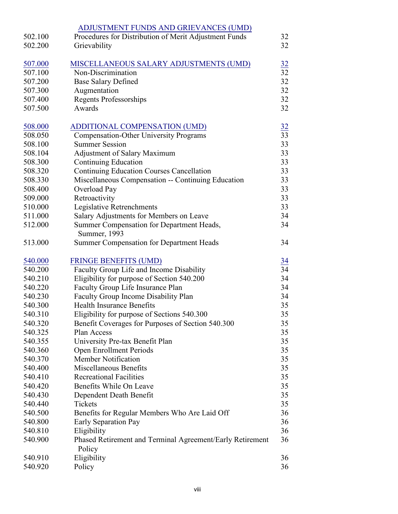|         | ADJUSTMENT FUNDS AND GRIEVANCES (UMD)                     |                 |
|---------|-----------------------------------------------------------|-----------------|
| 502.100 | Procedures for Distribution of Merit Adjustment Funds     | 32              |
| 502.200 | Grievability                                              | 32              |
|         |                                                           |                 |
| 507.000 | MISCELLANEOUS SALARY ADJUSTMENTS (UMD)                    | $\frac{32}{2}$  |
| 507.100 | Non-Discrimination                                        | $\overline{32}$ |
| 507.200 | <b>Base Salary Defined</b>                                | 32              |
| 507.300 | Augmentation                                              | 32              |
| 507.400 | <b>Regents Professorships</b>                             | 32              |
| 507.500 | Awards                                                    | 32              |
|         |                                                           |                 |
| 508.000 | ADDITIONAL COMPENSATION (UMD)                             | $\frac{32}{2}$  |
| 508.050 | <b>Compensation-Other University Programs</b>             | 33              |
| 508.100 | <b>Summer Session</b>                                     | 33              |
| 508.104 | <b>Adjustment of Salary Maximum</b>                       | 33              |
| 508.300 | Continuing Education                                      | 33              |
| 508.320 | <b>Continuing Education Courses Cancellation</b>          | 33              |
| 508.330 | Miscellaneous Compensation -- Continuing Education        | 33              |
| 508.400 | Overload Pay                                              | 33              |
| 509.000 | Retroactivity                                             | 33              |
| 510.000 | Legislative Retrenchments                                 | 33              |
| 511.000 | Salary Adjustments for Members on Leave                   | 34              |
| 512.000 | Summer Compensation for Department Heads,                 | 34              |
|         | Summer, 1993                                              |                 |
| 513.000 | Summer Compensation for Department Heads                  | 34              |
|         |                                                           |                 |
| 540.000 | <b>FRINGE BENEFITS (UMD)</b>                              | $\frac{34}{5}$  |
| 540.200 | Faculty Group Life and Income Disability                  | 34              |
| 540.210 | Eligibility for purpose of Section 540.200                | 34              |
| 540.220 | Faculty Group Life Insurance Plan                         | 34              |
| 540.230 | Faculty Group Income Disability Plan                      | 34              |
| 540.300 | <b>Health Insurance Benefits</b>                          | 35              |
| 540.310 | Eligibility for purpose of Sections 540.300               | 35              |
| 540.320 | Benefit Coverages for Purposes of Section 540.300         | 35              |
| 540.325 | Plan Access                                               | 35              |
| 540.355 | University Pre-tax Benefit Plan                           | 35              |
| 540.360 | <b>Open Enrollment Periods</b>                            | 35              |
| 540.370 | <b>Member Notification</b>                                | 35              |
| 540.400 | Miscellaneous Benefits                                    | 35              |
| 540.410 | <b>Recreational Facilities</b>                            | 35              |
| 540.420 | Benefits While On Leave                                   | 35              |
| 540.430 | Dependent Death Benefit                                   | 35              |
| 540.440 | Tickets                                                   | 35              |
| 540.500 | Benefits for Regular Members Who Are Laid Off             | 36              |
| 540.800 | Early Separation Pay                                      | 36              |
| 540.810 | Eligibility                                               | 36              |
| 540.900 | Phased Retirement and Terminal Agreement/Early Retirement | 36              |
|         | Policy                                                    |                 |
| 540.910 | Eligibility                                               | 36              |
| 540.920 | Policy                                                    | 36              |
|         |                                                           |                 |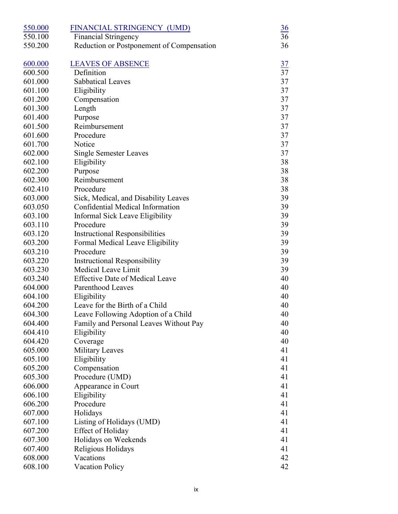| 550.000 | FINANCIAL STRINGENCY (UMD)                | $\frac{36}{5}$ |
|---------|-------------------------------------------|----------------|
| 550.100 | <b>Financial Stringency</b>               | 36             |
| 550.200 | Reduction or Postponement of Compensation | 36             |
| 600.000 | <b>LEAVES OF ABSENCE</b>                  | <u>37</u>      |
| 600.500 | Definition                                | 37             |
| 601.000 | <b>Sabbatical Leaves</b>                  | 37             |
| 601.100 | Eligibility                               | 37             |
| 601.200 | Compensation                              | 37             |
| 601.300 | Length                                    | 37             |
| 601.400 | Purpose                                   | 37             |
| 601.500 | Reimbursement                             | 37             |
| 601.600 | Procedure                                 | 37             |
| 601.700 | Notice                                    | 37             |
| 602.000 | <b>Single Semester Leaves</b>             | 37             |
| 602.100 | Eligibility                               | 38             |
| 602.200 | Purpose                                   | 38             |
| 602.300 | Reimbursement                             | 38             |
| 602.410 | Procedure                                 | 38             |
| 603.000 | Sick, Medical, and Disability Leaves      | 39             |
| 603.050 | Confidential Medical Information          | 39             |
| 603.100 | Informal Sick Leave Eligibility           | 39             |
| 603.110 | Procedure                                 | 39             |
| 603.120 | <b>Instructional Responsibilities</b>     | 39             |
| 603.200 | Formal Medical Leave Eligibility          | 39             |
| 603.210 | Procedure                                 | 39             |
| 603.220 | <b>Instructional Responsibility</b>       | 39             |
| 603.230 | Medical Leave Limit                       | 39             |
| 603.240 | <b>Effective Date of Medical Leave</b>    | 40             |
| 604.000 | Parenthood Leaves                         | 40             |
| 604.100 | Eligibility                               | 40             |
| 604.200 | Leave for the Birth of a Child            | 40             |
| 604.300 | Leave Following Adoption of a Child       | 40             |
| 604.400 | Family and Personal Leaves Without Pay    | 40             |
| 604.410 | Eligibility                               | 40             |
| 604.420 | Coverage                                  | 40             |
| 605.000 | <b>Military Leaves</b>                    | 41             |
| 605.100 | Eligibility                               | 41             |
| 605.200 | Compensation                              | 41             |
| 605.300 | Procedure (UMD)                           | 41             |
| 606.000 | Appearance in Court                       | 41             |
| 606.100 | Eligibility                               | 41             |
| 606.200 | Procedure                                 | 41             |
| 607.000 | Holidays                                  | 41             |
| 607.100 | Listing of Holidays (UMD)                 | 41             |
| 607.200 | Effect of Holiday                         | 41             |
| 607.300 | Holidays on Weekends                      | 41             |
| 607.400 | Religious Holidays                        | 41             |
| 608.000 | Vacations                                 | 42             |
| 608.100 | <b>Vacation Policy</b>                    | 42             |
|         |                                           |                |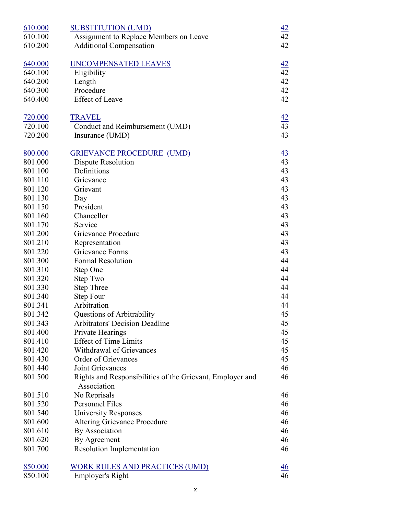| 610.000 | <b>SUBSTITUTION (UMD)</b>                                 | $\frac{42}{5}$  |
|---------|-----------------------------------------------------------|-----------------|
| 610.100 | Assignment to Replace Members on Leave                    | $\overline{42}$ |
| 610.200 | <b>Additional Compensation</b>                            | 42              |
|         |                                                           |                 |
| 640.000 | <b>UNCOMPENSATED LEAVES</b>                               | $\frac{42}{5}$  |
| 640.100 | Eligibility                                               | 42              |
| 640.200 | Length                                                    | 42              |
| 640.300 | Procedure                                                 | 42              |
| 640.400 | <b>Effect of Leave</b>                                    | 42              |
| 720.000 | <b>TRAVEL</b>                                             |                 |
| 720.100 | Conduct and Reimbursement (UMD)                           | $\frac{42}{43}$ |
| 720.200 | Insurance (UMD)                                           | 43              |
| 800.000 | <b>GRIEVANCE PROCEDURE (UMD)</b>                          | $\frac{43}{5}$  |
| 801.000 | Dispute Resolution                                        | 43              |
| 801.100 | Definitions                                               | 43              |
| 801.110 | Grievance                                                 | 43              |
| 801.120 | Grievant                                                  | 43              |
| 801.130 | Day                                                       | 43              |
| 801.150 | President                                                 | 43              |
| 801.160 | Chancellor                                                | 43              |
| 801.170 | Service                                                   | 43              |
| 801.200 | Grievance Procedure                                       | 43              |
| 801.210 | Representation                                            | 43              |
| 801.220 | Grievance Forms                                           | 43              |
| 801.300 | <b>Formal Resolution</b>                                  | 44              |
| 801.310 | Step One                                                  | 44              |
| 801.320 | Step Two                                                  | 44              |
| 801.330 | <b>Step Three</b>                                         | 44              |
| 801.340 | <b>Step Four</b>                                          | 44              |
| 801.341 | Arbitration                                               | 44              |
| 801.342 | Questions of Arbitrability                                | 45              |
| 801.343 | <b>Arbitrators' Decision Deadline</b>                     | 45              |
| 801.400 | Private Hearings                                          | 45              |
| 801.410 | <b>Effect of Time Limits</b>                              | 45              |
| 801.420 | Withdrawal of Grievances                                  | 45              |
| 801.430 | Order of Grievances                                       | 45              |
| 801.440 | Joint Grievances                                          | 46              |
| 801.500 | Rights and Responsibilities of the Grievant, Employer and | 46              |
|         | Association                                               |                 |
| 801.510 | No Reprisals                                              | 46              |
| 801.520 | Personnel Files                                           | 46              |
| 801.540 | <b>University Responses</b>                               | 46              |
| 801.600 | Altering Grievance Procedure                              | 46              |
| 801.610 | By Association                                            | 46              |
| 801.620 | By Agreement                                              | 46              |
| 801.700 | <b>Resolution Implementation</b>                          | 46              |
| 850.000 | <b>WORK RULES AND PRACTICES (UMD)</b>                     | $\frac{46}{5}$  |
| 850.100 | <b>Employer's Right</b>                                   | 46              |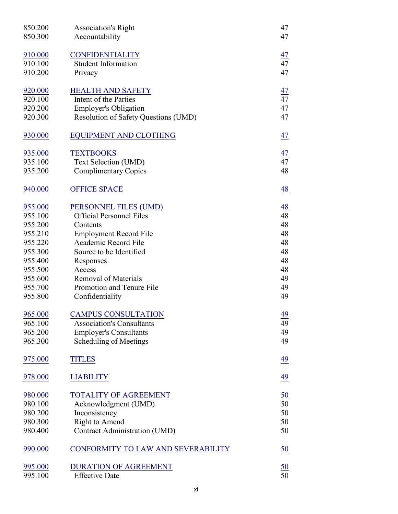| 850.200<br>850.300 | <b>Association's Right</b><br>Accountability | 47<br>47        |
|--------------------|----------------------------------------------|-----------------|
|                    |                                              |                 |
| 910.000            | <b>CONFIDENTIALITY</b>                       | <u>47</u>       |
| 910.100            | <b>Student Information</b>                   | 47              |
| 910.200            | Privacy                                      | 47              |
| 920.000            | <b>HEALTH AND SAFETY</b>                     | 47              |
| 920.100            | Intent of the Parties                        | 47              |
| 920.200            | <b>Employer's Obligation</b>                 | 47              |
| 920.300            | Resolution of Safety Questions (UMD)         | 47              |
| 930.000            | <b>EQUIPMENT AND CLOTHING</b>                | 47              |
| 935.000            | <b>TEXTBOOKS</b>                             | $\frac{47}{47}$ |
| 935.100            | Text Selection (UMD)                         |                 |
| 935.200            | <b>Complimentary Copies</b>                  | 48              |
| 940.000            | <b>OFFICE SPACE</b>                          | 48              |
| 955.000            | PERSONNEL FILES (UMD)                        | <u>48</u>       |
| 955.100            | <b>Official Personnel Files</b>              | 48              |
| 955.200            | Contents                                     | 48              |
| 955.210            | <b>Employment Record File</b>                | 48              |
| 955.220            | Academic Record File                         | 48              |
| 955.300            | Source to be Identified                      | 48              |
| 955.400            | Responses                                    | 48              |
| 955.500            | Access                                       | 48              |
| 955.600            | <b>Removal of Materials</b>                  | 49              |
| 955.700            | Promotion and Tenure File                    | 49              |
| 955.800            | Confidentiality                              | 49              |
| 965.000            | <b>CAMPUS CONSULTATION</b>                   | $\frac{49}{5}$  |
| 965.100            | <b>Association's Consultants</b>             | 49              |
| 965.200            | <b>Employer's Consultants</b>                | 49              |
| 965.300            | Scheduling of Meetings                       | 49              |
| 975.000            | <b>TITLES</b>                                | 49              |
| 978.000            | <b>LIABILITY</b>                             | 49              |
| 980.000            | <b>TOTALITY OF AGREEMENT</b>                 | $\frac{50}{50}$ |
| 980.100            | Acknowledgment (UMD)                         |                 |
| 980.200            | Inconsistency                                | 50              |
| 980.300            | Right to Amend                               | 50              |
| 980.400            | Contract Administration (UMD)                | 50              |
| 990.000            | CONFORMITY TO LAW AND SEVERABILITY           | 50              |
| 995.000            | <b>DURATION OF AGREEMENT</b>                 |                 |
| 995.100            | <b>Effective Date</b>                        | $\frac{50}{50}$ |
|                    |                                              |                 |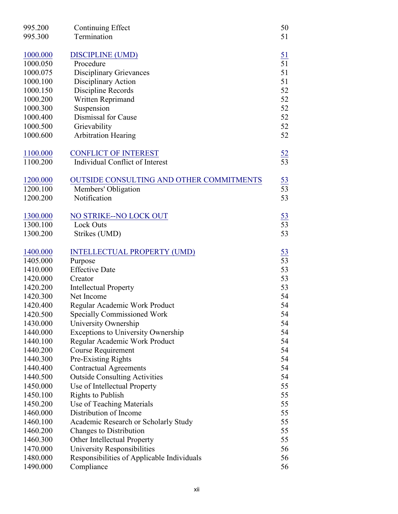| 995.200  | Continuing Effect                               | 50              |
|----------|-------------------------------------------------|-----------------|
| 995.300  | Termination                                     | 51              |
|          |                                                 |                 |
| 1000.000 | <b>DISCIPLINE (UMD)</b>                         | <u>51</u>       |
| 1000.050 | Procedure                                       | $\overline{51}$ |
| 1000.075 | <b>Disciplinary Grievances</b>                  | 51              |
| 1000.100 | Disciplinary Action                             | 51              |
| 1000.150 | Discipline Records                              | 52              |
| 1000.200 | Written Reprimand                               | 52              |
| 1000.300 | Suspension                                      | 52              |
| 1000.400 | Dismissal for Cause                             | 52              |
| 1000.500 | Grievability                                    | 52              |
| 1000.600 | <b>Arbitration Hearing</b>                      | 52              |
| 1100.000 | <b>CONFLICT OF INTEREST</b>                     |                 |
| 1100.200 | Individual Conflict of Interest                 | $\frac{52}{53}$ |
| 1200.000 | <b>OUTSIDE CONSULTING AND OTHER COMMITMENTS</b> |                 |
| 1200.100 | Members' Obligation                             | $\frac{53}{53}$ |
| 1200.200 | Notification                                    | 53              |
|          |                                                 |                 |
| 1300.000 | NO STRIKE--NO LOCK OUT                          |                 |
| 1300.100 | Lock Outs                                       | $\frac{53}{53}$ |
| 1300.200 | Strikes (UMD)                                   | 53              |
|          |                                                 |                 |
| 1400.000 | <b>INTELLECTUAL PROPERTY (UMD)</b>              | $\frac{53}{53}$ |
| 1405.000 | Purpose                                         |                 |
| 1410.000 | <b>Effective Date</b>                           | 53              |
| 1420.000 | Creator                                         | 53              |
| 1420.200 | <b>Intellectual Property</b>                    | 53              |
| 1420.300 | Net Income                                      | 54              |
| 1420.400 | Regular Academic Work Product                   | 54              |
| 1420.500 | <b>Specially Commissioned Work</b>              | 54              |
| 1430.000 | University Ownership                            | 54              |
| 1440.000 | <b>Exceptions to University Ownership</b>       | 54              |
| 1440.100 | Regular Academic Work Product                   | 54              |
| 1440.200 | <b>Course Requirement</b>                       | 54              |
| 1440.300 | Pre-Existing Rights                             | 54              |
| 1440.400 | <b>Contractual Agreements</b>                   | 54              |
| 1440.500 | <b>Outside Consulting Activities</b>            | 54              |
| 1450.000 | Use of Intellectual Property                    | 55              |
| 1450.100 | Rights to Publish                               | 55              |
| 1450.200 | Use of Teaching Materials                       | 55              |
| 1460.000 | Distribution of Income                          | 55              |
| 1460.100 | Academic Research or Scholarly Study            | 55              |
| 1460.200 | Changes to Distribution                         | 55              |
| 1460.300 | Other Intellectual Property                     | 55              |
| 1470.000 | University Responsibilities                     | 56              |
| 1480.000 | Responsibilities of Applicable Individuals      | 56              |
| 1490.000 | Compliance                                      | 56              |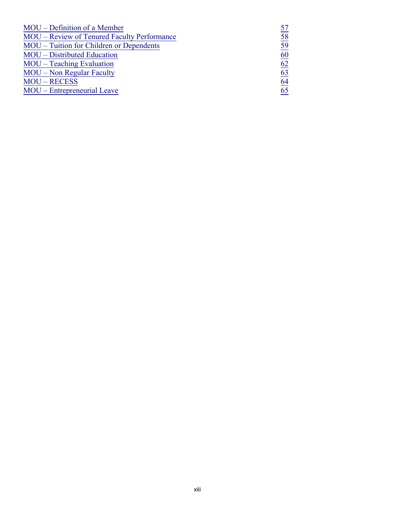| MOU – Definition of a Member                |    |
|---------------------------------------------|----|
| MOU – Review of Tenured Faculty Performance | 58 |
| MOU – Tuition for Children or Dependents    | 59 |
| MOU – Distributed Education                 | 60 |
| MOU – Teaching Evaluation                   | 62 |
| <b>MOU</b> – Non Regular Faculty            | 63 |
| <b>MOU-RECESS</b>                           | 64 |
| MOU – Entrepreneurial Leave                 | 65 |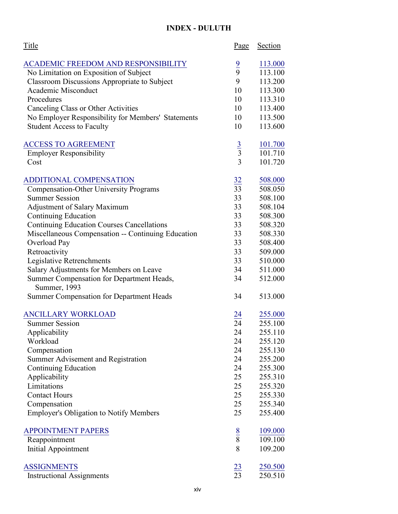## **INDEX - DULUTH**

| Title                                                           | <u>Page</u>     | Section        |
|-----------------------------------------------------------------|-----------------|----------------|
| <b>ACADEMIC FREEDOM AND RESPONSIBILITY</b>                      |                 | 113.000        |
| No Limitation on Exposition of Subject                          | $\frac{9}{9}$   | 113.100        |
| <b>Classroom Discussions Appropriate to Subject</b>             | 9               | 113.200        |
| Academic Misconduct                                             | 10              | 113.300        |
| Procedures                                                      | 10              | 113.310        |
| Canceling Class or Other Activities                             | 10              | 113.400        |
| No Employer Responsibility for Members' Statements              | 10              | 113.500        |
| <b>Student Access to Faculty</b>                                | 10              | 113.600        |
| <b>ACCESS TO AGREEMENT</b>                                      |                 | <u>101.700</u> |
| <b>Employer Responsibility</b>                                  | $rac{3}{3}$     | 101.710        |
| Cost                                                            | $\overline{3}$  | 101.720        |
| ADDITIONAL COMPENSATION                                         | $\frac{32}{33}$ | 508.000        |
| <b>Compensation-Other University Programs</b>                   |                 | 508.050        |
| <b>Summer Session</b>                                           | 33              | 508.100        |
| <b>Adjustment of Salary Maximum</b>                             | 33              | 508.104        |
| Continuing Education                                            | 33              | 508.300        |
| <b>Continuing Education Courses Cancellations</b>               | 33              | 508.320        |
| Miscellaneous Compensation -- Continuing Education              | 33              | 508.330        |
| Overload Pay                                                    | 33              | 508.400        |
| Retroactivity                                                   | 33              | 509.000        |
| Legislative Retrenchments                                       | 33              | 510.000        |
| Salary Adjustments for Members on Leave                         | 34              | 511.000        |
| Summer Compensation for Department Heads,                       | 34              | 512.000        |
| Summer, 1993<br><b>Summer Compensation for Department Heads</b> | 34              | 513.000        |
|                                                                 |                 |                |
| <b>ANCILLARY WORKLOAD</b>                                       | $\frac{24}{24}$ | 255.000        |
| <b>Summer Session</b>                                           |                 | 255.100        |
| Applicability                                                   | 24              | 255.110        |
| Workload                                                        | 24              | 255.120        |
| Compensation                                                    | 24              | 255.130        |
| Summer Advisement and Registration                              | 24              | 255.200        |
| <b>Continuing Education</b>                                     | 24              | 255.300        |
| Applicability                                                   | 25              | 255.310        |
| Limitations                                                     | 25              | 255.320        |
| <b>Contact Hours</b>                                            | 25              | 255.330        |
| Compensation                                                    | 25              | 255.340        |
| <b>Employer's Obligation to Notify Members</b>                  | 25              | 255.400        |
| <b>APPOINTMENT PAPERS</b>                                       | $\frac{8}{8}$   | 109.000        |
| Reappointment                                                   |                 | 109.100        |
| Initial Appointment                                             | 8               | 109.200        |
| <b>ASSIGNMENTS</b>                                              | $\frac{23}{23}$ | 250.500        |
| <b>Instructional Assignments</b>                                |                 | 250.510        |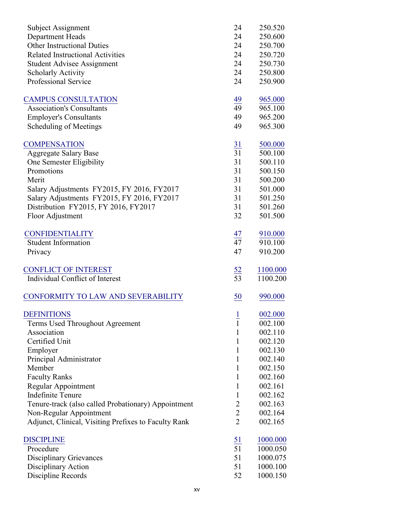| Subject Assignment                                   | 24              | 250.520  |
|------------------------------------------------------|-----------------|----------|
| <b>Department Heads</b>                              | 24              | 250.600  |
| <b>Other Instructional Duties</b>                    | 24              | 250.700  |
| <b>Related Instructional Activities</b>              | 24              | 250.720  |
| <b>Student Advisee Assignment</b>                    | 24              | 250.730  |
| <b>Scholarly Activity</b>                            | 24              | 250.800  |
| <b>Professional Service</b>                          | 24              | 250.900  |
| <b>CAMPUS CONSULTATION</b>                           | $\frac{49}{2}$  | 965.000  |
| <b>Association's Consultants</b>                     | 49              | 965.100  |
| <b>Employer's Consultants</b>                        | 49              | 965.200  |
| Scheduling of Meetings                               | 49              | 965.300  |
| <b>COMPENSATION</b>                                  | $\frac{31}{31}$ | 500.000  |
| <b>Aggregate Salary Base</b>                         |                 | 500.100  |
| One Semester Eligibility                             | 31              | 500.110  |
| Promotions                                           | 31              | 500.150  |
| Merit                                                | 31              | 500.200  |
| Salary Adjustments FY2015, FY 2016, FY2017           | 31              | 501.000  |
| Salary Adjustments FY2015, FY 2016, FY2017           | 31              | 501.250  |
| Distribution FY2015, FY 2016, FY2017                 | 31              | 501.260  |
| Floor Adjustment                                     | 32              | 501.500  |
| <b>CONFIDENTIALITY</b>                               |                 | 910.000  |
| <b>Student Information</b>                           | $\frac{47}{47}$ | 910.100  |
| Privacy                                              | 47              | 910.200  |
| <b>CONFLICT OF INTEREST</b>                          |                 | 1100.000 |
| Individual Conflict of Interest                      | $\frac{52}{53}$ | 1100.200 |
| CONFORMITY TO LAW AND SEVERABILITY                   | 50              | 990.000  |
| <b>DEFINITIONS</b>                                   |                 | 002.000  |
| Terms Used Throughout Agreement                      | $\frac{1}{1}$   | 002.100  |
| Association                                          | 1               | 002.110  |
| Certified Unit                                       | 1               | 002.120  |
| Employer                                             | 1               | 002.130  |
| Principal Administrator                              | 1               | 002.140  |
| Member                                               | 1               | 002.150  |
| <b>Faculty Ranks</b>                                 | 1               | 002.160  |
| Regular Appointment                                  | 1               | 002.161  |
| <b>Indefinite Tenure</b>                             | 1               | 002.162  |
| Tenure-track (also called Probationary) Appointment  | 2               | 002.163  |
| Non-Regular Appointment                              | $\overline{2}$  | 002.164  |
| Adjunct, Clinical, Visiting Prefixes to Faculty Rank | $\overline{2}$  | 002.165  |
| <b>DISCIPLINE</b>                                    | $\overline{51}$ | 1000.000 |
| Procedure                                            | $\overline{51}$ | 1000.050 |
| <b>Disciplinary Grievances</b>                       | 51              | 1000.075 |
| Disciplinary Action                                  | 51              | 1000.100 |
| Discipline Records                                   | 52              | 1000.150 |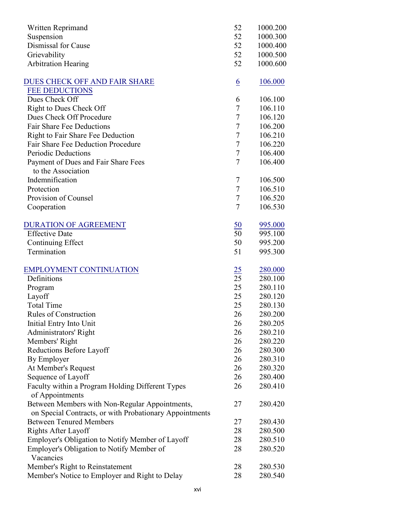| Written Reprimand                                       | 52               | 1000.200 |
|---------------------------------------------------------|------------------|----------|
| Suspension                                              | 52               | 1000.300 |
| Dismissal for Cause                                     | 52               | 1000.400 |
| Grievability                                            | 52               | 1000.500 |
| <b>Arbitration Hearing</b>                              | 52               | 1000.600 |
|                                                         |                  |          |
| DUES CHECK OFF AND FAIR SHARE                           | $\underline{6}$  | 106.000  |
| <b>FEE DEDUCTIONS</b>                                   |                  |          |
| Dues Check Off                                          | 6                | 106.100  |
| Right to Dues Check Off                                 | 7                | 106.110  |
| Dues Check Off Procedure                                | $\boldsymbol{7}$ | 106.120  |
| <b>Fair Share Fee Deductions</b>                        | 7                | 106.200  |
| Right to Fair Share Fee Deduction                       | $\tau$           | 106.210  |
| Fair Share Fee Deduction Procedure                      | $\tau$           | 106.220  |
| <b>Periodic Deductions</b>                              | $\tau$           | 106.400  |
| Payment of Dues and Fair Share Fees                     | $\overline{7}$   | 106.400  |
| to the Association                                      |                  |          |
| Indemnification                                         | 7                | 106.500  |
| Protection                                              | $\tau$           | 106.510  |
| Provision of Counsel                                    | $\tau$           | 106.520  |
| Cooperation                                             | $\overline{7}$   | 106.530  |
| <b>DURATION OF AGREEMENT</b>                            | $\underline{50}$ | 995.000  |
| <b>Effective Date</b>                                   | $\overline{50}$  | 995.100  |
| Continuing Effect                                       | 50               | 995.200  |
| Termination                                             | 51               | 995.300  |
|                                                         |                  |          |
| <b>EMPLOYMENT CONTINUATION</b>                          | 25               | 280.000  |
| Definitions                                             | $\overline{25}$  | 280.100  |
| Program                                                 | 25               | 280.110  |
| Layoff                                                  | 25               | 280.120  |
| <b>Total Time</b>                                       | 25               | 280.130  |
| Rules of Construction                                   | 26               | 280.200  |
| Initial Entry Into Unit                                 | 26               | 280.205  |
| Administrators' Right                                   | 26               | 280.210  |
| Members' Right                                          | 26               | 280.220  |
| Reductions Before Layoff                                | 26               | 280.300  |
| By Employer                                             | 26               | 280.310  |
| At Member's Request                                     | 26               | 280.320  |
| Sequence of Layoff                                      | 26               | 280.400  |
| Faculty within a Program Holding Different Types        | 26               | 280.410  |
| of Appointments                                         |                  |          |
| Between Members with Non-Regular Appointments,          | 27               | 280.420  |
| on Special Contracts, or with Probationary Appointments |                  |          |
| <b>Between Tenured Members</b>                          | 27               | 280.430  |
| Rights After Layoff                                     | 28               | 280.500  |
| Employer's Obligation to Notify Member of Layoff        | 28               | 280.510  |
| Employer's Obligation to Notify Member of               | 28               | 280.520  |
| Vacancies                                               |                  |          |
| Member's Right to Reinstatement                         | 28               | 280.530  |
| Member's Notice to Employer and Right to Delay          | 28               | 280.540  |
|                                                         |                  |          |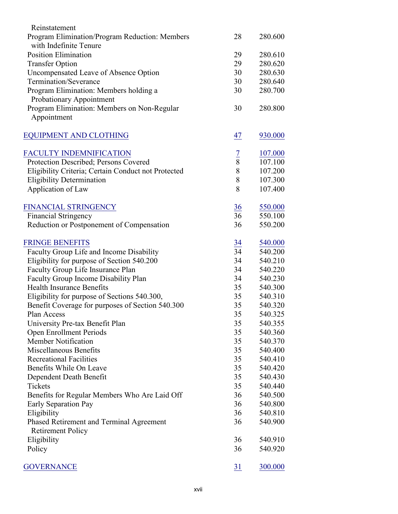| Reinstatement                                       |                 |         |
|-----------------------------------------------------|-----------------|---------|
| Program Elimination/Program Reduction: Members      | 28              | 280.600 |
| with Indefinite Tenure                              |                 |         |
| <b>Position Elimination</b>                         | 29              | 280.610 |
| <b>Transfer Option</b>                              | 29              | 280.620 |
| Uncompensated Leave of Absence Option               | 30              | 280.630 |
| Termination/Severance                               | 30              | 280.640 |
| Program Elimination: Members holding a              | 30              | 280.700 |
| Probationary Appointment                            |                 |         |
| Program Elimination: Members on Non-Regular         | 30              | 280.800 |
| Appointment                                         |                 |         |
|                                                     |                 |         |
| <b>EQUIPMENT AND CLOTHING</b>                       | 47              | 930.000 |
| <b>FACULTY INDEMNIFICATION</b>                      |                 | 107.000 |
| Protection Described; Persons Covered               | $rac{7}{8}$     | 107.100 |
| Eligibility Criteria; Certain Conduct not Protected | 8               | 107.200 |
| <b>Eligibility Determination</b>                    | 8               | 107.300 |
| Application of Law                                  | 8               | 107.400 |
|                                                     |                 |         |
| FINANCIAL STRINGENCY                                | 36              | 550.000 |
| <b>Financial Stringency</b>                         | 36              | 550.100 |
| Reduction or Postponement of Compensation           | 36              | 550.200 |
| <b>FRINGE BENEFITS</b>                              |                 | 540.000 |
| Faculty Group Life and Income Disability            | $\frac{34}{34}$ | 540.200 |
| Eligibility for purpose of Section 540.200          | 34              | 540.210 |
| Faculty Group Life Insurance Plan                   | 34              | 540.220 |
| Faculty Group Income Disability Plan                | 34              | 540.230 |
| <b>Health Insurance Benefits</b>                    | 35              | 540.300 |
| Eligibility for purpose of Sections 540.300,        | 35              | 540.310 |
| Benefit Coverage for purposes of Section 540.300    | 35              | 540.320 |
| Plan Access                                         | 35              | 540.325 |
| University Pre-tax Benefit Plan                     | 35              | 540.355 |
| Open Enrollment Periods                             | 35              | 540.360 |
| Member Notification                                 | 35              | 540.370 |
| Miscellaneous Benefits                              | 35              | 540.400 |
| <b>Recreational Facilities</b>                      | 35              | 540.410 |
| Benefits While On Leave                             | 35              | 540.420 |
| Dependent Death Benefit                             | 35              | 540.430 |
| Tickets                                             | 35              | 540.440 |
| Benefits for Regular Members Who Are Laid Off       | 36              | 540.500 |
| Early Separation Pay                                | 36              | 540.800 |
| Eligibility                                         | 36              | 540.810 |
| Phased Retirement and Terminal Agreement            | 36              | 540.900 |
| <b>Retirement Policy</b>                            |                 |         |
| Eligibility                                         | 36              | 540.910 |
| Policy                                              | 36              | 540.920 |
|                                                     |                 |         |
| <b>GOVERNANCE</b>                                   | 31              | 300.000 |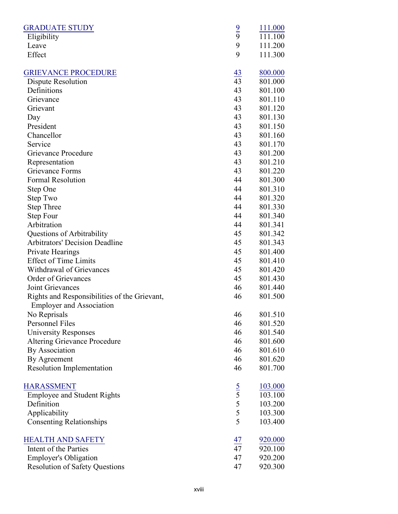| <b>GRADUATE STUDY</b>                                                           |                 | 111.000 |
|---------------------------------------------------------------------------------|-----------------|---------|
| Eligibility                                                                     | $\frac{9}{9}$   | 111.100 |
| Leave                                                                           | 9               | 111.200 |
| Effect                                                                          | 9               | 111.300 |
| <b>GRIEVANCE PROCEDURE</b>                                                      | $\frac{43}{43}$ | 800.000 |
| Dispute Resolution                                                              |                 | 801.000 |
| Definitions                                                                     | 43              | 801.100 |
| Grievance                                                                       | 43              | 801.110 |
| Grievant                                                                        | 43              | 801.120 |
| Day                                                                             | 43              | 801.130 |
| President                                                                       | 43              | 801.150 |
| Chancellor                                                                      | 43              | 801.160 |
| Service                                                                         | 43              | 801.170 |
| Grievance Procedure                                                             | 43              | 801.200 |
| Representation                                                                  | 43              | 801.210 |
| Grievance Forms                                                                 | 43              | 801.220 |
| <b>Formal Resolution</b>                                                        | 44              | 801.300 |
| Step One                                                                        | 44              | 801.310 |
| Step Two                                                                        | 44              | 801.320 |
| <b>Step Three</b>                                                               | 44              | 801.330 |
| Step Four                                                                       | 44              | 801.340 |
| Arbitration                                                                     | 44              | 801.341 |
| Questions of Arbitrability                                                      | 45              | 801.342 |
| <b>Arbitrators' Decision Deadline</b>                                           | 45              | 801.343 |
| Private Hearings                                                                | 45              | 801.400 |
| <b>Effect of Time Limits</b>                                                    | 45              | 801.410 |
| Withdrawal of Grievances                                                        | 45              | 801.420 |
| Order of Grievances                                                             | 45              | 801.430 |
| Joint Grievances                                                                | 46              | 801.440 |
| Rights and Responsibilities of the Grievant,<br><b>Employer and Association</b> | 46              | 801.500 |
| No Reprisals                                                                    | 46              | 801.510 |
| Personnel Files                                                                 | 46              | 801.520 |
| <b>University Responses</b>                                                     | 46              | 801.540 |
| <b>Altering Grievance Procedure</b>                                             | 46              | 801.600 |
| <b>By Association</b>                                                           | 46              | 801.610 |
| By Agreement                                                                    | 46              | 801.620 |
| <b>Resolution Implementation</b>                                                | 46              | 801.700 |
| <b>HARASSMENT</b>                                                               |                 | 103.000 |
| <b>Employee and Student Rights</b>                                              | $rac{5}{5}$     | 103.100 |
| Definition                                                                      | 5               | 103.200 |
| Applicability                                                                   | 5               | 103.300 |
| <b>Consenting Relationships</b>                                                 | 5               | 103.400 |
| <b>HEALTH AND SAFETY</b>                                                        | $\frac{47}{1}$  | 920.000 |
| Intent of the Parties                                                           | 47              | 920.100 |
| <b>Employer's Obligation</b>                                                    | 47              | 920.200 |
| <b>Resolution of Safety Questions</b>                                           | 47              | 920.300 |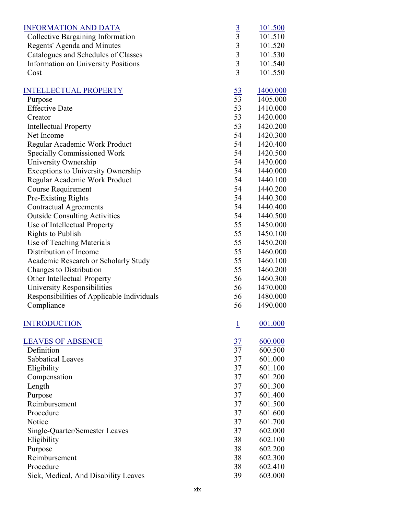| <b>INFORMATION AND DATA</b>                |                    | 101.500  |
|--------------------------------------------|--------------------|----------|
| <b>Collective Bargaining Information</b>   | $rac{3}{3}$        | 101.510  |
| Regents' Agenda and Minutes                | $\overline{3}$     | 101.520  |
| Catalogues and Schedules of Classes        | $\overline{3}$     | 101.530  |
| <b>Information on University Positions</b> | $\mathfrak{Z}$     | 101.540  |
| Cost                                       | 3                  | 101.550  |
| <b>INTELLECTUAL PROPERTY</b>               | $\frac{53}{2}$     | 1400.000 |
| Purpose                                    | $\overline{53}$    | 1405.000 |
| <b>Effective Date</b>                      | 53                 | 1410.000 |
| Creator                                    | 53                 | 1420.000 |
| <b>Intellectual Property</b>               | 53                 | 1420.200 |
| Net Income                                 | 54                 | 1420.300 |
| Regular Academic Work Product              | 54                 | 1420.400 |
| <b>Specially Commissioned Work</b>         | 54                 | 1420.500 |
| University Ownership                       | 54                 | 1430.000 |
| Exceptions to University Ownership         | 54                 | 1440.000 |
| Regular Academic Work Product              | 54                 | 1440.100 |
| Course Requirement                         | 54                 | 1440.200 |
| Pre-Existing Rights                        | 54                 | 1440.300 |
| <b>Contractual Agreements</b>              | 54                 | 1440.400 |
| <b>Outside Consulting Activities</b>       | 54                 | 1440.500 |
| Use of Intellectual Property               | 55                 | 1450.000 |
| <b>Rights to Publish</b>                   | 55                 | 1450.100 |
| Use of Teaching Materials                  | 55                 | 1450.200 |
| Distribution of Income                     | 55                 | 1460.000 |
| Academic Research or Scholarly Study       | 55                 | 1460.100 |
| Changes to Distribution                    | 55                 | 1460.200 |
| Other Intellectual Property                | 56                 | 1460.300 |
| University Responsibilities                | 56                 | 1470.000 |
| Responsibilities of Applicable Individuals | 56                 | 1480.000 |
| Compliance                                 | 56                 | 1490.000 |
| <b>INTRODUCTION</b>                        | $\overline{\perp}$ | 001.000  |
| <b>LEAVES OF ABSENCE</b>                   | $\frac{37}{2}$     | 600.000  |
| Definition                                 | 37                 | 600.500  |
| <b>Sabbatical Leaves</b>                   | 37                 | 601.000  |
| Eligibility                                | 37                 | 601.100  |
| Compensation                               | 37                 | 601.200  |
| Length                                     | 37                 | 601.300  |
| Purpose                                    | 37                 | 601.400  |
| Reimbursement                              | 37                 | 601.500  |
| Procedure                                  | 37                 | 601.600  |
| Notice                                     | 37                 | 601.700  |
| Single-Quarter/Semester Leaves             | 37                 | 602.000  |
| Eligibility                                | 38                 | 602.100  |
| Purpose                                    | 38                 | 602.200  |
| Reimbursement                              | 38                 | 602.300  |
| Procedure                                  | 38                 | 602.410  |
| Sick, Medical, And Disability Leaves       | 39                 | 603.000  |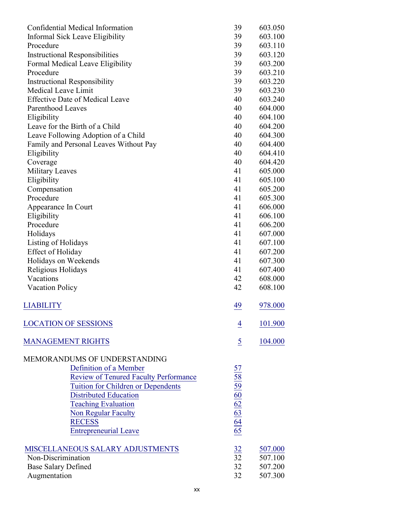| Confidential Medical Information             | 39                                                              | 603.050            |
|----------------------------------------------|-----------------------------------------------------------------|--------------------|
| Informal Sick Leave Eligibility              | 39                                                              | 603.100            |
| Procedure                                    | 39                                                              | 603.110            |
| <b>Instructional Responsibilities</b>        | 39                                                              | 603.120            |
| Formal Medical Leave Eligibility             | 39                                                              | 603.200            |
| Procedure                                    | 39                                                              | 603.210            |
| <b>Instructional Responsibility</b>          | 39                                                              | 603.220            |
| Medical Leave Limit                          | 39                                                              | 603.230            |
| <b>Effective Date of Medical Leave</b>       | 40                                                              | 603.240            |
| Parenthood Leaves                            | 40                                                              | 604.000            |
| Eligibility                                  | 40                                                              | 604.100            |
| Leave for the Birth of a Child               | 40                                                              | 604.200            |
| Leave Following Adoption of a Child          | 40                                                              | 604.300            |
| Family and Personal Leaves Without Pay       | 40                                                              | 604.400            |
| Eligibility                                  | 40                                                              | 604.410            |
| Coverage                                     | 40                                                              | 604.420            |
| <b>Military Leaves</b>                       | 41                                                              | 605.000            |
| Eligibility                                  | 41                                                              | 605.100            |
| Compensation                                 | 41                                                              | 605.200            |
| Procedure                                    | 41                                                              | 605.300            |
| Appearance In Court                          | 41                                                              | 606.000            |
| Eligibility                                  | 41                                                              | 606.100            |
| Procedure                                    | 41                                                              | 606.200            |
| Holidays                                     | 41                                                              | 607.000            |
| Listing of Holidays                          | 41                                                              | 607.100            |
| <b>Effect of Holiday</b>                     | 41                                                              | 607.200            |
| Holidays on Weekends                         | 41                                                              | 607.300            |
| Religious Holidays                           | 41<br>42                                                        | 607.400            |
| Vacations                                    | 42                                                              | 608.000<br>608.100 |
| <b>Vacation Policy</b>                       |                                                                 |                    |
| LIABILITY                                    | 49                                                              | 978.000            |
| <b>LOCATION OF SESSIONS</b>                  | 4                                                               | 101.900            |
| <b>MANAGEMENT RIGHTS</b>                     | $\overline{5}$                                                  | 104.000            |
|                                              |                                                                 |                    |
| MEMORANDUMS OF UNDERSTANDING                 |                                                                 |                    |
| Definition of a Member                       |                                                                 |                    |
| <b>Review of Tenured Faculty Performance</b> | $\frac{57}{58}$ $\frac{59}{60}$ $\frac{60}{62}$ $\frac{62}{65}$ |                    |
| Tuition for Children or Dependents           |                                                                 |                    |
| <b>Distributed Education</b>                 |                                                                 |                    |
| <b>Teaching Evaluation</b>                   |                                                                 |                    |
| Non Regular Faculty                          |                                                                 |                    |
| <b>RECESS</b>                                |                                                                 |                    |
| <b>Entrepreneurial Leave</b>                 |                                                                 |                    |
| MISCELLANEOUS SALARY ADJUSTMENTS             | 32                                                              | 507.000            |
| Non-Discrimination                           | $\overline{3}2$                                                 | 507.100            |
| <b>Base Salary Defined</b>                   | 32                                                              | 507.200            |
| Augmentation                                 | 32                                                              | 507.300            |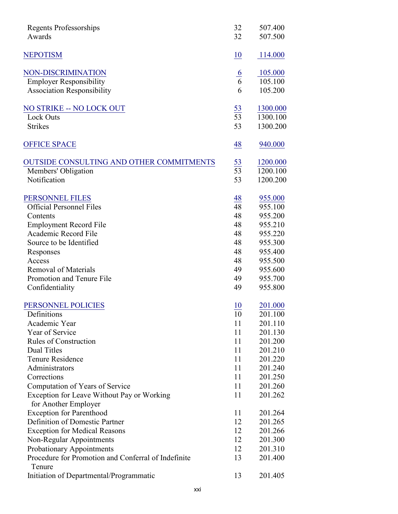| <b>Regents Professorships</b>                                 | 32              | 507.400  |
|---------------------------------------------------------------|-----------------|----------|
| Awards                                                        | 32              | 507.500  |
| <b>NEPOTISM</b>                                               | 10              | 114.000  |
| NON-DISCRIMINATION                                            |                 | 105.000  |
| <b>Employer Responsibility</b>                                | $\frac{6}{6}$   | 105.100  |
| <b>Association Responsibility</b>                             | 6               | 105.200  |
| NO STRIKE -- NO LOCK OUT                                      |                 | 1300.000 |
| <b>Lock Outs</b>                                              | $\frac{53}{53}$ | 1300.100 |
| <b>Strikes</b>                                                | 53              | 1300.200 |
| <b>OFFICE SPACE</b>                                           | 48              | 940.000  |
| <b>OUTSIDE CONSULTING AND OTHER COMMITMENTS</b>               | $\frac{53}{53}$ | 1200.000 |
| Members' Obligation                                           |                 | 1200.100 |
| Notification                                                  | 53              | 1200.200 |
| PERSONNEL FILES                                               | $\frac{48}{1}$  | 955.000  |
| <b>Official Personnel Files</b>                               | $\overline{48}$ | 955.100  |
| Contents                                                      | 48              | 955.200  |
| <b>Employment Record File</b>                                 | 48              | 955.210  |
| Academic Record File                                          | 48              | 955.220  |
| Source to be Identified                                       | 48              | 955.300  |
| Responses                                                     | 48              | 955.400  |
| Access                                                        | 48              | 955.500  |
| <b>Removal of Materials</b>                                   | 49              | 955.600  |
| Promotion and Tenure File                                     | 49              | 955.700  |
| Confidentiality                                               | 49              | 955.800  |
| PERSONNEL POLICIES                                            | 10              | 201.000  |
| Definitions                                                   | 10              | 201.100  |
| Academic Year                                                 | 11              | 201.110  |
| Year of Service                                               | 11              | 201.130  |
| <b>Rules of Construction</b>                                  | 11              | 201.200  |
| <b>Dual Titles</b>                                            | 11              | 201.210  |
| <b>Tenure Residence</b>                                       | 11              | 201.220  |
| Administrators                                                | 11              | 201.240  |
| Corrections                                                   | 11              | 201.250  |
| Computation of Years of Service                               | 11              | 201.260  |
| Exception for Leave Without Pay or Working                    | 11              | 201.262  |
| for Another Employer                                          |                 |          |
| <b>Exception for Parenthood</b>                               | 11              | 201.264  |
| Definition of Domestic Partner                                | 12              | 201.265  |
| <b>Exception for Medical Reasons</b>                          | 12              | 201.266  |
| Non-Regular Appointments                                      | 12              | 201.300  |
| Probationary Appointments                                     | 12              | 201.310  |
| Procedure for Promotion and Conferral of Indefinite<br>Tenure | 13              | 201.400  |
| Initiation of Departmental/Programmatic                       | 13              | 201.405  |
|                                                               |                 |          |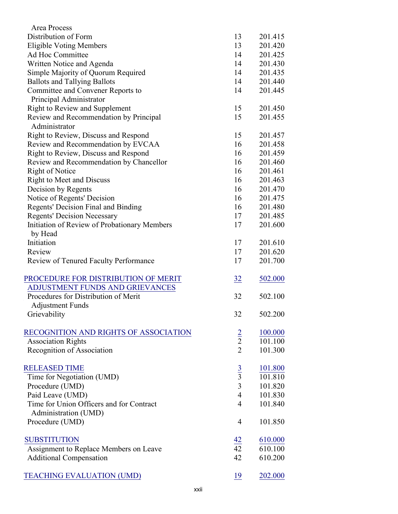| Area Process                                 |                 |                |
|----------------------------------------------|-----------------|----------------|
| Distribution of Form                         | 13              | 201.415        |
| <b>Eligible Voting Members</b>               | 13              | 201.420        |
| Ad Hoc Committee                             | 14              | 201.425        |
| Written Notice and Agenda                    | 14              | 201.430        |
| Simple Majority of Quorum Required           | 14              | 201.435        |
| <b>Ballots and Tallying Ballots</b>          | 14              | 201.440        |
| Committee and Convener Reports to            | 14              | 201.445        |
| Principal Administrator                      |                 |                |
| Right to Review and Supplement               | 15              | 201.450        |
| Review and Recommendation by Principal       | 15              | 201.455        |
| Administrator                                |                 |                |
| Right to Review, Discuss and Respond         | 15              | 201.457        |
| Review and Recommendation by EVCAA           | 16              | 201.458        |
| Right to Review, Discuss and Respond         | 16              | 201.459        |
| Review and Recommendation by Chancellor      | 16              | 201.460        |
| Right of Notice                              | 16              | 201.461        |
| <b>Right to Meet and Discuss</b>             | 16              | 201.463        |
| Decision by Regents                          | 16              | 201.470        |
| Notice of Regents' Decision                  | 16              | 201.475        |
| Regents' Decision Final and Binding          | 16              | 201.480        |
| <b>Regents' Decision Necessary</b>           | 17              | 201.485        |
| Initiation of Review of Probationary Members | 17              | 201.600        |
| by Head                                      |                 |                |
| Initiation                                   | 17              | 201.610        |
| Review                                       | 17              | 201.620        |
| Review of Tenured Faculty Performance        | 17              | 201.700        |
|                                              |                 |                |
| PROCEDURE FOR DISTRIBUTION OF MERIT          | $\frac{32}{2}$  | 502.000        |
| ADJUSTMENT FUNDS AND GRIEVANCES              |                 |                |
| Procedures for Distribution of Merit         | 32              | 502.100        |
| <b>Adjustment Funds</b>                      |                 |                |
| Grievability                                 | 32              | 502.200        |
|                                              |                 |                |
| RECOGNITION AND RIGHTS OF ASSOCIATION        |                 | 100.000        |
| <b>Association Rights</b>                    | $\frac{2}{2}$   | 101.100        |
| Recognition of Association                   | $\overline{2}$  | 101.300        |
|                                              |                 |                |
| <b>RELEASED TIME</b>                         |                 | <u>101.800</u> |
| Time for Negotiation (UMD)                   | $rac{3}{3}$     | 101.810        |
| Procedure (UMD)                              | 3               | 101.820        |
| Paid Leave (UMD)                             | $\overline{4}$  | 101.830        |
| Time for Union Officers and for Contract     | $\overline{4}$  | 101.840        |
| Administration (UMD)                         |                 |                |
| Procedure (UMD)                              | $\overline{4}$  | 101.850        |
|                                              |                 |                |
| <b>SUBSTITUTION</b>                          |                 | 610.000        |
| Assignment to Replace Members on Leave       | $\frac{42}{42}$ | 610.100        |
| <b>Additional Compensation</b>               | 42              | 610.200        |
|                                              |                 |                |
| <b>TEACHING EVALUATION (UMD)</b>             | 19              | 202.000        |
|                                              |                 |                |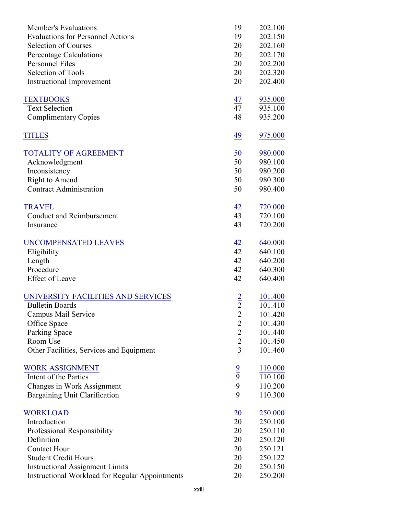| Member's Evaluations                                   | 19              | 202.100            |
|--------------------------------------------------------|-----------------|--------------------|
| <b>Evaluations for Personnel Actions</b>               | 19              | 202.150            |
| <b>Selection of Courses</b>                            | 20              | 202.160            |
| <b>Percentage Calculations</b>                         | 20              | 202.170            |
| <b>Personnel Files</b>                                 | 20              | 202.200            |
| Selection of Tools                                     | 20              | 202.320            |
| <b>Instructional Improvement</b>                       | 20              | 202.400            |
|                                                        |                 |                    |
| <b>TEXTBOOKS</b>                                       | $\frac{47}{1}$  | 935.000            |
| <b>Text Selection</b>                                  | 47              | 935.100            |
| <b>Complimentary Copies</b>                            | 48              | 935.200            |
| <b>TITLES</b>                                          | 49              | 975.000            |
| <b>TOTALITY OF AGREEMENT</b>                           |                 | 980.000            |
| Acknowledgment                                         | $\frac{50}{50}$ | 980.100            |
| Inconsistency                                          | 50              | 980.200            |
| Right to Amend                                         | 50              | 980.300            |
| <b>Contract Administration</b>                         | 50              | 980.400            |
|                                                        |                 |                    |
| <b>TRAVEL</b><br><b>Conduct and Reimbursement</b>      | 42<br>43        | 720.000<br>720.100 |
| Insurance                                              | 43              | 720.200            |
|                                                        |                 |                    |
| <b>UNCOMPENSATED LEAVES</b>                            | $\frac{42}{42}$ | 640.000            |
| Eligibility                                            |                 | 640.100            |
| Length                                                 | 42              | 640.200            |
| Procedure                                              | 42              | 640.300            |
| <b>Effect of Leave</b>                                 | 42              | 640.400            |
| UNIVERSITY FACILITIES AND SERVICES                     |                 | <u>101.400</u>     |
| <b>Bulletin Boards</b>                                 | $\frac{2}{2}$   | 101.410            |
| Campus Mail Service                                    | $\overline{c}$  | 101.420            |
| Office Space                                           | $\overline{2}$  | 101.430            |
| Parking Space                                          | $\overline{2}$  | 101.440            |
| Room Use                                               | $\overline{2}$  | 101.450            |
| Other Facilities, Services and Equipment               | $\overline{3}$  | 101.460            |
|                                                        |                 |                    |
| <b>WORK ASSIGNMENT</b>                                 | $\frac{9}{9}$   | 110.000            |
| Intent of the Parties                                  |                 | 110.100            |
| Changes in Work Assignment                             | 9               | 110.200            |
| Bargaining Unit Clarification                          | 9               | 110.300            |
| <b>WORKLOAD</b>                                        | <b>20</b>       | 250.000            |
| Introduction                                           | 20              | 250.100            |
| Professional Responsibility                            | 20              | 250.110            |
| Definition                                             | 20              | 250.120            |
| <b>Contact Hour</b>                                    | 20              | 250.121            |
| <b>Student Credit Hours</b>                            | 20              | 250.122            |
| <b>Instructional Assignment Limits</b>                 | 20              | 250.150            |
| <b>Instructional Workload for Regular Appointments</b> | 20              | 250.200            |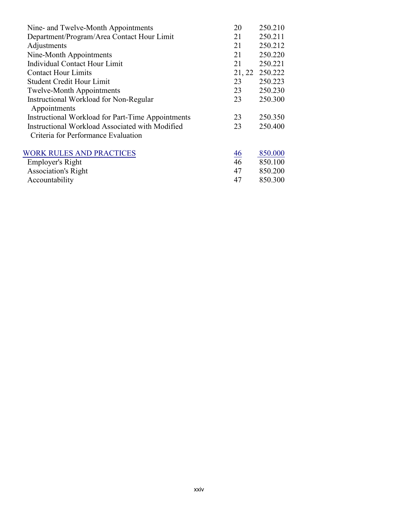| Nine- and Twelve-Month Appointments                      | 20             | 250.210 |
|----------------------------------------------------------|----------------|---------|
| Department/Program/Area Contact Hour Limit               | 21             | 250.211 |
| Adjustments                                              | 21             | 250.212 |
| Nine-Month Appointments                                  | 21             | 250.220 |
| Individual Contact Hour Limit                            | 21             | 250.221 |
| <b>Contact Hour Limits</b>                               | 21, 22         | 250.222 |
| <b>Student Credit Hour Limit</b>                         | 23             | 250.223 |
| <b>Twelve-Month Appointments</b>                         | 23             | 250.230 |
| Instructional Workload for Non-Regular                   | 23             | 250.300 |
| Appointments                                             |                |         |
| <b>Instructional Workload for Part-Time Appointments</b> | 23             | 250.350 |
| Instructional Workload Associated with Modified          | 23             | 250.400 |
| Criteria for Performance Evaluation                      |                |         |
| <b>WORK RULES AND PRACTICES</b>                          | $\frac{46}{5}$ | 850.000 |
| Employer's Right                                         | 46             | 850.100 |
| <b>Association's Right</b>                               | 47             | 850.200 |
| Accountability                                           | 47             | 850.300 |
|                                                          |                |         |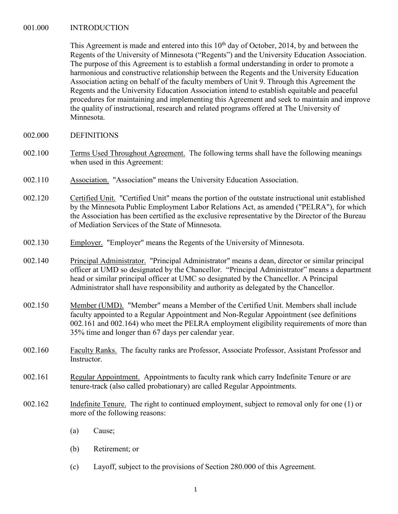#### <span id="page-24-0"></span>001.000 INTRODUCTION

This Agreement is made and entered into this  $10<sup>th</sup>$  day of October, 2014, by and between the Regents of the University of Minnesota ("Regents") and the University Education Association. The purpose of this Agreement is to establish a formal understanding in order to promote a harmonious and constructive relationship between the Regents and the University Education Association acting on behalf of the faculty members of Unit 9. Through this Agreement the Regents and the University Education Association intend to establish equitable and peaceful procedures for maintaining and implementing this Agreement and seek to maintain and improve the quality of instructional, research and related programs offered at The University of Minnesota.

- 002.000 DEFINITIONS
- 002.100 Terms Used Throughout Agreement. The following terms shall have the following meanings when used in this Agreement:
- 002.110 Association. "Association" means the University Education Association.
- 002.120 Certified Unit. "Certified Unit" means the portion of the outstate instructional unit established by the Minnesota Public Employment Labor Relations Act, as amended ("PELRA"), for which the Association has been certified as the exclusive representative by the Director of the Bureau of Mediation Services of the State of Minnesota.
- 002.130 Employer. "Employer" means the Regents of the University of Minnesota.
- 002.140 Principal Administrator. "Principal Administrator" means a dean, director or similar principal officer at UMD so designated by the Chancellor. "Principal Administrator" means a department head or similar principal officer at UMC so designated by the Chancellor. A Principal Administrator shall have responsibility and authority as delegated by the Chancellor.
- 002.150 Member (UMD). "Member" means a Member of the Certified Unit. Members shall include faculty appointed to a Regular Appointment and Non-Regular Appointment (see definitions 002.161 and 002.164) who meet the PELRA employment eligibility requirements of more than 35% time and longer than 67 days per calendar year.
- 002.160 Faculty Ranks. The faculty ranks are Professor, Associate Professor, Assistant Professor and Instructor.
- 002.161 Regular Appointment. Appointments to faculty rank which carry Indefinite Tenure or are tenure-track (also called probationary) are called Regular Appointments.
- 002.162 Indefinite Tenure. The right to continued employment, subject to removal only for one (1) or more of the following reasons:
	- (a) Cause;
	- (b) Retirement; or
	- (c) Layoff, subject to the provisions of Section 280.000 of this Agreement.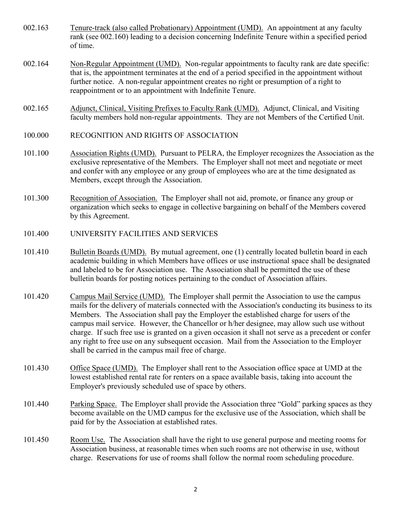- <span id="page-25-0"></span>002.163 Tenure-track (also called Probationary) Appointment (UMD). An appointment at any faculty rank (see 002.160) leading to a decision concerning Indefinite Tenure within a specified period of time.
- 002.164 Non-Regular Appointment (UMD). Non-regular appointments to faculty rank are date specific: that is, the appointment terminates at the end of a period specified in the appointment without further notice. A non-regular appointment creates no right or presumption of a right to reappointment or to an appointment with Indefinite Tenure.
- 002.165 Adjunct, Clinical, Visiting Prefixes to Faculty Rank (UMD). Adjunct, Clinical, and Visiting faculty members hold non-regular appointments. They are not Members of the Certified Unit.
- 100.000 RECOGNITION AND RIGHTS OF ASSOCIATION
- 101.100 Association Rights (UMD). Pursuant to PELRA, the Employer recognizes the Association as the exclusive representative of the Members. The Employer shall not meet and negotiate or meet and confer with any employee or any group of employees who are at the time designated as Members, except through the Association.
- 101.300 Recognition of Association. The Employer shall not aid, promote, or finance any group or organization which seeks to engage in collective bargaining on behalf of the Members covered by this Agreement.
- 101.400 UNIVERSITY FACILITIES AND SERVICES
- 101.410 Bulletin Boards (UMD). By mutual agreement, one (1) centrally located bulletin board in each academic building in which Members have offices or use instructional space shall be designated and labeled to be for Association use. The Association shall be permitted the use of these bulletin boards for posting notices pertaining to the conduct of Association affairs.
- 101.420 Campus Mail Service (UMD). The Employer shall permit the Association to use the campus mails for the delivery of materials connected with the Association's conducting its business to its Members. The Association shall pay the Employer the established charge for users of the campus mail service. However, the Chancellor or h/her designee, may allow such use without charge. If such free use is granted on a given occasion it shall not serve as a precedent or confer any right to free use on any subsequent occasion. Mail from the Association to the Employer shall be carried in the campus mail free of charge.
- 101.430 Office Space (UMD). The Employer shall rent to the Association office space at UMD at the lowest established rental rate for renters on a space available basis, taking into account the Employer's previously scheduled use of space by others.
- 101.440 Parking Space. The Employer shall provide the Association three "Gold" parking spaces as they become available on the UMD campus for the exclusive use of the Association, which shall be paid for by the Association at established rates.
- 101.450 Room Use. The Association shall have the right to use general purpose and meeting rooms for Association business, at reasonable times when such rooms are not otherwise in use, without charge. Reservations for use of rooms shall follow the normal room scheduling procedure.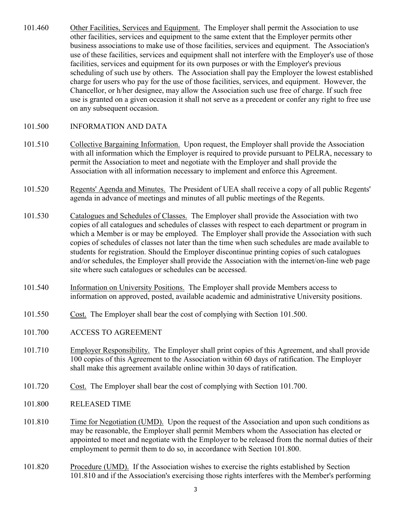- <span id="page-26-0"></span>101.460 Other Facilities, Services and Equipment. The Employer shall permit the Association to use other facilities, services and equipment to the same extent that the Employer permits other business associations to make use of those facilities, services and equipment. The Association's use of these facilities, services and equipment shall not interfere with the Employer's use of those facilities, services and equipment for its own purposes or with the Employer's previous scheduling of such use by others. The Association shall pay the Employer the lowest established charge for users who pay for the use of those facilities, services, and equipment. However, the Chancellor, or h/her designee, may allow the Association such use free of charge. If such free use is granted on a given occasion it shall not serve as a precedent or confer any right to free use on any subsequent occasion.
- 101.500 INFORMATION AND DATA
- 101.510 Collective Bargaining Information. Upon request, the Employer shall provide the Association with all information which the Employer is required to provide pursuant to PELRA, necessary to permit the Association to meet and negotiate with the Employer and shall provide the Association with all information necessary to implement and enforce this Agreement.
- 101.520 Regents' Agenda and Minutes. The President of UEA shall receive a copy of all public Regents' agenda in advance of meetings and minutes of all public meetings of the Regents.
- 101.530 Catalogues and Schedules of Classes. The Employer shall provide the Association with two copies of all catalogues and schedules of classes with respect to each department or program in which a Member is or may be employed. The Employer shall provide the Association with such copies of schedules of classes not later than the time when such schedules are made available to students for registration. Should the Employer discontinue printing copies of such catalogues and/or schedules, the Employer shall provide the Association with the internet/on-line web page site where such catalogues or schedules can be accessed.
- 101.540 Information on University Positions. The Employer shall provide Members access to information on approved, posted, available academic and administrative University positions.
- 101.550 Cost. The Employer shall bear the cost of complying with Section 101.500.
- 101.700 ACCESS TO AGREEMENT
- 101.710 Employer Responsibility. The Employer shall print copies of this Agreement, and shall provide 100 copies of this Agreement to the Association within 60 days of ratification. The Employer shall make this agreement available online within 30 days of ratification.
- 101.720 Cost. The Employer shall bear the cost of complying with Section 101.700.
- 101.800 RELEASED TIME
- 101.810 Time for Negotiation (UMD). Upon the request of the Association and upon such conditions as may be reasonable, the Employer shall permit Members whom the Association has elected or appointed to meet and negotiate with the Employer to be released from the normal duties of their employment to permit them to do so, in accordance with Section 101.800.
- 101.820 Procedure (UMD). If the Association wishes to exercise the rights established by Section 101.810 and if the Association's exercising those rights interferes with the Member's performing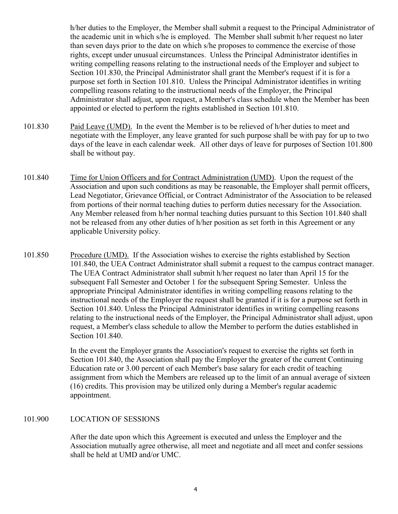<span id="page-27-0"></span>h/her duties to the Employer, the Member shall submit a request to the Principal Administrator of the academic unit in which s/he is employed. The Member shall submit h/her request no later than seven days prior to the date on which s/he proposes to commence the exercise of those rights, except under unusual circumstances. Unless the Principal Administrator identifies in writing compelling reasons relating to the instructional needs of the Employer and subject to Section 101.830, the Principal Administrator shall grant the Member's request if it is for a purpose set forth in Section 101.810. Unless the Principal Administrator identifies in writing compelling reasons relating to the instructional needs of the Employer, the Principal Administrator shall adjust, upon request, a Member's class schedule when the Member has been appointed or elected to perform the rights established in Section 101.810.

- 101.830 Paid Leave (UMD). In the event the Member is to be relieved of h/her duties to meet and negotiate with the Employer, any leave granted for such purpose shall be with pay for up to two days of the leave in each calendar week. All other days of leave for purposes of Section 101.800 shall be without pay.
- 101.840 Time for Union Officers and for Contract Administration (UMD). Upon the request of the Association and upon such conditions as may be reasonable, the Employer shall permit officers, Lead Negotiator, Grievance Official, or Contract Administrator of the Association to be released from portions of their normal teaching duties to perform duties necessary for the Association. Any Member released from h/her normal teaching duties pursuant to this Section 101.840 shall not be released from any other duties of h/her position as set forth in this Agreement or any applicable University policy.
- 101.850 Procedure (UMD). If the Association wishes to exercise the rights established by Section 101.840, the UEA Contract Administrator shall submit a request to the campus contract manager. The UEA Contract Administrator shall submit h/her request no later than April 15 for the subsequent Fall Semester and October 1 for the subsequent Spring Semester. Unless the appropriate Principal Administrator identifies in writing compelling reasons relating to the instructional needs of the Employer the request shall be granted if it is for a purpose set forth in Section 101.840. Unless the Principal Administrator identifies in writing compelling reasons relating to the instructional needs of the Employer, the Principal Administrator shall adjust, upon request, a Member's class schedule to allow the Member to perform the duties established in Section 101.840.

In the event the Employer grants the Association's request to exercise the rights set forth in Section 101.840, the Association shall pay the Employer the greater of the current Continuing Education rate or 3.00 percent of each Member's base salary for each credit of teaching assignment from which the Members are released up to the limit of an annual average of sixteen (16) credits. This provision may be utilized only during a Member's regular academic appointment.

### 101.900 LOCATION OF SESSIONS

After the date upon which this Agreement is executed and unless the Employer and the Association mutually agree otherwise, all meet and negotiate and all meet and confer sessions shall be held at UMD and/or UMC.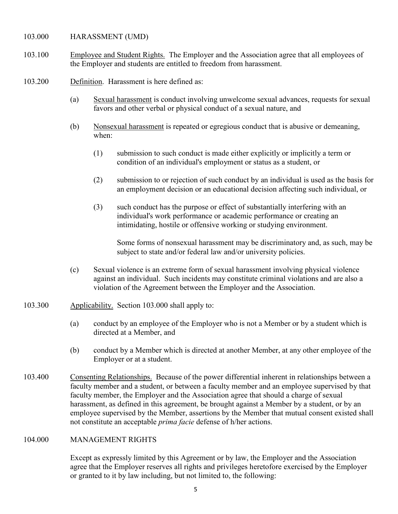- <span id="page-28-0"></span>103.000 HARASSMENT (UMD)
- 103.100 Employee and Student Rights. The Employer and the Association agree that all employees of the Employer and students are entitled to freedom from harassment.
- 103.200 Definition. Harassment is here defined as:
	- (a) Sexual harassment is conduct involving unwelcome sexual advances, requests for sexual favors and other verbal or physical conduct of a sexual nature, and
	- (b) Nonsexual harassment is repeated or egregious conduct that is abusive or demeaning, when:
		- (1) submission to such conduct is made either explicitly or implicitly a term or condition of an individual's employment or status as a student, or
		- (2) submission to or rejection of such conduct by an individual is used as the basis for an employment decision or an educational decision affecting such individual, or
		- (3) such conduct has the purpose or effect of substantially interfering with an individual's work performance or academic performance or creating an intimidating, hostile or offensive working or studying environment.

Some forms of nonsexual harassment may be discriminatory and, as such, may be subject to state and/or federal law and/or university policies.

- (c) Sexual violence is an extreme form of sexual harassment involving physical violence against an individual. Such incidents may constitute criminal violations and are also a violation of the Agreement between the Employer and the Association.
- 103.300 Applicability. Section 103.000 shall apply to:
	- (a) conduct by an employee of the Employer who is not a Member or by a student which is directed at a Member, and
	- (b) conduct by a Member which is directed at another Member, at any other employee of the Employer or at a student.
- 103.400 Consenting Relationships. Because of the power differential inherent in relationships between a faculty member and a student, or between a faculty member and an employee supervised by that faculty member, the Employer and the Association agree that should a charge of sexual harassment, as defined in this agreement, be brought against a Member by a student, or by an employee supervised by the Member, assertions by the Member that mutual consent existed shall not constitute an acceptable *prima facie* defense of h/her actions.

#### 104.000 MANAGEMENT RIGHTS

Except as expressly limited by this Agreement or by law, the Employer and the Association agree that the Employer reserves all rights and privileges heretofore exercised by the Employer or granted to it by law including, but not limited to, the following: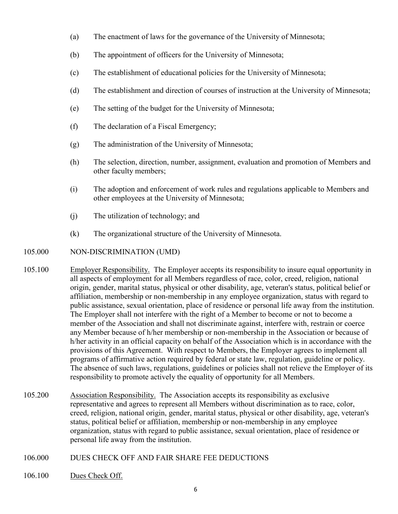- <span id="page-29-0"></span>(a) The enactment of laws for the governance of the University of Minnesota;
- (b) The appointment of officers for the University of Minnesota;
- (c) The establishment of educational policies for the University of Minnesota;
- (d) The establishment and direction of courses of instruction at the University of Minnesota;
- (e) The setting of the budget for the University of Minnesota;
- (f) The declaration of a Fiscal Emergency;
- (g) The administration of the University of Minnesota;
- (h) The selection, direction, number, assignment, evaluation and promotion of Members and other faculty members;
- (i) The adoption and enforcement of work rules and regulations applicable to Members and other employees at the University of Minnesota;
- (j) The utilization of technology; and
- (k) The organizational structure of the University of Minnesota.

### 105.000 NON-DISCRIMINATION (UMD)

- 105.100 Employer Responsibility. The Employer accepts its responsibility to insure equal opportunity in all aspects of employment for all Members regardless of race, color, creed, religion, national origin, gender, marital status, physical or other disability, age, veteran's status, political belief or affiliation, membership or non-membership in any employee organization, status with regard to public assistance, sexual orientation, place of residence or personal life away from the institution. The Employer shall not interfere with the right of a Member to become or not to become a member of the Association and shall not discriminate against, interfere with, restrain or coerce any Member because of h/her membership or non-membership in the Association or because of h/her activity in an official capacity on behalf of the Association which is in accordance with the provisions of this Agreement. With respect to Members, the Employer agrees to implement all programs of affirmative action required by federal or state law, regulation, guideline or policy. The absence of such laws, regulations, guidelines or policies shall not relieve the Employer of its responsibility to promote actively the equality of opportunity for all Members.
- 105.200 Association Responsibility. The Association accepts its responsibility as exclusive representative and agrees to represent all Members without discrimination as to race, color, creed, religion, national origin, gender, marital status, physical or other disability, age, veteran's status, political belief or affiliation, membership or non-membership in any employee organization, status with regard to public assistance, sexual orientation, place of residence or personal life away from the institution.

### 106.000 DUES CHECK OFF AND FAIR SHARE FEE DEDUCTIONS

106.100 Dues Check Off.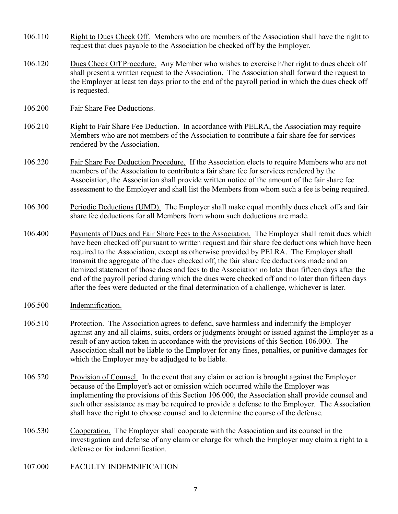- <span id="page-30-0"></span>106.110 Right to Dues Check Off. Members who are members of the Association shall have the right to request that dues payable to the Association be checked off by the Employer.
- 106.120 Dues Check Off Procedure. Any Member who wishes to exercise h/her right to dues check off shall present a written request to the Association. The Association shall forward the request to the Employer at least ten days prior to the end of the payroll period in which the dues check off is requested.
- 106.200 Fair Share Fee Deductions.
- 106.210 Right to Fair Share Fee Deduction. In accordance with PELRA, the Association may require Members who are not members of the Association to contribute a fair share fee for services rendered by the Association.
- 106.220 Fair Share Fee Deduction Procedure. If the Association elects to require Members who are not members of the Association to contribute a fair share fee for services rendered by the Association, the Association shall provide written notice of the amount of the fair share fee assessment to the Employer and shall list the Members from whom such a fee is being required.
- 106.300 Periodic Deductions (UMD). The Employer shall make equal monthly dues check offs and fair share fee deductions for all Members from whom such deductions are made.
- 106.400 Payments of Dues and Fair Share Fees to the Association. The Employer shall remit dues which have been checked off pursuant to written request and fair share fee deductions which have been required to the Association, except as otherwise provided by PELRA. The Employer shall transmit the aggregate of the dues checked off, the fair share fee deductions made and an itemized statement of those dues and fees to the Association no later than fifteen days after the end of the payroll period during which the dues were checked off and no later than fifteen days after the fees were deducted or the final determination of a challenge, whichever is later.
- 106.500 Indemnification.
- 106.510 Protection. The Association agrees to defend, save harmless and indemnify the Employer against any and all claims, suits, orders or judgments brought or issued against the Employer as a result of any action taken in accordance with the provisions of this Section 106.000. The Association shall not be liable to the Employer for any fines, penalties, or punitive damages for which the Employer may be adjudged to be liable.
- 106.520 Provision of Counsel. In the event that any claim or action is brought against the Employer because of the Employer's act or omission which occurred while the Employer was implementing the provisions of this Section 106.000, the Association shall provide counsel and such other assistance as may be required to provide a defense to the Employer. The Association shall have the right to choose counsel and to determine the course of the defense.
- 106.530 Cooperation. The Employer shall cooperate with the Association and its counsel in the investigation and defense of any claim or charge for which the Employer may claim a right to a defense or for indemnification.
- 107.000 FACULTY INDEMNIFICATION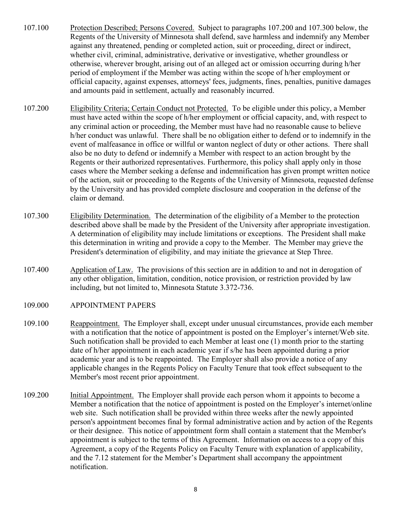- <span id="page-31-0"></span>107.100 Protection Described; Persons Covered. Subject to paragraphs 107.200 and 107.300 below, the Regents of the University of Minnesota shall defend, save harmless and indemnify any Member against any threatened, pending or completed action, suit or proceeding, direct or indirect, whether civil, criminal, administrative, derivative or investigative, whether groundless or otherwise, wherever brought, arising out of an alleged act or omission occurring during h/her period of employment if the Member was acting within the scope of h/her employment or official capacity, against expenses, attorneys' fees, judgments, fines, penalties, punitive damages and amounts paid in settlement, actually and reasonably incurred.
- 107.200 Eligibility Criteria; Certain Conduct not Protected. To be eligible under this policy, a Member must have acted within the scope of h/her employment or official capacity, and, with respect to any criminal action or proceeding, the Member must have had no reasonable cause to believe h/her conduct was unlawful. There shall be no obligation either to defend or to indemnify in the event of malfeasance in office or willful or wanton neglect of duty or other actions. There shall also be no duty to defend or indemnify a Member with respect to an action brought by the Regents or their authorized representatives. Furthermore, this policy shall apply only in those cases where the Member seeking a defense and indemnification has given prompt written notice of the action, suit or proceeding to the Regents of the University of Minnesota, requested defense by the University and has provided complete disclosure and cooperation in the defense of the claim or demand.
- 107.300 Eligibility Determination. The determination of the eligibility of a Member to the protection described above shall be made by the President of the University after appropriate investigation. A determination of eligibility may include limitations or exceptions. The President shall make this determination in writing and provide a copy to the Member. The Member may grieve the President's determination of eligibility, and may initiate the grievance at Step Three.
- 107.400 Application of Law. The provisions of this section are in addition to and not in derogation of any other obligation, limitation, condition, notice provision, or restriction provided by law including, but not limited to, Minnesota Statute 3.372-736.
- 109.000 APPOINTMENT PAPERS
- 109.100 Reappointment. The Employer shall, except under unusual circumstances, provide each member with a notification that the notice of appointment is posted on the Employer's internet/Web site. Such notification shall be provided to each Member at least one (1) month prior to the starting date of h/her appointment in each academic year if s/he has been appointed during a prior academic year and is to be reappointed. The Employer shall also provide a notice of any applicable changes in the Regents Policy on Faculty Tenure that took effect subsequent to the Member's most recent prior appointment.
- 109.200 Initial Appointment. The Employer shall provide each person whom it appoints to become a Member a notification that the notice of appointment is posted on the Employer's internet/online web site. Such notification shall be provided within three weeks after the newly appointed person's appointment becomes final by formal administrative action and by action of the Regents or their designee. This notice of appointment form shall contain a statement that the Member's appointment is subject to the terms of this Agreement. Information on access to a copy of this Agreement, a copy of the Regents Policy on Faculty Tenure with explanation of applicability, and the 7.12 statement for the Member's Department shall accompany the appointment notification.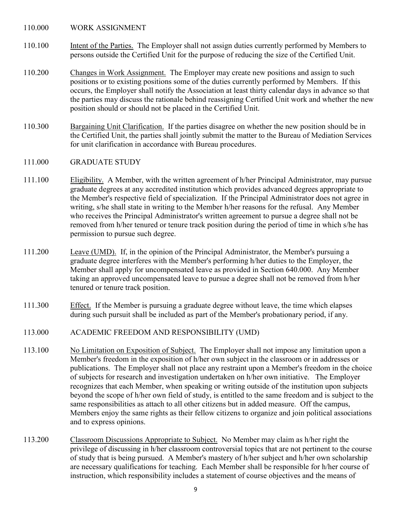<span id="page-32-0"></span>110.000 WORK ASSIGNMENT

- 110.100 Intent of the Parties. The Employer shall not assign duties currently performed by Members to persons outside the Certified Unit for the purpose of reducing the size of the Certified Unit.
- 110.200 Changes in Work Assignment. The Employer may create new positions and assign to such positions or to existing positions some of the duties currently performed by Members. If this occurs, the Employer shall notify the Association at least thirty calendar days in advance so that the parties may discuss the rationale behind reassigning Certified Unit work and whether the new position should or should not be placed in the Certified Unit.
- 110.300 Bargaining Unit Clarification. If the parties disagree on whether the new position should be in the Certified Unit, the parties shall jointly submit the matter to the Bureau of Mediation Services for unit clarification in accordance with Bureau procedures.

#### 111.000 GRADUATE STUDY

- 111.100 Eligibility. A Member, with the written agreement of h/her Principal Administrator, may pursue graduate degrees at any accredited institution which provides advanced degrees appropriate to the Member's respective field of specialization. If the Principal Administrator does not agree in writing, s/he shall state in writing to the Member h/her reasons for the refusal. Any Member who receives the Principal Administrator's written agreement to pursue a degree shall not be removed from h/her tenured or tenure track position during the period of time in which s/he has permission to pursue such degree.
- 111.200 Leave (UMD). If, in the opinion of the Principal Administrator, the Member's pursuing a graduate degree interferes with the Member's performing h/her duties to the Employer, the Member shall apply for uncompensated leave as provided in Section 640.000. Any Member taking an approved uncompensated leave to pursue a degree shall not be removed from h/her tenured or tenure track position.
- 111.300 Effect. If the Member is pursuing a graduate degree without leave, the time which elapses during such pursuit shall be included as part of the Member's probationary period, if any.
- 113.000 ACADEMIC FREEDOM AND RESPONSIBILITY (UMD)
- 113.100 No Limitation on Exposition of Subject. The Employer shall not impose any limitation upon a Member's freedom in the exposition of h/her own subject in the classroom or in addresses or publications. The Employer shall not place any restraint upon a Member's freedom in the choice of subjects for research and investigation undertaken on h/her own initiative. The Employer recognizes that each Member, when speaking or writing outside of the institution upon subjects beyond the scope of h/her own field of study, is entitled to the same freedom and is subject to the same responsibilities as attach to all other citizens but in added measure. Off the campus, Members enjoy the same rights as their fellow citizens to organize and join political associations and to express opinions.
- 113.200 Classroom Discussions Appropriate to Subject. No Member may claim as h/her right the privilege of discussing in h/her classroom controversial topics that are not pertinent to the course of study that is being pursued. A Member's mastery of h/her subject and h/her own scholarship are necessary qualifications for teaching. Each Member shall be responsible for h/her course of instruction, which responsibility includes a statement of course objectives and the means of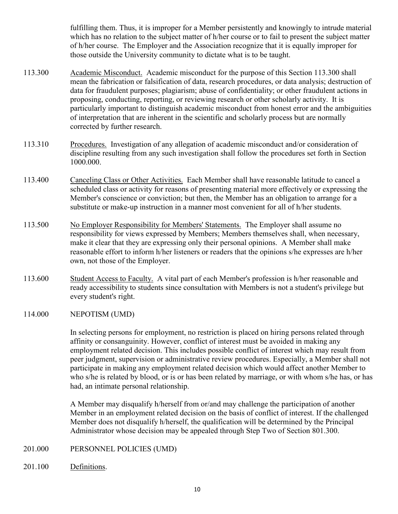fulfilling them. Thus, it is improper for a Member persistently and knowingly to intrude material which has no relation to the subject matter of h/her course or to fail to present the subject matter of h/her course. The Employer and the Association recognize that it is equally improper for those outside the University community to dictate what is to be taught.

- <span id="page-33-0"></span>113.300 Academic Misconduct. Academic misconduct for the purpose of this Section 113.300 shall mean the fabrication or falsification of data, research procedures, or data analysis; destruction of data for fraudulent purposes; plagiarism; abuse of confidentiality; or other fraudulent actions in proposing, conducting, reporting, or reviewing research or other scholarly activity. It is particularly important to distinguish academic misconduct from honest error and the ambiguities of interpretation that are inherent in the scientific and scholarly process but are normally corrected by further research.
- 113.310 Procedures. Investigation of any allegation of academic misconduct and/or consideration of discipline resulting from any such investigation shall follow the procedures set forth in Section 1000.000.
- 113.400 Canceling Class or Other Activities. Each Member shall have reasonable latitude to cancel a scheduled class or activity for reasons of presenting material more effectively or expressing the Member's conscience or conviction; but then, the Member has an obligation to arrange for a substitute or make-up instruction in a manner most convenient for all of h/her students.
- 113.500 No Employer Responsibility for Members' Statements. The Employer shall assume no responsibility for views expressed by Members; Members themselves shall, when necessary, make it clear that they are expressing only their personal opinions. A Member shall make reasonable effort to inform h/her listeners or readers that the opinions s/he expresses are h/her own, not those of the Employer.
- 113.600 Student Access to Faculty. A vital part of each Member's profession is h/her reasonable and ready accessibility to students since consultation with Members is not a student's privilege but every student's right.
- 114.000 NEPOTISM (UMD)

In selecting persons for employment, no restriction is placed on hiring persons related through affinity or consanguinity. However, conflict of interest must be avoided in making any employment related decision. This includes possible conflict of interest which may result from peer judgment, supervision or administrative review procedures. Especially, a Member shall not participate in making any employment related decision which would affect another Member to who s/he is related by blood, or is or has been related by marriage, or with whom s/he has, or has had, an intimate personal relationship.

A Member may disqualify h/herself from or/and may challenge the participation of another Member in an employment related decision on the basis of conflict of interest. If the challenged Member does not disqualify h/herself, the qualification will be determined by the Principal Administrator whose decision may be appealed through Step Two of Section 801.300.

- 201.000 PERSONNEL POLICIES (UMD)
- 201.100 Definitions.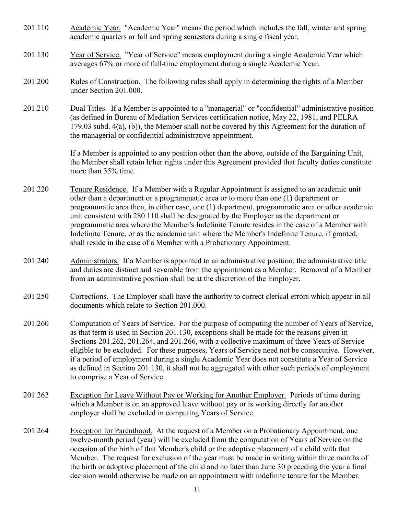- 201.110 Academic Year. "Academic Year" means the period which includes the fall, winter and spring academic quarters or fall and spring semesters during a single fiscal year.
- 201.130 Year of Service. "Year of Service" means employment during a single Academic Year which averages 67% or more of full-time employment during a single Academic Year.
- 201.200 Rules of Construction. The following rules shall apply in determining the rights of a Member under Section 201.000.
- 201.210 Dual Titles. If a Member is appointed to a "managerial" or "confidential" administrative position (as defined in Bureau of Mediation Services certification notice, May 22, 1981; and PELRA 179.03 subd. 4(a), (b)), the Member shall not be covered by this Agreement for the duration of the managerial or confidential administrative appointment.

If a Member is appointed to any position other than the above, outside of the Bargaining Unit, the Member shall retain h/her rights under this Agreement provided that faculty duties constitute more than 35% time.

- 201.220 Tenure Residence. If a Member with a Regular Appointment is assigned to an academic unit other than a department or a programmatic area or to more than one (1) department or programmatic area then, in either case, one (1) department, programmatic area or other academic unit consistent with 280.110 shall be designated by the Employer as the department or programmatic area where the Member's Indefinite Tenure resides in the case of a Member with Indefinite Tenure, or as the academic unit where the Member's Indefinite Tenure, if granted, shall reside in the case of a Member with a Probationary Appointment.
- 201.240 Administrators. If a Member is appointed to an administrative position, the administrative title and duties are distinct and severable from the appointment as a Member. Removal of a Member from an administrative position shall be at the discretion of the Employer.
- 201.250 Corrections. The Employer shall have the authority to correct clerical errors which appear in all documents which relate to Section 201.000.
- 201.260 Computation of Years of Service. For the purpose of computing the number of Years of Service, as that term is used in Section 201.130, exceptions shall be made for the reasons given in Sections 201.262, 201.264, and 201.266, with a collective maximum of three Years of Service eligible to be excluded. For these purposes, Years of Service need not be consecutive. However, if a period of employment during a single Academic Year does not constitute a Year of Service as defined in Section 201.130, it shall not be aggregated with other such periods of employment to comprise a Year of Service.
- 201.262 Exception for Leave Without Pay or Working for Another Employer. Periods of time during which a Member is on an approved leave without pay or is working directly for another employer shall be excluded in computing Years of Service.
- 201.264 Exception for Parenthood. At the request of a Member on a Probationary Appointment, one twelve-month period (year) will be excluded from the computation of Years of Service on the occasion of the birth of that Member's child or the adoptive placement of a child with that Member. The request for exclusion of the year must be made in writing within three months of the birth or adoptive placement of the child and no later than June 30 preceding the year a final decision would otherwise be made on an appointment with indefinite tenure for the Member.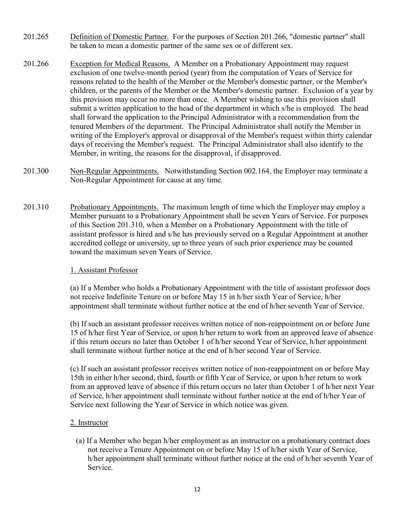- 201.265 Definition of Domestic Partner. For the purposes of Section 201.266, "domestic partner" shall be taken to mean a domestic partner of the same sex or of different sex.
- 201.266 Exception for Medical Reasons. A Member on a Probationary Appointment may request exclusion of one twelve-month period (year) from the computation of Years of Service for reasons related to the health of the Member or the Member's domestic partner, or the Member's children, or the parents of the Member or the Member's domestic partner. Exclusion of a year by this provision may occur no more than once. A Member wishing to use this provision shall submit a written application to the head of the department in which s/he is employed. The head shall forward the application to the Principal Administrator with a recommendation from the tenured Members of the department. The Principal Administrator shall notify the Member in writing of the Employer's approval or disapproval of the Member's request within thirty calendar days of receiving the Member's request. The Principal Administrator shall also identify to the Member, in writing, the reasons for the disapproval, if disapproved.
- 201.300 Non-Regular Appointments. Notwithstanding Section 002.164, the Employer may terminate a Non-Regular Appointment for cause at any time.
- 201.310 Probationary Appointments. The maximum length of time which the Employer may employ a Member pursuant to a Probationary Appointment shall be seven Years of Service. For purposes of this Section 201.310, when a Member on a Probationary Appointment with the title of assistant professor is hired and s/he has previously served on a Regular Appointment at another accredited college or university, up to three years of such prior experience may be counted toward the maximum seven Years of Service.

#### 1. Assistant Professor

(a) If a Member who holds a Probationary Appointment with the title of assistant professor does not receive Indefinite Tenure on or before May 15 in h/her sixth Year of Service, h/her appointment shall terminate without further notice at the end of h/her seventh Year of Service.

(b) If such an assistant professor receives written notice of non-reappointment on or before June 15 of h/her first Year of Service, or upon h/her return to work from an approved leave of absence if this return occurs no later than October 1 of h/her second Year of Service, h/her appointment shall terminate without further notice at the end of h/her second Year of Service.

(c) If such an assistant professor receives written notice of non-reappointment on or before May 15th in either h/her second, third, fourth or fifth Year of Service, or upon h/her return to work from an approved leave of absence if this return occurs no later than October 1 of h/her next Year of Service, h/her appointment shall terminate without further notice at the end of h/her Year of Service next following the Year of Service in which notice was given.

#### 2. Instructor

(a) If a Member who began h/her employment as an instructor on a probationary contract does not receive a Tenure Appointment on or before May 15 of h/her sixth Year of Service, h/her appointment shall terminate without further notice at the end of h/her seventh Year of Service.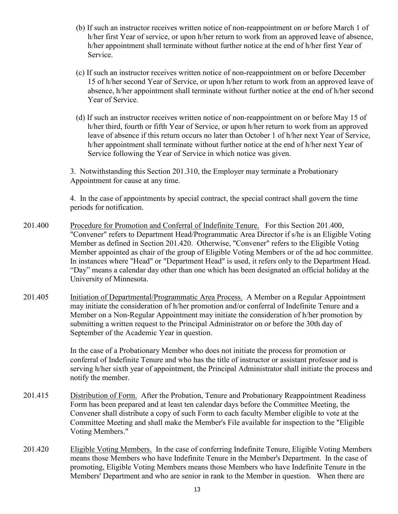- (b) If such an instructor receives written notice of non-reappointment on or before March 1 of h/her first Year of service, or upon h/her return to work from an approved leave of absence, h/her appointment shall terminate without further notice at the end of h/her first Year of Service.
- (c) If such an instructor receives written notice of non-reappointment on or before December 15 of h/her second Year of Service, or upon h/her return to work from an approved leave of absence, h/her appointment shall terminate without further notice at the end of h/her second Year of Service.
- (d) If such an instructor receives written notice of non-reappointment on or before May 15 of h/her third, fourth or fifth Year of Service, or upon h/her return to work from an approved leave of absence if this return occurs no later than October 1 of h/her next Year of Service, h/her appointment shall terminate without further notice at the end of h/her next Year of Service following the Year of Service in which notice was given.

3. Notwithstanding this Section 201.310, the Employer may terminate a Probationary Appointment for cause at any time.

4. In the case of appointments by special contract, the special contract shall govern the time periods for notification.

- 201.400 Procedure for Promotion and Conferral of Indefinite Tenure. For this Section 201.400, "Convener" refers to Department Head/Programmatic Area Director if s/he is an Eligible Voting Member as defined in Section 201.420. Otherwise, "Convener" refers to the Eligible Voting Member appointed as chair of the group of Eligible Voting Members or of the ad hoc committee. In instances where "Head" or "Department Head" is used, it refers only to the Department Head. "Day" means a calendar day other than one which has been designated an official holiday at the University of Minnesota.
- 201.405 Initiation of Departmental/Programmatic Area Process. A Member on a Regular Appointment may initiate the consideration of h/her promotion and/or conferral of Indefinite Tenure and a Member on a Non-Regular Appointment may initiate the consideration of h/her promotion by submitting a written request to the Principal Administrator on or before the 30th day of September of the Academic Year in question.

In the case of a Probationary Member who does not initiate the process for promotion or conferral of Indefinite Tenure and who has the title of instructor or assistant professor and is serving h/her sixth year of appointment, the Principal Administrator shall initiate the process and notify the member.

- 201.415 Distribution of Form. After the Probation, Tenure and Probationary Reappointment Readiness Form has been prepared and at least ten calendar days before the Committee Meeting, the Convener shall distribute a copy of such Form to each faculty Member eligible to vote at the Committee Meeting and shall make the Member's File available for inspection to the "Eligible Voting Members."
- 201.420 Eligible Voting Members. In the case of conferring Indefinite Tenure, Eligible Voting Members means those Members who have Indefinite Tenure in the Member's Department. In the case of promoting, Eligible Voting Members means those Members who have Indefinite Tenure in the Members' Department and who are senior in rank to the Member in question. When there are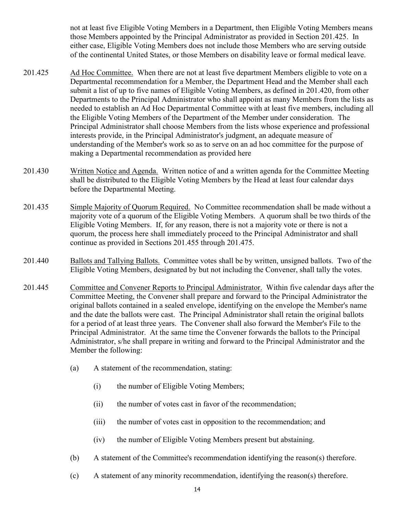not at least five Eligible Voting Members in a Department, then Eligible Voting Members means those Members appointed by the Principal Administrator as provided in Section 201.425. In either case, Eligible Voting Members does not include those Members who are serving outside of the continental United States, or those Members on disability leave or formal medical leave.

- 201.425 Ad Hoc Committee. When there are not at least five department Members eligible to vote on a Departmental recommendation for a Member, the Department Head and the Member shall each submit a list of up to five names of Eligible Voting Members, as defined in 201.420, from other Departments to the Principal Administrator who shall appoint as many Members from the lists as needed to establish an Ad Hoc Departmental Committee with at least five members, including all the Eligible Voting Members of the Department of the Member under consideration. The Principal Administrator shall choose Members from the lists whose experience and professional interests provide, in the Principal Administrator's judgment, an adequate measure of understanding of the Member's work so as to serve on an ad hoc committee for the purpose of making a Departmental recommendation as provided here
- 201.430 Written Notice and Agenda. Written notice of and a written agenda for the Committee Meeting shall be distributed to the Eligible Voting Members by the Head at least four calendar days before the Departmental Meeting.
- 201.435 Simple Majority of Quorum Required. No Committee recommendation shall be made without a majority vote of a quorum of the Eligible Voting Members. A quorum shall be two thirds of the Eligible Voting Members. If, for any reason, there is not a majority vote or there is not a quorum, the process here shall immediately proceed to the Principal Administrator and shall continue as provided in Sections 201.455 through 201.475.
- 201.440 Ballots and Tallying Ballots. Committee votes shall be by written, unsigned ballots. Two of the Eligible Voting Members, designated by but not including the Convener, shall tally the votes.
- 201.445 Committee and Convener Reports to Principal Administrator. Within five calendar days after the Committee Meeting, the Convener shall prepare and forward to the Principal Administrator the original ballots contained in a sealed envelope, identifying on the envelope the Member's name and the date the ballots were cast. The Principal Administrator shall retain the original ballots for a period of at least three years. The Convener shall also forward the Member's File to the Principal Administrator. At the same time the Convener forwards the ballots to the Principal Administrator, s/he shall prepare in writing and forward to the Principal Administrator and the Member the following:
	- (a) A statement of the recommendation, stating:
		- (i) the number of Eligible Voting Members;
		- (ii) the number of votes cast in favor of the recommendation;
		- (iii) the number of votes cast in opposition to the recommendation; and
		- (iv) the number of Eligible Voting Members present but abstaining.
	- (b) A statement of the Committee's recommendation identifying the reason(s) therefore.
	- (c) A statement of any minority recommendation, identifying the reason(s) therefore.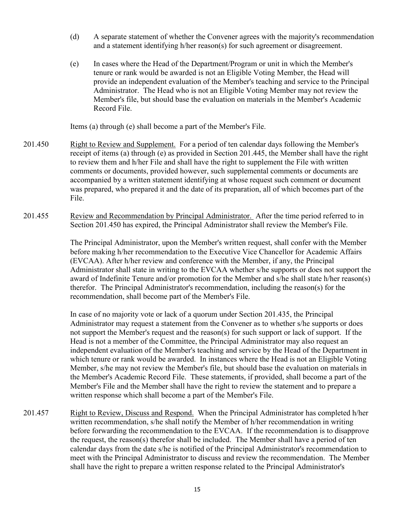- (d) A separate statement of whether the Convener agrees with the majority's recommendation and a statement identifying h/her reason(s) for such agreement or disagreement.
- (e) In cases where the Head of the Department/Program or unit in which the Member's tenure or rank would be awarded is not an Eligible Voting Member, the Head will provide an independent evaluation of the Member's teaching and service to the Principal Administrator. The Head who is not an Eligible Voting Member may not review the Member's file, but should base the evaluation on materials in the Member's Academic Record File.

Items (a) through (e) shall become a part of the Member's File.

- 201.450 Right to Review and Supplement. For a period of ten calendar days following the Member's receipt of items (a) through (e) as provided in Section 201.445, the Member shall have the right to review them and h/her File and shall have the right to supplement the File with written comments or documents, provided however, such supplemental comments or documents are accompanied by a written statement identifying at whose request such comment or document was prepared, who prepared it and the date of its preparation, all of which becomes part of the File.
- 201.455 Review and Recommendation by Principal Administrator. After the time period referred to in Section 201.450 has expired, the Principal Administrator shall review the Member's File.

The Principal Administrator, upon the Member's written request, shall confer with the Member before making h/her recommendation to the Executive Vice Chancellor for Academic Affairs (EVCAA). After h/her review and conference with the Member, if any, the Principal Administrator shall state in writing to the EVCAA whether s/he supports or does not support the award of Indefinite Tenure and/or promotion for the Member and s/he shall state h/her reason(s) therefor. The Principal Administrator's recommendation, including the reason(s) for the recommendation, shall become part of the Member's File.

In case of no majority vote or lack of a quorum under Section 201.435, the Principal Administrator may request a statement from the Convener as to whether s/he supports or does not support the Member's request and the reason(s) for such support or lack of support. If the Head is not a member of the Committee, the Principal Administrator may also request an independent evaluation of the Member's teaching and service by the Head of the Department in which tenure or rank would be awarded. In instances where the Head is not an Eligible Voting Member, s/he may not review the Member's file, but should base the evaluation on materials in the Member's Academic Record File. These statements, if provided, shall become a part of the Member's File and the Member shall have the right to review the statement and to prepare a written response which shall become a part of the Member's File.

201.457 Right to Review, Discuss and Respond. When the Principal Administrator has completed h/her written recommendation, s/he shall notify the Member of h/her recommendation in writing before forwarding the recommendation to the EVCAA. If the recommendation is to disapprove the request, the reason(s) therefor shall be included. The Member shall have a period of ten calendar days from the date s/he is notified of the Principal Administrator's recommendation to meet with the Principal Administrator to discuss and review the recommendation. The Member shall have the right to prepare a written response related to the Principal Administrator's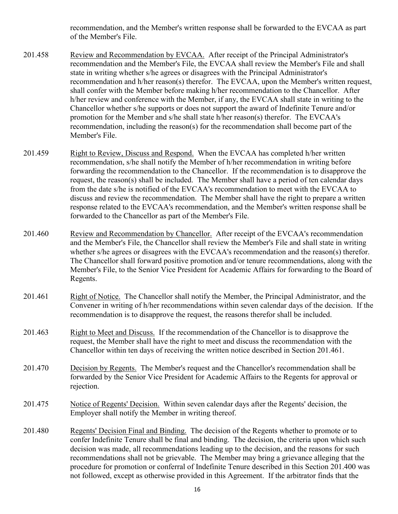recommendation, and the Member's written response shall be forwarded to the EVCAA as part of the Member's File.

- 201.458 Review and Recommendation by EVCAA. After receipt of the Principal Administrator's recommendation and the Member's File, the EVCAA shall review the Member's File and shall state in writing whether s/he agrees or disagrees with the Principal Administrator's recommendation and h/her reason(s) therefor. The EVCAA, upon the Member's written request, shall confer with the Member before making h/her recommendation to the Chancellor. After h/her review and conference with the Member, if any, the EVCAA shall state in writing to the Chancellor whether s/he supports or does not support the award of Indefinite Tenure and/or promotion for the Member and s/he shall state h/her reason(s) therefor. The EVCAA's recommendation, including the reason(s) for the recommendation shall become part of the Member's File.
- 201.459 Right to Review, Discuss and Respond. When the EVCAA has completed h/her written recommendation, s/he shall notify the Member of h/her recommendation in writing before forwarding the recommendation to the Chancellor. If the recommendation is to disapprove the request, the reason(s) shall be included. The Member shall have a period of ten calendar days from the date s/he is notified of the EVCAA's recommendation to meet with the EVCAA to discuss and review the recommendation. The Member shall have the right to prepare a written response related to the EVCAA's recommendation, and the Member's written response shall be forwarded to the Chancellor as part of the Member's File.
- 201.460 Review and Recommendation by Chancellor. After receipt of the EVCAA's recommendation and the Member's File, the Chancellor shall review the Member's File and shall state in writing whether s/he agrees or disagrees with the EVCAA's recommendation and the reason(s) therefor. The Chancellor shall forward positive promotion and/or tenure recommendations, along with the Member's File, to the Senior Vice President for Academic Affairs for forwarding to the Board of Regents.
- 201.461 Right of Notice. The Chancellor shall notify the Member, the Principal Administrator, and the Convener in writing of h/her recommendations within seven calendar days of the decision. If the recommendation is to disapprove the request, the reasons therefor shall be included.
- 201.463 Right to Meet and Discuss. If the recommendation of the Chancellor is to disapprove the request, the Member shall have the right to meet and discuss the recommendation with the Chancellor within ten days of receiving the written notice described in Section 201.461.
- 201.470 Decision by Regents. The Member's request and the Chancellor's recommendation shall be forwarded by the Senior Vice President for Academic Affairs to the Regents for approval or rejection.
- 201.475 Notice of Regents' Decision. Within seven calendar days after the Regents' decision, the Employer shall notify the Member in writing thereof.
- 201.480 Regents' Decision Final and Binding. The decision of the Regents whether to promote or to confer Indefinite Tenure shall be final and binding. The decision, the criteria upon which such decision was made, all recommendations leading up to the decision, and the reasons for such recommendations shall not be grievable. The Member may bring a grievance alleging that the procedure for promotion or conferral of Indefinite Tenure described in this Section 201.400 was not followed, except as otherwise provided in this Agreement. If the arbitrator finds that the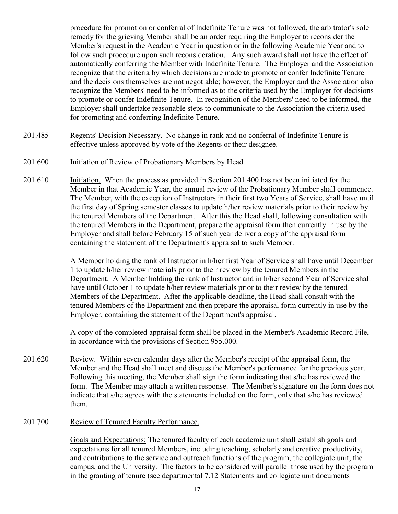procedure for promotion or conferral of Indefinite Tenure was not followed, the arbitrator's sole remedy for the grieving Member shall be an order requiring the Employer to reconsider the Member's request in the Academic Year in question or in the following Academic Year and to follow such procedure upon such reconsideration. Any such award shall not have the effect of automatically conferring the Member with Indefinite Tenure. The Employer and the Association recognize that the criteria by which decisions are made to promote or confer Indefinite Tenure and the decisions themselves are not negotiable; however, the Employer and the Association also recognize the Members' need to be informed as to the criteria used by the Employer for decisions to promote or confer Indefinite Tenure. In recognition of the Members' need to be informed, the Employer shall undertake reasonable steps to communicate to the Association the criteria used for promoting and conferring Indefinite Tenure.

- 201.485 Regents' Decision Necessary. No change in rank and no conferral of Indefinite Tenure is effective unless approved by vote of the Regents or their designee.
- 201.600 Initiation of Review of Probationary Members by Head.
- 201.610 Initiation. When the process as provided in Section 201.400 has not been initiated for the Member in that Academic Year, the annual review of the Probationary Member shall commence. The Member, with the exception of Instructors in their first two Years of Service, shall have until the first day of Spring semester classes to update h/her review materials prior to their review by the tenured Members of the Department. After this the Head shall, following consultation with the tenured Members in the Department, prepare the appraisal form then currently in use by the Employer and shall before February 15 of such year deliver a copy of the appraisal form containing the statement of the Department's appraisal to such Member.

A Member holding the rank of Instructor in h/her first Year of Service shall have until December 1 to update h/her review materials prior to their review by the tenured Members in the Department. A Member holding the rank of Instructor and in h/her second Year of Service shall have until October 1 to update h/her review materials prior to their review by the tenured Members of the Department. After the applicable deadline, the Head shall consult with the tenured Members of the Department and then prepare the appraisal form currently in use by the Employer, containing the statement of the Department's appraisal.

A copy of the completed appraisal form shall be placed in the Member's Academic Record File, in accordance with the provisions of Section 955.000.

- 201.620 Review. Within seven calendar days after the Member's receipt of the appraisal form, the Member and the Head shall meet and discuss the Member's performance for the previous year. Following this meeting, the Member shall sign the form indicating that s/he has reviewed the form. The Member may attach a written response. The Member's signature on the form does not indicate that s/he agrees with the statements included on the form, only that s/he has reviewed them.
- 201.700 Review of Tenured Faculty Performance.

Goals and Expectations: The tenured faculty of each academic unit shall establish goals and expectations for all tenured Members, including teaching, scholarly and creative productivity, and contributions to the service and outreach functions of the program, the collegiate unit, the campus, and the University. The factors to be considered will parallel those used by the program in the granting of tenure (see departmental 7.12 Statements and collegiate unit documents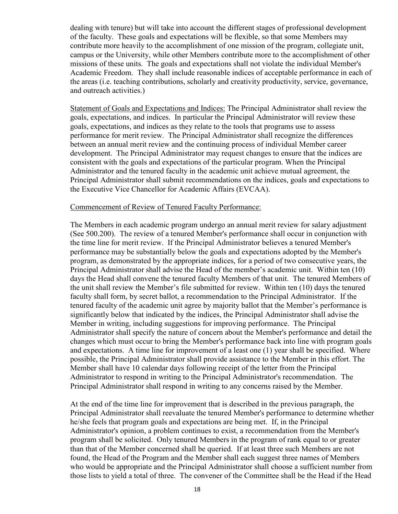dealing with tenure) but will take into account the different stages of professional development of the faculty. These goals and expectations will be flexible, so that some Members may contribute more heavily to the accomplishment of one mission of the program, collegiate unit, campus or the University, while other Members contribute more to the accomplishment of other missions of these units. The goals and expectations shall not violate the individual Member's Academic Freedom. They shall include reasonable indices of acceptable performance in each of the areas (i.e. teaching contributions, scholarly and creativity productivity, service, governance, and outreach activities.)

Statement of Goals and Expectations and Indices: The Principal Administrator shall review the goals, expectations, and indices. In particular the Principal Administrator will review these goals, expectations, and indices as they relate to the tools that programs use to assess performance for merit review. The Principal Administrator shall recognize the differences between an annual merit review and the continuing process of individual Member career development. The Principal Administrator may request changes to ensure that the indices are consistent with the goals and expectations of the particular program. When the Principal Administrator and the tenured faculty in the academic unit achieve mutual agreement, the Principal Administrator shall submit recommendations on the indices, goals and expectations to the Executive Vice Chancellor for Academic Affairs (EVCAA).

#### Commencement of Review of Tenured Faculty Performance:

The Members in each academic program undergo an annual merit review for salary adjustment (See 500.200). The review of a tenured Member's performance shall occur in conjunction with the time line for merit review. If the Principal Administrator believes a tenured Member's performance may be substantially below the goals and expectations adopted by the Member's program, as demonstrated by the appropriate indices, for a period of two consecutive years, the Principal Administrator shall advise the Head of the member's academic unit. Within ten (10) days the Head shall convene the tenured faculty Members of that unit. The tenured Members of the unit shall review the Member's file submitted for review. Within ten (10) days the tenured faculty shall form, by secret ballot, a recommendation to the Principal Administrator. If the tenured faculty of the academic unit agree by majority ballot that the Member's performance is significantly below that indicated by the indices, the Principal Administrator shall advise the Member in writing, including suggestions for improving performance. The Principal Administrator shall specify the nature of concern about the Member's performance and detail the changes which must occur to bring the Member's performance back into line with program goals and expectations. A time line for improvement of a least one (1) year shall be specified. Where possible, the Principal Administrator shall provide assistance to the Member in this effort. The Member shall have 10 calendar days following receipt of the letter from the Principal Administrator to respond in writing to the Principal Administrator's recommendation. The Principal Administrator shall respond in writing to any concerns raised by the Member.

At the end of the time line for improvement that is described in the previous paragraph, the Principal Administrator shall reevaluate the tenured Member's performance to determine whether he/she feels that program goals and expectations are being met. If, in the Principal Administrator's opinion, a problem continues to exist, a recommendation from the Member's program shall be solicited. Only tenured Members in the program of rank equal to or greater than that of the Member concerned shall be queried. If at least three such Members are not found, the Head of the Program and the Member shall each suggest three names of Members who would be appropriate and the Principal Administrator shall choose a sufficient number from those lists to yield a total of three. The convener of the Committee shall be the Head if the Head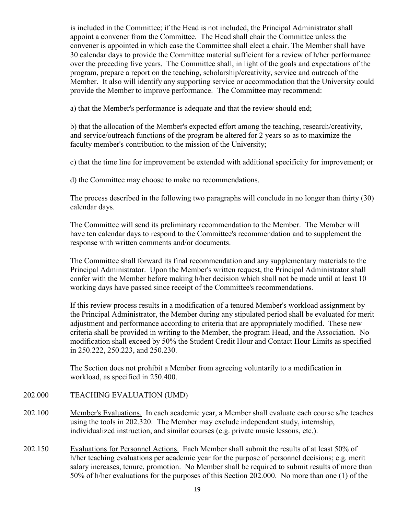is included in the Committee; if the Head is not included, the Principal Administrator shall appoint a convener from the Committee. The Head shall chair the Committee unless the convener is appointed in which case the Committee shall elect a chair. The Member shall have 30 calendar days to provide the Committee material sufficient for a review of h/her performance over the preceding five years. The Committee shall, in light of the goals and expectations of the program, prepare a report on the teaching, scholarship/creativity, service and outreach of the Member. It also will identify any supporting service or accommodation that the University could provide the Member to improve performance. The Committee may recommend:

a) that the Member's performance is adequate and that the review should end;

b) that the allocation of the Member's expected effort among the teaching, research/creativity, and service/outreach functions of the program be altered for 2 years so as to maximize the faculty member's contribution to the mission of the University;

c) that the time line for improvement be extended with additional specificity for improvement; or

d) the Committee may choose to make no recommendations.

The process described in the following two paragraphs will conclude in no longer than thirty (30) calendar days.

The Committee will send its preliminary recommendation to the Member. The Member will have ten calendar days to respond to the Committee's recommendation and to supplement the response with written comments and/or documents.

The Committee shall forward its final recommendation and any supplementary materials to the Principal Administrator. Upon the Member's written request, the Principal Administrator shall confer with the Member before making h/her decision which shall not be made until at least 10 working days have passed since receipt of the Committee's recommendations.

If this review process results in a modification of a tenured Member's workload assignment by the Principal Administrator, the Member during any stipulated period shall be evaluated for merit adjustment and performance according to criteria that are appropriately modified. These new criteria shall be provided in writing to the Member, the program Head, and the Association. No modification shall exceed by 50% the Student Credit Hour and Contact Hour Limits as specified in 250.222, 250.223, and 250.230.

The Section does not prohibit a Member from agreeing voluntarily to a modification in workload, as specified in 250.400.

# 202.000 TEACHING EVALUATION (UMD)

- 202.100 Member's Evaluations. In each academic year, a Member shall evaluate each course s/he teaches using the tools in 202.320. The Member may exclude independent study, internship, individualized instruction, and similar courses (e.g. private music lessons, etc.).
- 202.150 Evaluations for Personnel Actions. Each Member shall submit the results of at least 50% of h/her teaching evaluations per academic year for the purpose of personnel decisions; e.g. merit salary increases, tenure, promotion. No Member shall be required to submit results of more than 50% of h/her evaluations for the purposes of this Section 202.000. No more than one (1) of the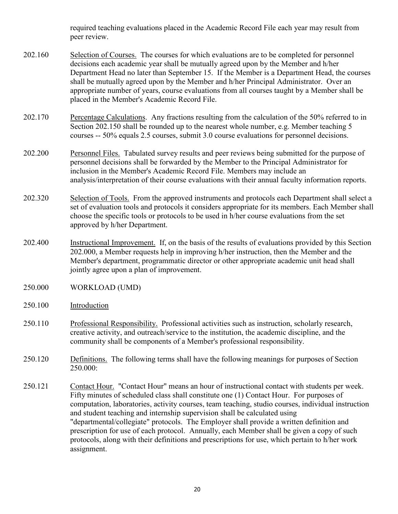required teaching evaluations placed in the Academic Record File each year may result from peer review.

- 202.160 Selection of Courses. The courses for which evaluations are to be completed for personnel decisions each academic year shall be mutually agreed upon by the Member and h/her Department Head no later than September 15. If the Member is a Department Head, the courses shall be mutually agreed upon by the Member and h/her Principal Administrator. Over an appropriate number of years, course evaluations from all courses taught by a Member shall be placed in the Member's Academic Record File.
- 202.170 Percentage Calculations. Any fractions resulting from the calculation of the 50% referred to in Section 202.150 shall be rounded up to the nearest whole number, e.g. Member teaching 5 courses -- 50% equals 2.5 courses, submit 3.0 course evaluations for personnel decisions.
- 202.200 Personnel Files. Tabulated survey results and peer reviews being submitted for the purpose of personnel decisions shall be forwarded by the Member to the Principal Administrator for inclusion in the Member's Academic Record File. Members may include an analysis/interpretation of their course evaluations with their annual faculty information reports.
- 202.320 Selection of Tools. From the approved instruments and protocols each Department shall select a set of evaluation tools and protocols it considers appropriate for its members. Each Member shall choose the specific tools or protocols to be used in h/her course evaluations from the set approved by h/her Department.
- 202.400 Instructional Improvement. If, on the basis of the results of evaluations provided by this Section 202.000, a Member requests help in improving h/her instruction, then the Member and the Member's department, programmatic director or other appropriate academic unit head shall jointly agree upon a plan of improvement.
- 250.000 WORKLOAD (UMD)
- 250.100 Introduction
- 250.110 Professional Responsibility. Professional activities such as instruction, scholarly research, creative activity, and outreach/service to the institution, the academic discipline, and the community shall be components of a Member's professional responsibility.
- 250.120 Definitions. The following terms shall have the following meanings for purposes of Section 250.000:
- 250.121 Contact Hour. "Contact Hour" means an hour of instructional contact with students per week. Fifty minutes of scheduled class shall constitute one (1) Contact Hour. For purposes of computation, laboratories, activity courses, team teaching, studio courses, individual instruction and student teaching and internship supervision shall be calculated using "departmental/collegiate" protocols. The Employer shall provide a written definition and prescription for use of each protocol. Annually, each Member shall be given a copy of such protocols, along with their definitions and prescriptions for use, which pertain to h/her work assignment.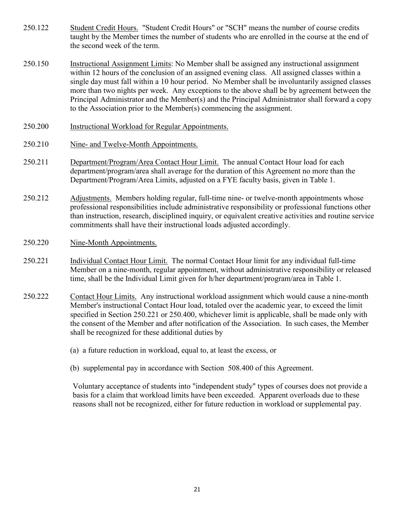- 250.122 Student Credit Hours. "Student Credit Hours" or "SCH" means the number of course credits taught by the Member times the number of students who are enrolled in the course at the end of the second week of the term.
- 250.150 Instructional Assignment Limits: No Member shall be assigned any instructional assignment within 12 hours of the conclusion of an assigned evening class. All assigned classes within a single day must fall within a 10 hour period. No Member shall be involuntarily assigned classes more than two nights per week. Any exceptions to the above shall be by agreement between the Principal Administrator and the Member(s) and the Principal Administrator shall forward a copy to the Association prior to the Member(s) commencing the assignment.
- 250.200 Instructional Workload for Regular Appointments.
- 250.210 Nine- and Twelve-Month Appointments.
- 250.211 Department/Program/Area Contact Hour Limit. The annual Contact Hour load for each department/program/area shall average for the duration of this Agreement no more than the Department/Program/Area Limits, adjusted on a FYE faculty basis, given in Table 1.
- 250.212 Adjustments. Members holding regular, full-time nine- or twelve-month appointments whose professional responsibilities include administrative responsibility or professional functions other than instruction, research, disciplined inquiry, or equivalent creative activities and routine service commitments shall have their instructional loads adjusted accordingly.
- 250.220 Nine-Month Appointments.
- 250.221 Individual Contact Hour Limit. The normal Contact Hour limit for any individual full-time Member on a nine-month, regular appointment, without administrative responsibility or released time, shall be the Individual Limit given for h/her department/program/area in Table 1.
- 250.222 Contact Hour Limits. Any instructional workload assignment which would cause a nine-month Member's instructional Contact Hour load, totaled over the academic year, to exceed the limit specified in Section 250.221 or 250.400, whichever limit is applicable, shall be made only with the consent of the Member and after notification of the Association. In such cases, the Member shall be recognized for these additional duties by
	- (a) a future reduction in workload, equal to, at least the excess, or
	- (b) supplemental pay in accordance with Section 508.400 of this Agreement.

 Voluntary acceptance of students into "independent study" types of courses does not provide a basis for a claim that workload limits have been exceeded. Apparent overloads due to these reasons shall not be recognized, either for future reduction in workload or supplemental pay.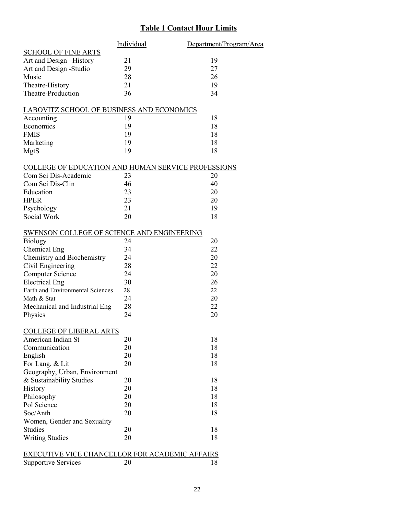# **Table 1 Contact Hour Limits**

|                                                       | Individual | Department/Program/Area |
|-------------------------------------------------------|------------|-------------------------|
| <b>SCHOOL OF FINE ARTS</b>                            |            |                         |
| Art and Design-History                                | 21         | 19                      |
| Art and Design -Studio                                | 29         | 27                      |
| Music                                                 | 28         | 26                      |
| Theatre-History                                       | 21         | 19                      |
| Theatre-Production                                    | 36         | 34                      |
| <b>LABOVITZ SCHOOL OF BUSINESS AND ECONOMICS</b>      |            |                         |
| Accounting                                            | 19         | 18                      |
| Economics                                             | 19         | 18                      |
| <b>FMIS</b>                                           | 19         | 18                      |
| Marketing                                             | 19         | 18                      |
| MgtS                                                  | 19         | 18                      |
| COLLEGE OF EDUCATION AND HUMAN SERVICE PROFESSIONS    |            |                         |
| Com Sci Dis-Academic                                  | 23         | 20                      |
| Com Sci Dis-Clin                                      | 46         | 40                      |
| Education                                             | 23         | 20                      |
| <b>HPER</b>                                           | 23         | 20                      |
| Psychology                                            | 21         | 19                      |
| Social Work                                           | 20         | 18                      |
| SWENSON COLLEGE OF SCIENCE AND ENGINEERING            |            |                         |
| <b>Biology</b>                                        | 24         | 20                      |
| Chemical Eng                                          | 34         | 22                      |
| Chemistry and Biochemistry                            | 24         | 20                      |
| Civil Engineering                                     | 28         | 22                      |
| <b>Computer Science</b>                               | 24         | 20                      |
| <b>Electrical Eng</b>                                 | 30         | 26                      |
| Earth and Environmental Sciences                      | 28         | 22                      |
| Math & Stat                                           | 24         | 20                      |
| Mechanical and Industrial Eng                         | 28         | 22                      |
| Physics                                               | 24         | 20                      |
| <b>COLLEGE OF LIBERAL ARTS</b>                        |            |                         |
| American Indian St                                    | 20         | 18                      |
| Communication                                         | 20         | 18                      |
| English                                               | 20         | 18                      |
| For Lang. & Lit                                       | 20         | 18                      |
| Geography, Urban, Environment                         |            |                         |
| & Sustainability Studies                              | 20         | 18                      |
| History                                               | 20         | 18                      |
| Philosophy                                            | 20         | 18                      |
| Pol Science                                           | 20         | 18                      |
| Soc/Anth                                              | 20         | 18                      |
| Women, Gender and Sexuality                           |            |                         |
| <b>Studies</b>                                        | 20         | 18                      |
| <b>Writing Studies</b>                                | 20         | 18                      |
|                                                       |            |                         |
| <b>EXECUTIVE VICE CHANCELLOR FOR ACADEMIC AFFAIRS</b> |            |                         |
| <b>Supportive Services</b>                            | 20         | 18                      |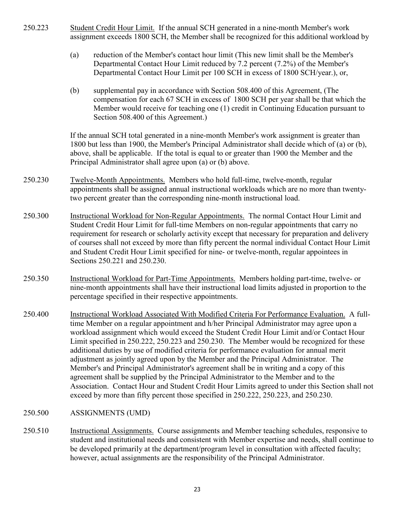- 250.223 Student Credit Hour Limit. If the annual SCH generated in a nine-month Member's work assignment exceeds 1800 SCH, the Member shall be recognized for this additional workload by
	- (a) reduction of the Member's contact hour limit (This new limit shall be the Member's Departmental Contact Hour Limit reduced by 7.2 percent (7.2%) of the Member's Departmental Contact Hour Limit per 100 SCH in excess of 1800 SCH/year.), or,
	- (b) supplemental pay in accordance with Section 508.400 of this Agreement, (The compensation for each 67 SCH in excess of 1800 SCH per year shall be that which the Member would receive for teaching one (1) credit in Continuing Education pursuant to Section 508.400 of this Agreement.)

If the annual SCH total generated in a nine-month Member's work assignment is greater than 1800 but less than 1900, the Member's Principal Administrator shall decide which of (a) or (b), above, shall be applicable. If the total is equal to or greater than 1900 the Member and the Principal Administrator shall agree upon (a) or (b) above.

- 250.230 Twelve-Month Appointments. Members who hold full-time, twelve-month, regular appointments shall be assigned annual instructional workloads which are no more than twentytwo percent greater than the corresponding nine-month instructional load.
- 250.300 Instructional Workload for Non-Regular Appointments. The normal Contact Hour Limit and Student Credit Hour Limit for full-time Members on non-regular appointments that carry no requirement for research or scholarly activity except that necessary for preparation and delivery of courses shall not exceed by more than fifty percent the normal individual Contact Hour Limit and Student Credit Hour Limit specified for nine- or twelve-month, regular appointees in Sections 250.221 and 250.230.
- 250.350 Instructional Workload for Part-Time Appointments. Members holding part-time, twelve- or nine-month appointments shall have their instructional load limits adjusted in proportion to the percentage specified in their respective appointments.
- 250.400 Instructional Workload Associated With Modified Criteria For Performance Evaluation. A fulltime Member on a regular appointment and h/her Principal Administrator may agree upon a workload assignment which would exceed the Student Credit Hour Limit and/or Contact Hour Limit specified in 250.222, 250.223 and 250.230. The Member would be recognized for these additional duties by use of modified criteria for performance evaluation for annual merit adjustment as jointly agreed upon by the Member and the Principal Administrator. The Member's and Principal Administrator's agreement shall be in writing and a copy of this agreement shall be supplied by the Principal Administrator to the Member and to the Association. Contact Hour and Student Credit Hour Limits agreed to under this Section shall not exceed by more than fifty percent those specified in 250.222, 250.223, and 250.230.

# 250.500 ASSIGNMENTS (UMD)

250.510 Instructional Assignments. Course assignments and Member teaching schedules, responsive to student and institutional needs and consistent with Member expertise and needs, shall continue to be developed primarily at the department/program level in consultation with affected faculty; however, actual assignments are the responsibility of the Principal Administrator.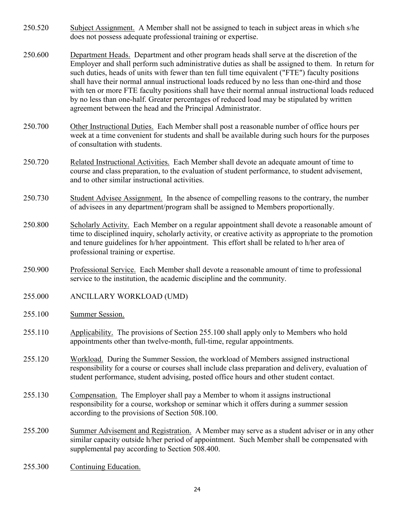- 250.520 Subject Assignment. A Member shall not be assigned to teach in subject areas in which s/he does not possess adequate professional training or expertise.
- 250.600 Department Heads. Department and other program heads shall serve at the discretion of the Employer and shall perform such administrative duties as shall be assigned to them. In return for such duties, heads of units with fewer than ten full time equivalent ("FTE") faculty positions shall have their normal annual instructional loads reduced by no less than one-third and those with ten or more FTE faculty positions shall have their normal annual instructional loads reduced by no less than one-half. Greater percentages of reduced load may be stipulated by written agreement between the head and the Principal Administrator.
- 250.700 Other Instructional Duties. Each Member shall post a reasonable number of office hours per week at a time convenient for students and shall be available during such hours for the purposes of consultation with students.
- 250.720 Related Instructional Activities. Each Member shall devote an adequate amount of time to course and class preparation, to the evaluation of student performance, to student advisement, and to other similar instructional activities.
- 250.730 Student Advisee Assignment. In the absence of compelling reasons to the contrary, the number of advisees in any department/program shall be assigned to Members proportionally.
- 250.800 Scholarly Activity. Each Member on a regular appointment shall devote a reasonable amount of time to disciplined inquiry, scholarly activity, or creative activity as appropriate to the promotion and tenure guidelines for h/her appointment. This effort shall be related to h/her area of professional training or expertise.
- 250.900 Professional Service. Each Member shall devote a reasonable amount of time to professional service to the institution, the academic discipline and the community.
- 255.000 ANCILLARY WORKLOAD (UMD)
- 255.100 Summer Session.
- 255.110 Applicability. The provisions of Section 255.100 shall apply only to Members who hold appointments other than twelve-month, full-time, regular appointments.
- 255.120 Workload. During the Summer Session, the workload of Members assigned instructional responsibility for a course or courses shall include class preparation and delivery, evaluation of student performance, student advising, posted office hours and other student contact.
- 255.130 Compensation. The Employer shall pay a Member to whom it assigns instructional responsibility for a course, workshop or seminar which it offers during a summer session according to the provisions of Section 508.100.
- 255.200 Summer Advisement and Registration. A Member may serve as a student adviser or in any other similar capacity outside h/her period of appointment. Such Member shall be compensated with supplemental pay according to Section 508.400.
- 255.300 Continuing Education.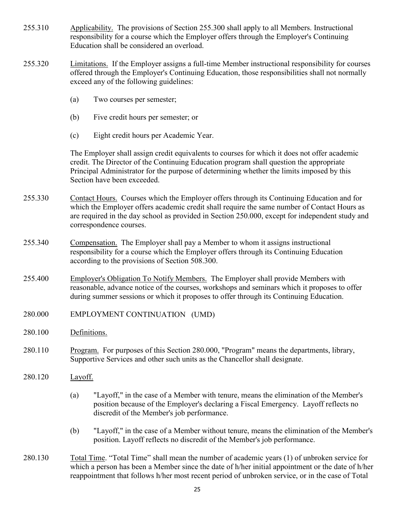- 255.310 Applicability. The provisions of Section 255.300 shall apply to all Members. Instructional responsibility for a course which the Employer offers through the Employer's Continuing Education shall be considered an overload.
- 255.320 Limitations. If the Employer assigns a full-time Member instructional responsibility for courses offered through the Employer's Continuing Education, those responsibilities shall not normally exceed any of the following guidelines:
	- (a) Two courses per semester;
	- (b) Five credit hours per semester; or
	- (c) Eight credit hours per Academic Year.

The Employer shall assign credit equivalents to courses for which it does not offer academic credit. The Director of the Continuing Education program shall question the appropriate Principal Administrator for the purpose of determining whether the limits imposed by this Section have been exceeded.

- 255.330 Contact Hours. Courses which the Employer offers through its Continuing Education and for which the Employer offers academic credit shall require the same number of Contact Hours as are required in the day school as provided in Section 250.000, except for independent study and correspondence courses.
- 255.340 Compensation. The Employer shall pay a Member to whom it assigns instructional responsibility for a course which the Employer offers through its Continuing Education according to the provisions of Section 508.300.
- 255.400 Employer's Obligation To Notify Members. The Employer shall provide Members with reasonable, advance notice of the courses, workshops and seminars which it proposes to offer during summer sessions or which it proposes to offer through its Continuing Education.
- 280.000 EMPLOYMENT CONTINUATION (UMD)
- 280.100 Definitions.
- 280.110 Program. For purposes of this Section 280.000, "Program" means the departments, library, Supportive Services and other such units as the Chancellor shall designate.
- 280.120 Layoff.
	- (a) "Layoff," in the case of a Member with tenure, means the elimination of the Member's position because of the Employer's declaring a Fiscal Emergency. Layoff reflects no discredit of the Member's job performance.
	- (b) "Layoff," in the case of a Member without tenure, means the elimination of the Member's position. Layoff reflects no discredit of the Member's job performance.
- 280.130 Total Time. "Total Time" shall mean the number of academic years (1) of unbroken service for which a person has been a Member since the date of h/her initial appointment or the date of h/her reappointment that follows h/her most recent period of unbroken service, or in the case of Total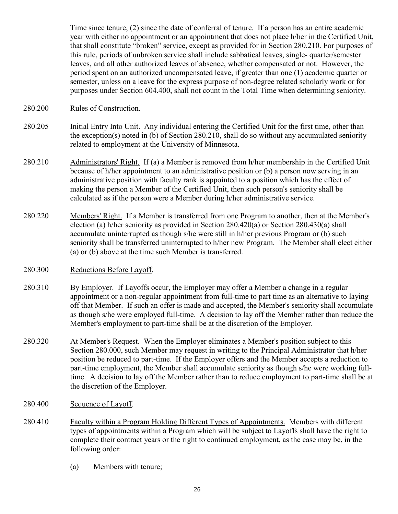Time since tenure, (2) since the date of conferral of tenure. If a person has an entire academic year with either no appointment or an appointment that does not place h/her in the Certified Unit, that shall constitute "broken" service, except as provided for in Section 280.210. For purposes of this rule, periods of unbroken service shall include sabbatical leaves, single- quarter/semester leaves, and all other authorized leaves of absence, whether compensated or not. However, the period spent on an authorized uncompensated leave, if greater than one (1) academic quarter or semester, unless on a leave for the express purpose of non-degree related scholarly work or for purposes under Section 604.400, shall not count in the Total Time when determining seniority.

- 280.200 Rules of Construction.
- 280.205 Initial Entry Into Unit. Any individual entering the Certified Unit for the first time, other than the exception(s) noted in (b) of Section 280.210, shall do so without any accumulated seniority related to employment at the University of Minnesota.
- 280.210 Administrators' Right. If (a) a Member is removed from h/her membership in the Certified Unit because of h/her appointment to an administrative position or (b) a person now serving in an administrative position with faculty rank is appointed to a position which has the effect of making the person a Member of the Certified Unit, then such person's seniority shall be calculated as if the person were a Member during h/her administrative service.
- 280.220 Members' Right. If a Member is transferred from one Program to another, then at the Member's election (a) h/her seniority as provided in Section 280.420(a) or Section 280.430(a) shall accumulate uninterrupted as though s/he were still in h/her previous Program or (b) such seniority shall be transferred uninterrupted to h/her new Program. The Member shall elect either (a) or (b) above at the time such Member is transferred.
- 280.300 Reductions Before Layoff.
- 280.310 By Employer. If Layoffs occur, the Employer may offer a Member a change in a regular appointment or a non-regular appointment from full-time to part time as an alternative to laying off that Member. If such an offer is made and accepted, the Member's seniority shall accumulate as though s/he were employed full-time. A decision to lay off the Member rather than reduce the Member's employment to part-time shall be at the discretion of the Employer.
- 280.320 At Member's Request. When the Employer eliminates a Member's position subject to this Section 280.000, such Member may request in writing to the Principal Administrator that h/her position be reduced to part-time. If the Employer offers and the Member accepts a reduction to part-time employment, the Member shall accumulate seniority as though s/he were working fulltime. A decision to lay off the Member rather than to reduce employment to part-time shall be at the discretion of the Employer.
- 280.400 Sequence of Layoff.
- 280.410 Faculty within a Program Holding Different Types of Appointments. Members with different types of appointments within a Program which will be subject to Layoffs shall have the right to complete their contract years or the right to continued employment, as the case may be, in the following order:
	- (a) Members with tenure;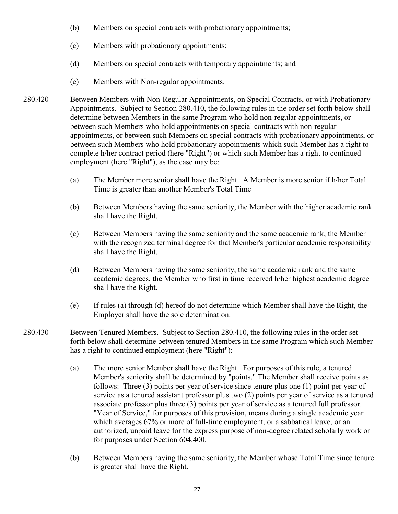- (b) Members on special contracts with probationary appointments;
- (c) Members with probationary appointments;
- (d) Members on special contracts with temporary appointments; and
- (e) Members with Non-regular appointments.
- 280.420 Between Members with Non-Regular Appointments, on Special Contracts, or with Probationary Appointments. Subject to Section 280.410, the following rules in the order set forth below shall determine between Members in the same Program who hold non-regular appointments, or between such Members who hold appointments on special contracts with non-regular appointments, or between such Members on special contracts with probationary appointments, or between such Members who hold probationary appointments which such Member has a right to complete h/her contract period (here "Right") or which such Member has a right to continued employment (here "Right"), as the case may be:
	- (a) The Member more senior shall have the Right. A Member is more senior if h/her Total Time is greater than another Member's Total Time
	- (b) Between Members having the same seniority, the Member with the higher academic rank shall have the Right.
	- (c) Between Members having the same seniority and the same academic rank, the Member with the recognized terminal degree for that Member's particular academic responsibility shall have the Right.
	- (d) Between Members having the same seniority, the same academic rank and the same academic degrees, the Member who first in time received h/her highest academic degree shall have the Right.
	- (e) If rules (a) through (d) hereof do not determine which Member shall have the Right, the Employer shall have the sole determination.
- 280.430 Between Tenured Members. Subject to Section 280.410, the following rules in the order set forth below shall determine between tenured Members in the same Program which such Member has a right to continued employment (here "Right"):
	- (a) The more senior Member shall have the Right. For purposes of this rule, a tenured Member's seniority shall be determined by "points." The Member shall receive points as follows: Three (3) points per year of service since tenure plus one (1) point per year of service as a tenured assistant professor plus two (2) points per year of service as a tenured associate professor plus three (3) points per year of service as a tenured full professor. "Year of Service," for purposes of this provision, means during a single academic year which averages 67% or more of full-time employment, or a sabbatical leave, or an authorized, unpaid leave for the express purpose of non-degree related scholarly work or for purposes under Section 604.400.
	- (b) Between Members having the same seniority, the Member whose Total Time since tenure is greater shall have the Right.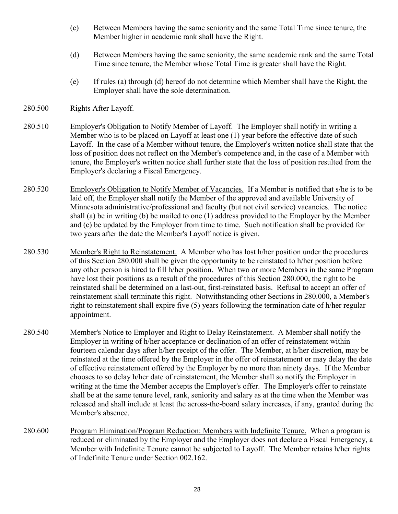- (c) Between Members having the same seniority and the same Total Time since tenure, the Member higher in academic rank shall have the Right.
- (d) Between Members having the same seniority, the same academic rank and the same Total Time since tenure, the Member whose Total Time is greater shall have the Right.
- (e) If rules (a) through (d) hereof do not determine which Member shall have the Right, the Employer shall have the sole determination.

## 280.500 Rights After Layoff.

- 280.510 Employer's Obligation to Notify Member of Layoff. The Employer shall notify in writing a Member who is to be placed on Layoff at least one (1) year before the effective date of such Layoff. In the case of a Member without tenure, the Employer's written notice shall state that the loss of position does not reflect on the Member's competence and, in the case of a Member with tenure, the Employer's written notice shall further state that the loss of position resulted from the Employer's declaring a Fiscal Emergency.
- 280.520 Employer's Obligation to Notify Member of Vacancies. If a Member is notified that s/he is to be laid off, the Employer shall notify the Member of the approved and available University of Minnesota administrative/professional and faculty (but not civil service) vacancies. The notice shall (a) be in writing (b) be mailed to one (1) address provided to the Employer by the Member and (c) be updated by the Employer from time to time. Such notification shall be provided for two years after the date the Member's Layoff notice is given.
- 280.530 Member's Right to Reinstatement. A Member who has lost h/her position under the procedures of this Section 280.000 shall be given the opportunity to be reinstated to h/her position before any other person is hired to fill h/her position. When two or more Members in the same Program have lost their positions as a result of the procedures of this Section 280.000, the right to be reinstated shall be determined on a last-out, first-reinstated basis. Refusal to accept an offer of reinstatement shall terminate this right. Notwithstanding other Sections in 280.000, a Member's right to reinstatement shall expire five (5) years following the termination date of h/her regular appointment.
- 280.540 Member's Notice to Employer and Right to Delay Reinstatement. A Member shall notify the Employer in writing of h/her acceptance or declination of an offer of reinstatement within fourteen calendar days after h/her receipt of the offer. The Member, at h/her discretion, may be reinstated at the time offered by the Employer in the offer of reinstatement or may delay the date of effective reinstatement offered by the Employer by no more than ninety days. If the Member chooses to so delay h/her date of reinstatement, the Member shall so notify the Employer in writing at the time the Member accepts the Employer's offer. The Employer's offer to reinstate shall be at the same tenure level, rank, seniority and salary as at the time when the Member was released and shall include at least the across-the-board salary increases, if any, granted during the Member's absence.
- 280.600 Program Elimination/Program Reduction: Members with Indefinite Tenure. When a program is reduced or eliminated by the Employer and the Employer does not declare a Fiscal Emergency, a Member with Indefinite Tenure cannot be subjected to Layoff. The Member retains h/her rights of Indefinite Tenure under Section 002.162.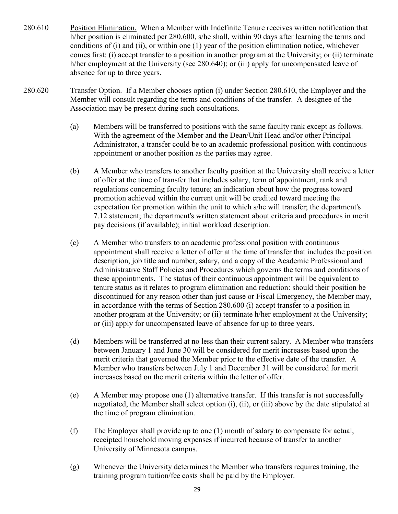- 280.610 Position Elimination. When a Member with Indefinite Tenure receives written notification that h/her position is eliminated per 280.600, s/he shall, within 90 days after learning the terms and conditions of (i) and (ii), or within one (1) year of the position elimination notice, whichever comes first: (i) accept transfer to a position in another program at the University; or (ii) terminate h/her employment at the University (see 280.640); or (iii) apply for uncompensated leave of absence for up to three years.
- 280.620 Transfer Option. If a Member chooses option (i) under Section 280.610, the Employer and the Member will consult regarding the terms and conditions of the transfer. A designee of the Association may be present during such consultations.
	- (a) Members will be transferred to positions with the same faculty rank except as follows. With the agreement of the Member and the Dean/Unit Head and/or other Principal Administrator, a transfer could be to an academic professional position with continuous appointment or another position as the parties may agree.
	- (b) A Member who transfers to another faculty position at the University shall receive a letter of offer at the time of transfer that includes salary, term of appointment, rank and regulations concerning faculty tenure; an indication about how the progress toward promotion achieved within the current unit will be credited toward meeting the expectation for promotion within the unit to which s/he will transfer; the department's 7.12 statement; the department's written statement about criteria and procedures in merit pay decisions (if available); initial workload description.
	- (c) A Member who transfers to an academic professional position with continuous appointment shall receive a letter of offer at the time of transfer that includes the position description, job title and number, salary, and a copy of the Academic Professional and Administrative Staff Policies and Procedures which governs the terms and conditions of these appointments. The status of their continuous appointment will be equivalent to tenure status as it relates to program elimination and reduction: should their position be discontinued for any reason other than just cause or Fiscal Emergency, the Member may, in accordance with the terms of Section 280.600 (i) accept transfer to a position in another program at the University; or (ii) terminate h/her employment at the University; or (iii) apply for uncompensated leave of absence for up to three years.
	- (d) Members will be transferred at no less than their current salary. A Member who transfers between January 1 and June 30 will be considered for merit increases based upon the merit criteria that governed the Member prior to the effective date of the transfer. A Member who transfers between July 1 and December 31 will be considered for merit increases based on the merit criteria within the letter of offer.
	- (e) A Member may propose one (1) alternative transfer. If this transfer is not successfully negotiated, the Member shall select option (i), (ii), or (iii) above by the date stipulated at the time of program elimination.
	- (f) The Employer shall provide up to one (1) month of salary to compensate for actual, receipted household moving expenses if incurred because of transfer to another University of Minnesota campus.
	- (g) Whenever the University determines the Member who transfers requires training, the training program tuition/fee costs shall be paid by the Employer.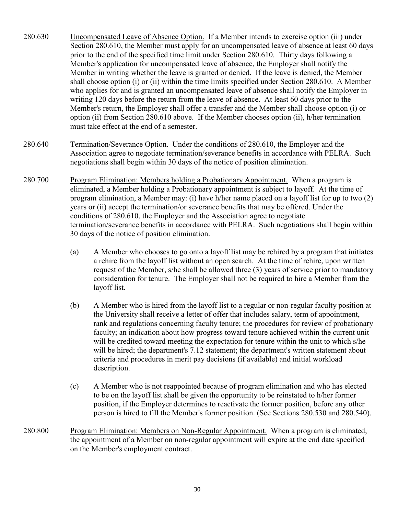- 280.630 Uncompensated Leave of Absence Option. If a Member intends to exercise option (iii) under Section 280.610, the Member must apply for an uncompensated leave of absence at least 60 days prior to the end of the specified time limit under Section 280.610. Thirty days following a Member's application for uncompensated leave of absence, the Employer shall notify the Member in writing whether the leave is granted or denied. If the leave is denied, the Member shall choose option (i) or (ii) within the time limits specified under Section 280.610. A Member who applies for and is granted an uncompensated leave of absence shall notify the Employer in writing 120 days before the return from the leave of absence. At least 60 days prior to the Member's return, the Employer shall offer a transfer and the Member shall choose option (i) or option (ii) from Section 280.610 above. If the Member chooses option (ii), h/her termination must take effect at the end of a semester.
- 280.640 Termination/Severance Option. Under the conditions of 280.610, the Employer and the Association agree to negotiate termination/severance benefits in accordance with PELRA. Such negotiations shall begin within 30 days of the notice of position elimination.
- 280.700 Program Elimination: Members holding a Probationary Appointment. When a program is eliminated, a Member holding a Probationary appointment is subject to layoff. At the time of program elimination, a Member may: (i) have h/her name placed on a layoff list for up to two (2) years or (ii) accept the termination/or severance benefits that may be offered. Under the conditions of 280.610, the Employer and the Association agree to negotiate termination/severance benefits in accordance with PELRA. Such negotiations shall begin within 30 days of the notice of position elimination.
	- (a) A Member who chooses to go onto a layoff list may be rehired by a program that initiates a rehire from the layoff list without an open search. At the time of rehire, upon written request of the Member, s/he shall be allowed three (3) years of service prior to mandatory consideration for tenure. The Employer shall not be required to hire a Member from the layoff list.
	- (b) A Member who is hired from the layoff list to a regular or non-regular faculty position at the University shall receive a letter of offer that includes salary, term of appointment, rank and regulations concerning faculty tenure; the procedures for review of probationary faculty; an indication about how progress toward tenure achieved within the current unit will be credited toward meeting the expectation for tenure within the unit to which s/he will be hired; the department's 7.12 statement; the department's written statement about criteria and procedures in merit pay decisions (if available) and initial workload description.
	- (c) A Member who is not reappointed because of program elimination and who has elected to be on the layoff list shall be given the opportunity to be reinstated to h/her former position, if the Employer determines to reactivate the former position, before any other person is hired to fill the Member's former position. (See Sections 280.530 and 280.540).
- 280.800 Program Elimination: Members on Non-Regular Appointment. When a program is eliminated, the appointment of a Member on non-regular appointment will expire at the end date specified on the Member's employment contract.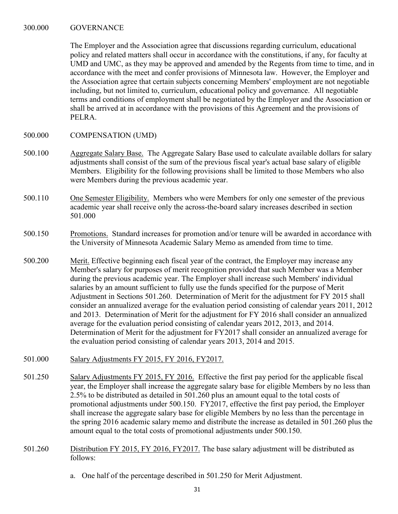### 300.000 GOVERNANCE

The Employer and the Association agree that discussions regarding curriculum, educational policy and related matters shall occur in accordance with the constitutions, if any, for faculty at UMD and UMC, as they may be approved and amended by the Regents from time to time, and in accordance with the meet and confer provisions of Minnesota law. However, the Employer and the Association agree that certain subjects concerning Members' employment are not negotiable including, but not limited to, curriculum, educational policy and governance. All negotiable terms and conditions of employment shall be negotiated by the Employer and the Association or shall be arrived at in accordance with the provisions of this Agreement and the provisions of PELRA.

- 500.000 COMPENSATION (UMD)
- 500.100 Aggregate Salary Base. The Aggregate Salary Base used to calculate available dollars for salary adjustments shall consist of the sum of the previous fiscal year's actual base salary of eligible Members. Eligibility for the following provisions shall be limited to those Members who also were Members during the previous academic year.
- 500.110 One Semester Eligibility. Members who were Members for only one semester of the previous academic year shall receive only the across-the-board salary increases described in section 501.000
- 500.150 Promotions. Standard increases for promotion and/or tenure will be awarded in accordance with the University of Minnesota Academic Salary Memo as amended from time to time.
- 500.200 Merit. Effective beginning each fiscal year of the contract, the Employer may increase any Member's salary for purposes of merit recognition provided that such Member was a Member during the previous academic year. The Employer shall increase such Members' individual salaries by an amount sufficient to fully use the funds specified for the purpose of Merit Adjustment in Sections 501.260. Determination of Merit for the adjustment for FY 2015 shall consider an annualized average for the evaluation period consisting of calendar years 2011, 2012 and 2013. Determination of Merit for the adjustment for FY 2016 shall consider an annualized average for the evaluation period consisting of calendar years 2012, 2013, and 2014. Determination of Merit for the adjustment for FY2017 shall consider an annualized average for the evaluation period consisting of calendar years 2013, 2014 and 2015.
- 501.000 Salary Adjustments FY 2015, FY 2016, FY2017.
- 501.250 Salary Adjustments FY 2015, FY 2016. Effective the first pay period for the applicable fiscal year, the Employer shall increase the aggregate salary base for eligible Members by no less than 2.5% to be distributed as detailed in 501.260 plus an amount equal to the total costs of promotional adjustments under 500.150. FY2017, effective the first pay period, the Employer shall increase the aggregate salary base for eligible Members by no less than the percentage in the spring 2016 academic salary memo and distribute the increase as detailed in 501.260 plus the amount equal to the total costs of promotional adjustments under 500.150.
- 501.260 Distribution FY 2015, FY 2016, FY2017. The base salary adjustment will be distributed as follows:
	- a. One half of the percentage described in 501.250 for Merit Adjustment.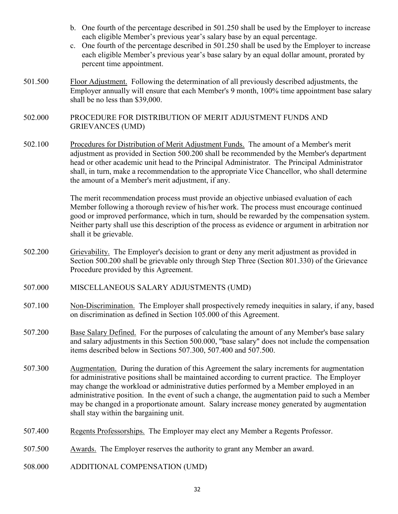- b. One fourth of the percentage described in 501.250 shall be used by the Employer to increase each eligible Member's previous year's salary base by an equal percentage.
- c. One fourth of the percentage described in 501.250 shall be used by the Employer to increase each eligible Member's previous year's base salary by an equal dollar amount, prorated by percent time appointment.
- 501.500 Floor Adjustment. Following the determination of all previously described adjustments, the Employer annually will ensure that each Member's 9 month, 100% time appointment base salary shall be no less than \$39,000.
- 502.000 PROCEDURE FOR DISTRIBUTION OF MERIT ADJUSTMENT FUNDS AND GRIEVANCES (UMD)
- 502.100 Procedures for Distribution of Merit Adjustment Funds. The amount of a Member's merit adjustment as provided in Section 500.200 shall be recommended by the Member's department head or other academic unit head to the Principal Administrator. The Principal Administrator shall, in turn, make a recommendation to the appropriate Vice Chancellor, who shall determine the amount of a Member's merit adjustment, if any.

The merit recommendation process must provide an objective unbiased evaluation of each Member following a thorough review of his/her work. The process must encourage continued good or improved performance, which in turn, should be rewarded by the compensation system. Neither party shall use this description of the process as evidence or argument in arbitration nor shall it be grievable.

- 502.200 Grievability. The Employer's decision to grant or deny any merit adjustment as provided in Section 500.200 shall be grievable only through Step Three (Section 801.330) of the Grievance Procedure provided by this Agreement.
- 507.000 MISCELLANEOUS SALARY ADJUSTMENTS (UMD)
- 507.100 Non-Discrimination. The Employer shall prospectively remedy inequities in salary, if any, based on discrimination as defined in Section 105.000 of this Agreement.
- 507.200 Base Salary Defined. For the purposes of calculating the amount of any Member's base salary and salary adjustments in this Section 500.000, "base salary" does not include the compensation items described below in Sections 507.300, 507.400 and 507.500.
- 507.300 Augmentation. During the duration of this Agreement the salary increments for augmentation for administrative positions shall be maintained according to current practice. The Employer may change the workload or administrative duties performed by a Member employed in an administrative position. In the event of such a change, the augmentation paid to such a Member may be changed in a proportionate amount. Salary increase money generated by augmentation shall stay within the bargaining unit.
- 507.400 Regents Professorships. The Employer may elect any Member a Regents Professor.
- 507.500 Awards. The Employer reserves the authority to grant any Member an award.
- 508.000 ADDITIONAL COMPENSATION (UMD)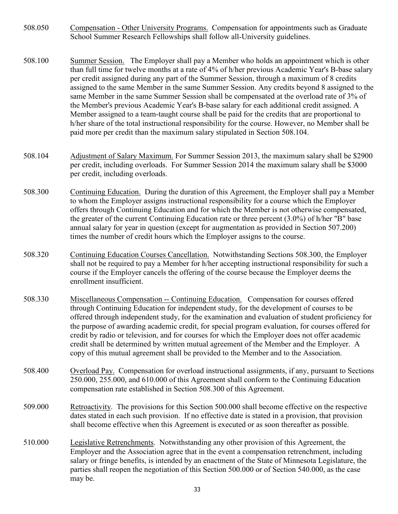- 508.050 Compensation Other University Programs. Compensation for appointments such as Graduate School Summer Research Fellowships shall follow all-University guidelines.
- 508.100 Summer Session. The Employer shall pay a Member who holds an appointment which is other than full time for twelve months at a rate of 4% of h/her previous Academic Year's B-base salary per credit assigned during any part of the Summer Session, through a maximum of 8 credits assigned to the same Member in the same Summer Session. Any credits beyond 8 assigned to the same Member in the same Summer Session shall be compensated at the overload rate of 3% of the Member's previous Academic Year's B-base salary for each additional credit assigned. A Member assigned to a team-taught course shall be paid for the credits that are proportional to h/her share of the total instructional responsibility for the course. However, no Member shall be paid more per credit than the maximum salary stipulated in Section 508.104.
- 508.104 Adjustment of Salary Maximum. For Summer Session 2013, the maximum salary shall be \$2900 per credit, including overloads. For Summer Session 2014 the maximum salary shall be \$3000 per credit, including overloads.
- 508.300 Continuing Education. During the duration of this Agreement, the Employer shall pay a Member to whom the Employer assigns instructional responsibility for a course which the Employer offers through Continuing Education and for which the Member is not otherwise compensated, the greater of the current Continuing Education rate or three percent (3.0%) of h/her "B" base annual salary for year in question (except for augmentation as provided in Section 507.200) times the number of credit hours which the Employer assigns to the course.
- 508.320 Continuing Education Courses Cancellation. Notwithstanding Sections 508.300, the Employer shall not be required to pay a Member for h/her accepting instructional responsibility for such a course if the Employer cancels the offering of the course because the Employer deems the enrollment insufficient.
- 508.330 Miscellaneous Compensation -- Continuing Education. Compensation for courses offered through Continuing Education for independent study, for the development of courses to be offered through independent study, for the examination and evaluation of student proficiency for the purpose of awarding academic credit, for special program evaluation, for courses offered for credit by radio or television, and for courses for which the Employer does not offer academic credit shall be determined by written mutual agreement of the Member and the Employer. A copy of this mutual agreement shall be provided to the Member and to the Association.
- 508.400 Overload Pay. Compensation for overload instructional assignments, if any, pursuant to Sections 250.000, 255.000, and 610.000 of this Agreement shall conform to the Continuing Education compensation rate established in Section 508.300 of this Agreement.
- 509.000 Retroactivity. The provisions for this Section 500.000 shall become effective on the respective dates stated in each such provision. If no effective date is stated in a provision, that provision shall become effective when this Agreement is executed or as soon thereafter as possible.
- 510.000 Legislative Retrenchments. Notwithstanding any other provision of this Agreement, the Employer and the Association agree that in the event a compensation retrenchment, including salary or fringe benefits, is intended by an enactment of the State of Minnesota Legislature, the parties shall reopen the negotiation of this Section 500.000 or of Section 540.000, as the case may be.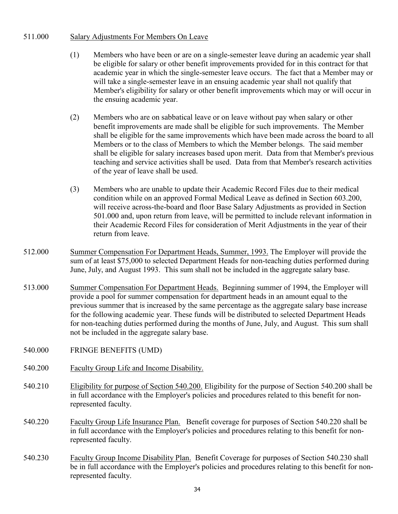## 511.000 Salary Adjustments For Members On Leave

- (1) Members who have been or are on a single-semester leave during an academic year shall be eligible for salary or other benefit improvements provided for in this contract for that academic year in which the single-semester leave occurs. The fact that a Member may or will take a single-semester leave in an ensuing academic year shall not qualify that Member's eligibility for salary or other benefit improvements which may or will occur in the ensuing academic year.
- (2) Members who are on sabbatical leave or on leave without pay when salary or other benefit improvements are made shall be eligible for such improvements. The Member shall be eligible for the same improvements which have been made across the board to all Members or to the class of Members to which the Member belongs. The said member shall be eligible for salary increases based upon merit. Data from that Member's previous teaching and service activities shall be used. Data from that Member's research activities of the year of leave shall be used.
- (3) Members who are unable to update their Academic Record Files due to their medical condition while on an approved Formal Medical Leave as defined in Section 603.200, will receive across-the-board and floor Base Salary Adjustments as provided in Section 501.000 and, upon return from leave, will be permitted to include relevant information in their Academic Record Files for consideration of Merit Adjustments in the year of their return from leave.
- 512.000 Summer Compensation For Department Heads, Summer, 1993. The Employer will provide the sum of at least \$75,000 to selected Department Heads for non-teaching duties performed during June, July, and August 1993. This sum shall not be included in the aggregate salary base.
- 513.000 Summer Compensation For Department Heads. Beginning summer of 1994, the Employer will provide a pool for summer compensation for department heads in an amount equal to the previous summer that is increased by the same percentage as the aggregate salary base increase for the following academic year. These funds will be distributed to selected Department Heads for non-teaching duties performed during the months of June, July, and August. This sum shall not be included in the aggregate salary base.
- 540.000 FRINGE BENEFITS (UMD)
- 540.200 Faculty Group Life and Income Disability.
- 540.210 Eligibility for purpose of Section 540.200. Eligibility for the purpose of Section 540.200 shall be in full accordance with the Employer's policies and procedures related to this benefit for nonrepresented faculty.
- 540.220 Faculty Group Life Insurance Plan. Benefit coverage for purposes of Section 540.220 shall be in full accordance with the Employer's policies and procedures relating to this benefit for nonrepresented faculty.
- 540.230 Faculty Group Income Disability Plan. Benefit Coverage for purposes of Section 540.230 shall be in full accordance with the Employer's policies and procedures relating to this benefit for nonrepresented faculty.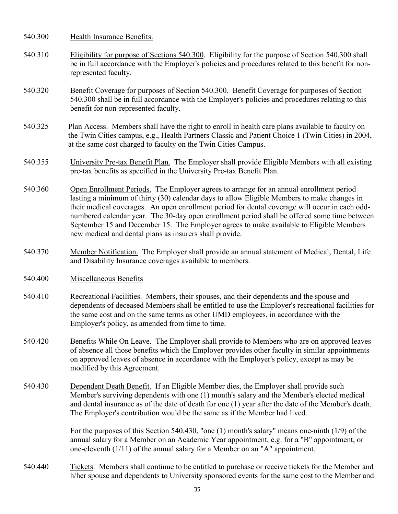- 540.300 Health Insurance Benefits.
- 540.310 Eligibility for purpose of Sections 540.300. Eligibility for the purpose of Section 540.300 shall be in full accordance with the Employer's policies and procedures related to this benefit for nonrepresented faculty.
- 540.320 Benefit Coverage for purposes of Section 540.300. Benefit Coverage for purposes of Section 540.300 shall be in full accordance with the Employer's policies and procedures relating to this benefit for non-represented faculty.
- 540.325 Plan Access. Members shall have the right to enroll in health care plans available to faculty on the Twin Cities campus, e.g., Health Partners Classic and Patient Choice 1 (Twin Cities) in 2004, at the same cost charged to faculty on the Twin Cities Campus.
- 540.355 University Pre-tax Benefit Plan. The Employer shall provide Eligible Members with all existing pre-tax benefits as specified in the University Pre-tax Benefit Plan.
- 540.360 Open Enrollment Periods. The Employer agrees to arrange for an annual enrollment period lasting a minimum of thirty (30) calendar days to allow Eligible Members to make changes in their medical coverages. An open enrollment period for dental coverage will occur in each oddnumbered calendar year. The 30-day open enrollment period shall be offered some time between September 15 and December 15. The Employer agrees to make available to Eligible Members new medical and dental plans as insurers shall provide.
- 540.370 Member Notification. The Employer shall provide an annual statement of Medical, Dental, Life and Disability Insurance coverages available to members.
- 540.400 Miscellaneous Benefits
- 540.410 Recreational Facilities. Members, their spouses, and their dependents and the spouse and dependents of deceased Members shall be entitled to use the Employer's recreational facilities for the same cost and on the same terms as other UMD employees, in accordance with the Employer's policy, as amended from time to time.
- 540.420 Benefits While On Leave. The Employer shall provide to Members who are on approved leaves of absence all those benefits which the Employer provides other faculty in similar appointments on approved leaves of absence in accordance with the Employer's policy, except as may be modified by this Agreement.
- 540.430 Dependent Death Benefit. If an Eligible Member dies, the Employer shall provide such Member's surviving dependents with one (1) month's salary and the Member's elected medical and dental insurance as of the date of death for one (1) year after the date of the Member's death. The Employer's contribution would be the same as if the Member had lived.

 For the purposes of this Section 540.430, "one (1) month's salary" means one-ninth (1/9) of the annual salary for a Member on an Academic Year appointment, e.g. for a "B" appointment, or one-eleventh (1/11) of the annual salary for a Member on an "A" appointment.

540.440 Tickets. Members shall continue to be entitled to purchase or receive tickets for the Member and h/her spouse and dependents to University sponsored events for the same cost to the Member and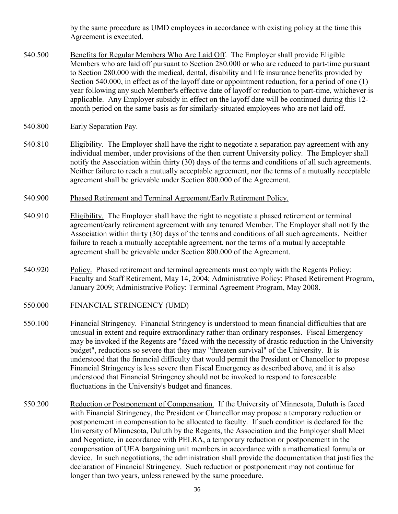by the same procedure as UMD employees in accordance with existing policy at the time this Agreement is executed.

- 540.500 Benefits for Regular Members Who Are Laid Off. The Employer shall provide Eligible Members who are laid off pursuant to Section 280.000 or who are reduced to part-time pursuant to Section 280.000 with the medical, dental, disability and life insurance benefits provided by Section 540.000, in effect as of the layoff date or appointment reduction, for a period of one (1) year following any such Member's effective date of layoff or reduction to part-time, whichever is applicable. Any Employer subsidy in effect on the layoff date will be continued during this 12 month period on the same basis as for similarly-situated employees who are not laid off.
- 540.800 Early Separation Pay.
- 540.810 Eligibility. The Employer shall have the right to negotiate a separation pay agreement with any individual member, under provisions of the then current University policy. The Employer shall notify the Association within thirty (30) days of the terms and conditions of all such agreements. Neither failure to reach a mutually acceptable agreement, nor the terms of a mutually acceptable agreement shall be grievable under Section 800.000 of the Agreement.
- 540.900 Phased Retirement and Terminal Agreement/Early Retirement Policy.
- 540.910 Eligibility. The Employer shall have the right to negotiate a phased retirement or terminal agreement/early retirement agreement with any tenured Member. The Employer shall notify the Association within thirty (30) days of the terms and conditions of all such agreements. Neither failure to reach a mutually acceptable agreement, nor the terms of a mutually acceptable agreement shall be grievable under Section 800.000 of the Agreement.
- 540.920 Policy. Phased retirement and terminal agreements must comply with the Regents Policy: Faculty and Staff Retirement, May 14, 2004; Administrative Policy: Phased Retirement Program, January 2009; Administrative Policy: Terminal Agreement Program, May 2008.
- 550.000 FINANCIAL STRINGENCY (UMD)
- 550.100 Financial Stringency. Financial Stringency is understood to mean financial difficulties that are unusual in extent and require extraordinary rather than ordinary responses. Fiscal Emergency may be invoked if the Regents are "faced with the necessity of drastic reduction in the University budget", reductions so severe that they may "threaten survival" of the University. It is understood that the financial difficulty that would permit the President or Chancellor to propose Financial Stringency is less severe than Fiscal Emergency as described above, and it is also understood that Financial Stringency should not be invoked to respond to foreseeable fluctuations in the University's budget and finances.
- 550.200 Reduction or Postponement of Compensation. If the University of Minnesota, Duluth is faced with Financial Stringency, the President or Chancellor may propose a temporary reduction or postponement in compensation to be allocated to faculty. If such condition is declared for the University of Minnesota, Duluth by the Regents, the Association and the Employer shall Meet and Negotiate, in accordance with PELRA, a temporary reduction or postponement in the compensation of UEA bargaining unit members in accordance with a mathematical formula or device. In such negotiations, the administration shall provide the documentation that justifies the declaration of Financial Stringency. Such reduction or postponement may not continue for longer than two years, unless renewed by the same procedure.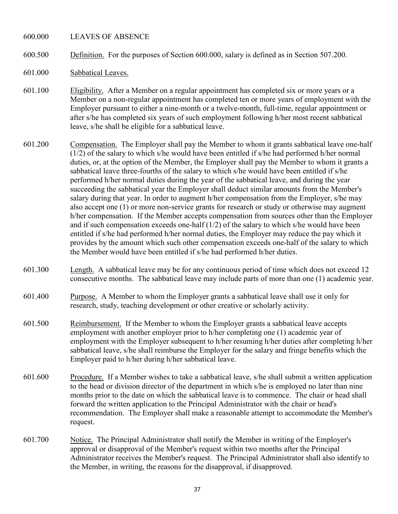#### 600.000 LEAVES OF ABSENCE

- 600.500 Definition. For the purposes of Section 600.000, salary is defined as in Section 507.200.
- 601.000 Sabbatical Leaves.
- 601.100 Eligibility. After a Member on a regular appointment has completed six or more years or a Member on a non-regular appointment has completed ten or more years of employment with the Employer pursuant to either a nine-month or a twelve-month, full-time, regular appointment or after s/he has completed six years of such employment following h/her most recent sabbatical leave, s/he shall be eligible for a sabbatical leave.
- 601.200 Compensation. The Employer shall pay the Member to whom it grants sabbatical leave one-half (1/2) of the salary to which s/he would have been entitled if s/he had performed h/her normal duties, or, at the option of the Member, the Employer shall pay the Member to whom it grants a sabbatical leave three-fourths of the salary to which s/he would have been entitled if s/he performed h/her normal duties during the year of the sabbatical leave, and during the year succeeding the sabbatical year the Employer shall deduct similar amounts from the Member's salary during that year. In order to augment h/her compensation from the Employer, s/he may also accept one (1) or more non-service grants for research or study or otherwise may augment h/her compensation. If the Member accepts compensation from sources other than the Employer and if such compensation exceeds one-half (1/2) of the salary to which s/he would have been entitled if s/he had performed h/her normal duties, the Employer may reduce the pay which it provides by the amount which such other compensation exceeds one-half of the salary to which the Member would have been entitled if s/he had performed h/her duties.
- 601.300 Length. A sabbatical leave may be for any continuous period of time which does not exceed 12 consecutive months. The sabbatical leave may include parts of more than one (1) academic year.
- 601.400 Purpose. A Member to whom the Employer grants a sabbatical leave shall use it only for research, study, teaching development or other creative or scholarly activity.
- 601.500 Reimbursement. If the Member to whom the Employer grants a sabbatical leave accepts employment with another employer prior to h/her completing one (1) academic year of employment with the Employer subsequent to h/her resuming h/her duties after completing h/her sabbatical leave, s/he shall reimburse the Employer for the salary and fringe benefits which the Employer paid to h/her during h/her sabbatical leave.
- 601.600 Procedure. If a Member wishes to take a sabbatical leave, s/he shall submit a written application to the head or division director of the department in which s/he is employed no later than nine months prior to the date on which the sabbatical leave is to commence. The chair or head shall forward the written application to the Principal Administrator with the chair or head's recommendation. The Employer shall make a reasonable attempt to accommodate the Member's request.
- 601.700 Notice. The Principal Administrator shall notify the Member in writing of the Employer's approval or disapproval of the Member's request within two months after the Principal Administrator receives the Member's request. The Principal Administrator shall also identify to the Member, in writing, the reasons for the disapproval, if disapproved.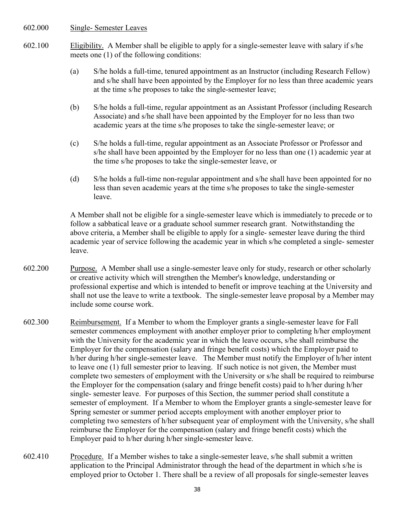### 602.000 Single- Semester Leaves

- 602.100 Eligibility. A Member shall be eligible to apply for a single-semester leave with salary if s/he meets one (1) of the following conditions:
	- (a) S/he holds a full-time, tenured appointment as an Instructor (including Research Fellow) and s/he shall have been appointed by the Employer for no less than three academic years at the time s/he proposes to take the single-semester leave;
	- (b) S/he holds a full-time, regular appointment as an Assistant Professor (including Research Associate) and s/he shall have been appointed by the Employer for no less than two academic years at the time s/he proposes to take the single-semester leave; or
	- (c) S/he holds a full-time, regular appointment as an Associate Professor or Professor and s/he shall have been appointed by the Employer for no less than one (1) academic year at the time s/he proposes to take the single-semester leave, or
	- (d) S/he holds a full-time non-regular appointment and s/he shall have been appointed for no less than seven academic years at the time s/he proposes to take the single-semester leave.

A Member shall not be eligible for a single-semester leave which is immediately to precede or to follow a sabbatical leave or a graduate school summer research grant. Notwithstanding the above criteria, a Member shall be eligible to apply for a single- semester leave during the third academic year of service following the academic year in which s/he completed a single- semester leave.

- 602.200 Purpose. A Member shall use a single-semester leave only for study, research or other scholarly or creative activity which will strengthen the Member's knowledge, understanding or professional expertise and which is intended to benefit or improve teaching at the University and shall not use the leave to write a textbook. The single-semester leave proposal by a Member may include some course work.
- 602.300 Reimbursement. If a Member to whom the Employer grants a single-semester leave for Fall semester commences employment with another employer prior to completing h/her employment with the University for the academic year in which the leave occurs, s/he shall reimburse the Employer for the compensation (salary and fringe benefit costs) which the Employer paid to h/her during h/her single-semester leave. The Member must notify the Employer of h/her intent to leave one (1) full semester prior to leaving. If such notice is not given, the Member must complete two semesters of employment with the University or s/he shall be required to reimburse the Employer for the compensation (salary and fringe benefit costs) paid to h/her during h/her single- semester leave. For purposes of this Section, the summer period shall constitute a semester of employment. If a Member to whom the Employer grants a single-semester leave for Spring semester or summer period accepts employment with another employer prior to completing two semesters of h/her subsequent year of employment with the University, s/he shall reimburse the Employer for the compensation (salary and fringe benefit costs) which the Employer paid to h/her during h/her single-semester leave.
- 602.410 Procedure. If a Member wishes to take a single-semester leave, s/he shall submit a written application to the Principal Administrator through the head of the department in which s/he is employed prior to October 1. There shall be a review of all proposals for single-semester leaves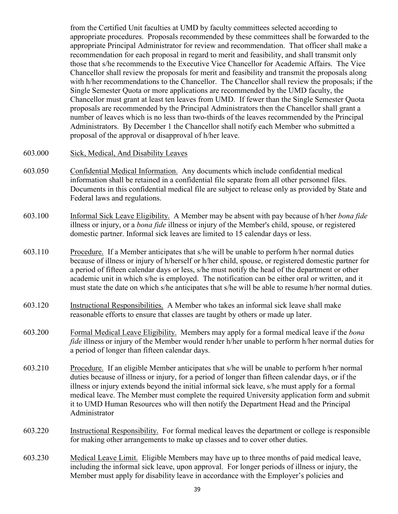from the Certified Unit faculties at UMD by faculty committees selected according to appropriate procedures. Proposals recommended by these committees shall be forwarded to the appropriate Principal Administrator for review and recommendation. That officer shall make a recommendation for each proposal in regard to merit and feasibility, and shall transmit only those that s/he recommends to the Executive Vice Chancellor for Academic Affairs. The Vice Chancellor shall review the proposals for merit and feasibility and transmit the proposals along with h/her recommendations to the Chancellor. The Chancellor shall review the proposals; if the Single Semester Quota or more applications are recommended by the UMD faculty, the Chancellor must grant at least ten leaves from UMD. If fewer than the Single Semester Quota proposals are recommended by the Principal Administrators then the Chancellor shall grant a number of leaves which is no less than two-thirds of the leaves recommended by the Principal Administrators. By December 1 the Chancellor shall notify each Member who submitted a proposal of the approval or disapproval of h/her leave.

- 603.000 Sick, Medical, And Disability Leaves
- 603.050 Confidential Medical Information. Any documents which include confidential medical information shall be retained in a confidential file separate from all other personnel files. Documents in this confidential medical file are subject to release only as provided by State and Federal laws and regulations.
- 603.100 Informal Sick Leave Eligibility. A Member may be absent with pay because of h/her *bona fide* illness or injury, or a *bona fide* illness or injury of the Member's child, spouse, or registered domestic partner. Informal sick leaves are limited to 15 calendar days or less.
- 603.110 Procedure. If a Member anticipates that s/he will be unable to perform h/her normal duties because of illness or injury of h/herself or h/her child, spouse, or registered domestic partner for a period of fifteen calendar days or less, s/he must notify the head of the department or other academic unit in which s/he is employed. The notification can be either oral or written, and it must state the date on which s/he anticipates that s/he will be able to resume h/her normal duties.
- 603.120 Instructional Responsibilities. A Member who takes an informal sick leave shall make reasonable efforts to ensure that classes are taught by others or made up later.
- 603.200 Formal Medical Leave Eligibility. Members may apply for a formal medical leave if the *bona fide* illness or injury of the Member would render h/her unable to perform h/her normal duties for a period of longer than fifteen calendar days.
- 603.210 Procedure. If an eligible Member anticipates that s/he will be unable to perform h/her normal duties because of illness or injury, for a period of longer than fifteen calendar days, or if the illness or injury extends beyond the initial informal sick leave, s/he must apply for a formal medical leave. The Member must complete the required University application form and submit it to UMD Human Resources who will then notify the Department Head and the Principal Administrator
- 603.220 Instructional Responsibility. For formal medical leaves the department or college is responsible for making other arrangements to make up classes and to cover other duties.
- 603.230 Medical Leave Limit. Eligible Members may have up to three months of paid medical leave, including the informal sick leave, upon approval. For longer periods of illness or injury, the Member must apply for disability leave in accordance with the Employer's policies and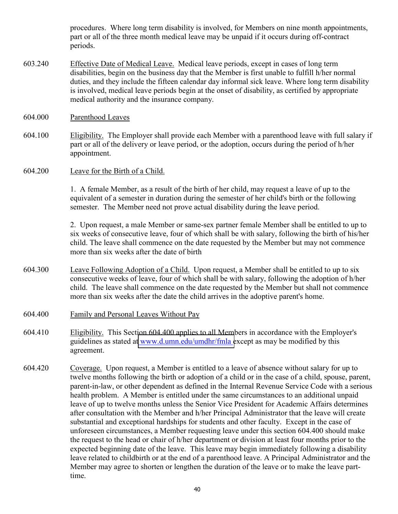procedures. Where long term disability is involved, for Members on nine month appointments, part or all of the three month medical leave may be unpaid if it occurs during off-contract periods.

- 603.240 Effective Date of Medical Leave. Medical leave periods, except in cases of long term disabilities, begin on the business day that the Member is first unable to fulfill h/her normal duties, and they include the fifteen calendar day informal sick leave. Where long term disability is involved, medical leave periods begin at the onset of disability, as certified by appropriate medical authority and the insurance company.
- 604.000 Parenthood Leaves
- 604.100 Eligibility. The Employer shall provide each Member with a parenthood leave with full salary if part or all of the delivery or leave period, or the adoption, occurs during the period of h/her appointment.
- 604.200 Leave for the Birth of a Child.

1. A female Member, as a result of the birth of her child, may request a leave of up to the equivalent of a semester in duration during the semester of her child's birth or the following semester. The Member need not prove actual disability during the leave period.

2. Upon request, a male Member or same-sex partner female Member shall be entitled to up to six weeks of consecutive leave, four of which shall be with salary, following the birth of his/her child. The leave shall commence on the date requested by the Member but may not commence more than six weeks after the date of birth

- 604.300 Leave Following Adoption of a Child. Upon request, a Member shall be entitled to up to six consecutive weeks of leave, four of which shall be with salary, following the adoption of h/her child. The leave shall commence on the date requested by the Member but shall not commence more than six weeks after the date the child arrives in the adoptive parent's home.
- 604.400 Family and Personal Leaves Without Pay
- 604.410 Eligibility. This Section 604.400 applies to all Members in accordance with the Employer's guidelines as stated at [www.d.umn.edu/umdhr/fmla e](www.d.umn.edu/umdhr/fmla)xcept as may be modified by this agreement.
- 604.420 Coverage. Upon request, a Member is entitled to a leave of absence without salary for up to twelve months following the birth or adoption of a child or in the case of a child, spouse, parent, parent-in-law, or other dependent as defined in the Internal Revenue Service Code with a serious health problem. A Member is entitled under the same circumstances to an additional unpaid leave of up to twelve months unless the Senior Vice President for Academic Affairs determines after consultation with the Member and h/her Principal Administrator that the leave will create substantial and exceptional hardships for students and other faculty. Except in the case of unforeseen circumstances, a Member requesting leave under this section 604.400 should make the request to the head or chair of h/her department or division at least four months prior to the expected beginning date of the leave. This leave may begin immediately following a disability leave related to childbirth or at the end of a parenthood leave. A Principal Administrator and the Member may agree to shorten or lengthen the duration of the leave or to make the leave parttime.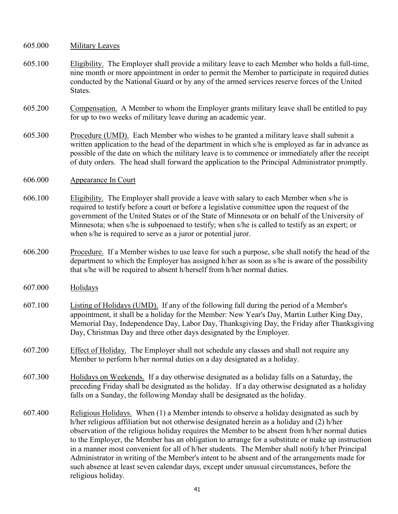- 605.000 Military Leaves
- 605.100 Eligibility. The Employer shall provide a military leave to each Member who holds a full-time, nine month or more appointment in order to permit the Member to participate in required duties conducted by the National Guard or by any of the armed services reserve forces of the United **States**.
- 605.200 Compensation. A Member to whom the Employer grants military leave shall be entitled to pay for up to two weeks of military leave during an academic year.
- 605.300 Procedure (UMD). Each Member who wishes to be granted a military leave shall submit a written application to the head of the department in which s/he is employed as far in advance as possible of the date on which the military leave is to commence or immediately after the receipt of duty orders. The head shall forward the application to the Principal Administrator promptly.
- 606.000 Appearance In Court
- 606.100 Eligibility. The Employer shall provide a leave with salary to each Member when s/he is required to testify before a court or before a legislative committee upon the request of the government of the United States or of the State of Minnesota or on behalf of the University of Minnesota; when s/he is subpoenaed to testify; when s/he is called to testify as an expert; or when s/he is required to serve as a juror or potential juror.
- 606.200 Procedure. If a Member wishes to use leave for such a purpose, s/he shall notify the head of the department to which the Employer has assigned h/her as soon as s/he is aware of the possibility that s/he will be required to absent h/herself from h/her normal duties.
- 607.000 Holidays
- 607.100 Listing of Holidays (UMD). If any of the following fall during the period of a Member's appointment, it shall be a holiday for the Member: New Year's Day, Martin Luther King Day, Memorial Day, Independence Day, Labor Day, Thanksgiving Day, the Friday after Thanksgiving Day, Christmas Day and three other days designated by the Employer.
- 607.200 Effect of Holiday. The Employer shall not schedule any classes and shall not require any Member to perform h/her normal duties on a day designated as a holiday.
- 607.300 Holidays on Weekends. If a day otherwise designated as a holiday falls on a Saturday, the preceding Friday shall be designated as the holiday. If a day otherwise designated as a holiday falls on a Sunday, the following Monday shall be designated as the holiday.
- 607.400 Religious Holidays. When (1) a Member intends to observe a holiday designated as such by h/her religious affiliation but not otherwise designated herein as a holiday and (2) h/her observation of the religious holiday requires the Member to be absent from h/her normal duties to the Employer, the Member has an obligation to arrange for a substitute or make up instruction in a manner most convenient for all of h/her students. The Member shall notify h/her Principal Administrator in writing of the Member's intent to be absent and of the arrangements made for such absence at least seven calendar days, except under unusual circumstances, before the religious holiday.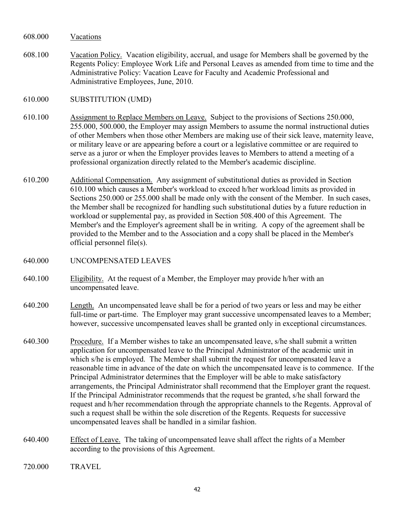608.000 Vacations

- 608.100 Vacation Policy. Vacation eligibility, accrual, and usage for Members shall be governed by the Regents Policy: Employee Work Life and Personal Leaves as amended from time to time and the Administrative Policy: Vacation Leave for Faculty and Academic Professional and Administrative Employees, June, 2010.
- 610.000 SUBSTITUTION (UMD)
- 610.100 Assignment to Replace Members on Leave. Subject to the provisions of Sections 250.000, 255.000, 500.000, the Employer may assign Members to assume the normal instructional duties of other Members when those other Members are making use of their sick leave, maternity leave, or military leave or are appearing before a court or a legislative committee or are required to serve as a juror or when the Employer provides leaves to Members to attend a meeting of a professional organization directly related to the Member's academic discipline.
- 610.200 Additional Compensation. Any assignment of substitutional duties as provided in Section 610.100 which causes a Member's workload to exceed h/her workload limits as provided in Sections 250.000 or 255.000 shall be made only with the consent of the Member. In such cases, the Member shall be recognized for handling such substitutional duties by a future reduction in workload or supplemental pay, as provided in Section 508.400 of this Agreement. The Member's and the Employer's agreement shall be in writing. A copy of the agreement shall be provided to the Member and to the Association and a copy shall be placed in the Member's official personnel file(s).
- 640.000 UNCOMPENSATED LEAVES
- 640.100 Eligibility. At the request of a Member, the Employer may provide h/her with an uncompensated leave.
- 640.200 Length. An uncompensated leave shall be for a period of two years or less and may be either full-time or part-time. The Employer may grant successive uncompensated leaves to a Member; however, successive uncompensated leaves shall be granted only in exceptional circumstances.
- 640.300 Procedure. If a Member wishes to take an uncompensated leave, s/he shall submit a written application for uncompensated leave to the Principal Administrator of the academic unit in which s/he is employed. The Member shall submit the request for uncompensated leave a reasonable time in advance of the date on which the uncompensated leave is to commence. If the Principal Administrator determines that the Employer will be able to make satisfactory arrangements, the Principal Administrator shall recommend that the Employer grant the request. If the Principal Administrator recommends that the request be granted, s/he shall forward the request and h/her recommendation through the appropriate channels to the Regents. Approval of such a request shall be within the sole discretion of the Regents. Requests for successive uncompensated leaves shall be handled in a similar fashion.
- 640.400 Effect of Leave. The taking of uncompensated leave shall affect the rights of a Member according to the provisions of this Agreement.
- 720.000 TRAVEL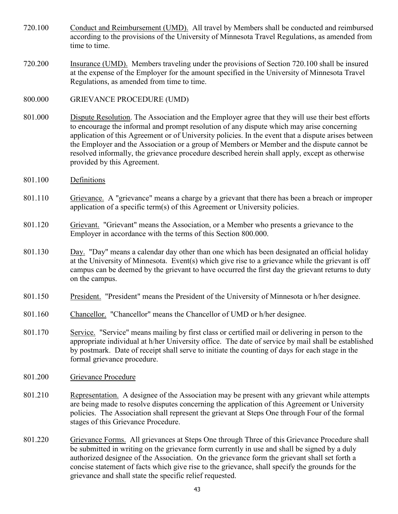- 720.100 Conduct and Reimbursement (UMD). All travel by Members shall be conducted and reimbursed according to the provisions of the University of Minnesota Travel Regulations, as amended from time to time.
- 720.200 Insurance (UMD). Members traveling under the provisions of Section 720.100 shall be insured at the expense of the Employer for the amount specified in the University of Minnesota Travel Regulations, as amended from time to time.
- 800.000 GRIEVANCE PROCEDURE (UMD)
- 801.000 Dispute Resolution. The Association and the Employer agree that they will use their best efforts to encourage the informal and prompt resolution of any dispute which may arise concerning application of this Agreement or of University policies. In the event that a dispute arises between the Employer and the Association or a group of Members or Member and the dispute cannot be resolved informally, the grievance procedure described herein shall apply, except as otherwise provided by this Agreement.
- 801.100 Definitions
- 801.110 Grievance. A "grievance" means a charge by a grievant that there has been a breach or improper application of a specific term(s) of this Agreement or University policies.
- 801.120 Grievant. "Grievant" means the Association, or a Member who presents a grievance to the Employer in accordance with the terms of this Section 800.000.
- 801.130 Day. "Day" means a calendar day other than one which has been designated an official holiday at the University of Minnesota. Event(s) which give rise to a grievance while the grievant is off campus can be deemed by the grievant to have occurred the first day the grievant returns to duty on the campus.
- 801.150 President. "President" means the President of the University of Minnesota or h/her designee.
- 801.160 Chancellor. "Chancellor" means the Chancellor of UMD or h/her designee.
- 801.170 Service. "Service" means mailing by first class or certified mail or delivering in person to the appropriate individual at h/her University office. The date of service by mail shall be established by postmark. Date of receipt shall serve to initiate the counting of days for each stage in the formal grievance procedure.
- 801.200 Grievance Procedure
- 801.210 Representation. A designee of the Association may be present with any grievant while attempts are being made to resolve disputes concerning the application of this Agreement or University policies. The Association shall represent the grievant at Steps One through Four of the formal stages of this Grievance Procedure.
- 801.220 Grievance Forms. All grievances at Steps One through Three of this Grievance Procedure shall be submitted in writing on the grievance form currently in use and shall be signed by a duly authorized designee of the Association. On the grievance form the grievant shall set forth a concise statement of facts which give rise to the grievance, shall specify the grounds for the grievance and shall state the specific relief requested.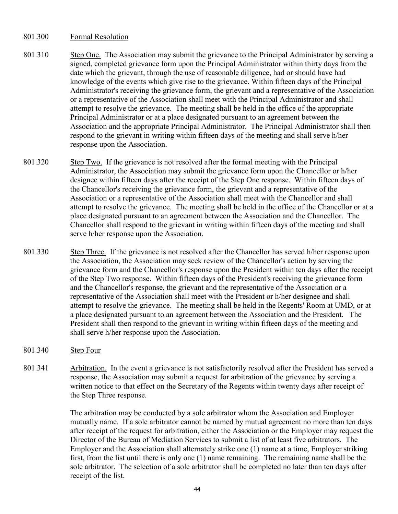### 801.300 Formal Resolution

- 801.310 Step One. The Association may submit the grievance to the Principal Administrator by serving a signed, completed grievance form upon the Principal Administrator within thirty days from the date which the grievant, through the use of reasonable diligence, had or should have had knowledge of the events which give rise to the grievance. Within fifteen days of the Principal Administrator's receiving the grievance form, the grievant and a representative of the Association or a representative of the Association shall meet with the Principal Administrator and shall attempt to resolve the grievance. The meeting shall be held in the office of the appropriate Principal Administrator or at a place designated pursuant to an agreement between the Association and the appropriate Principal Administrator. The Principal Administrator shall then respond to the grievant in writing within fifteen days of the meeting and shall serve h/her response upon the Association.
- 801.320 Step Two. If the grievance is not resolved after the formal meeting with the Principal Administrator, the Association may submit the grievance form upon the Chancellor or h/her designee within fifteen days after the receipt of the Step One response. Within fifteen days of the Chancellor's receiving the grievance form, the grievant and a representative of the Association or a representative of the Association shall meet with the Chancellor and shall attempt to resolve the grievance. The meeting shall be held in the office of the Chancellor or at a place designated pursuant to an agreement between the Association and the Chancellor. The Chancellor shall respond to the grievant in writing within fifteen days of the meeting and shall serve h/her response upon the Association.
- 801.330 Step Three. If the grievance is not resolved after the Chancellor has served h/her response upon the Association, the Association may seek review of the Chancellor's action by serving the grievance form and the Chancellor's response upon the President within ten days after the receipt of the Step Two response. Within fifteen days of the President's receiving the grievance form and the Chancellor's response, the grievant and the representative of the Association or a representative of the Association shall meet with the President or h/her designee and shall attempt to resolve the grievance. The meeting shall be held in the Regents' Room at UMD, or at a place designated pursuant to an agreement between the Association and the President. The President shall then respond to the grievant in writing within fifteen days of the meeting and shall serve h/her response upon the Association.
- 801.340 Step Four
- 801.341 Arbitration. In the event a grievance is not satisfactorily resolved after the President has served a response, the Association may submit a request for arbitration of the grievance by serving a written notice to that effect on the Secretary of the Regents within twenty days after receipt of the Step Three response.

The arbitration may be conducted by a sole arbitrator whom the Association and Employer mutually name. If a sole arbitrator cannot be named by mutual agreement no more than ten days after receipt of the request for arbitration, either the Association or the Employer may request the Director of the Bureau of Mediation Services to submit a list of at least five arbitrators. The Employer and the Association shall alternately strike one (1) name at a time, Employer striking first, from the list until there is only one (1) name remaining. The remaining name shall be the sole arbitrator. The selection of a sole arbitrator shall be completed no later than ten days after receipt of the list.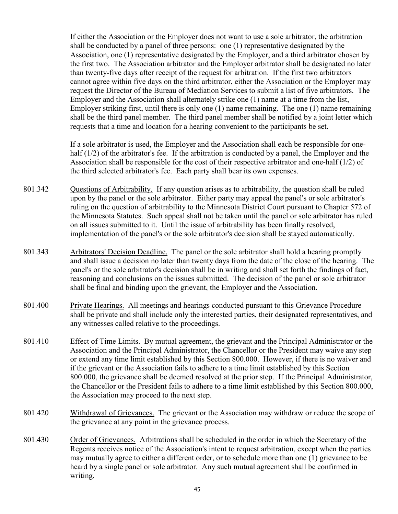If either the Association or the Employer does not want to use a sole arbitrator, the arbitration shall be conducted by a panel of three persons: one (1) representative designated by the Association, one (1) representative designated by the Employer, and a third arbitrator chosen by the first two. The Association arbitrator and the Employer arbitrator shall be designated no later than twenty-five days after receipt of the request for arbitration. If the first two arbitrators cannot agree within five days on the third arbitrator, either the Association or the Employer may request the Director of the Bureau of Mediation Services to submit a list of five arbitrators. The Employer and the Association shall alternately strike one (1) name at a time from the list, Employer striking first, until there is only one  $(1)$  name remaining. The one  $(1)$  name remaining shall be the third panel member. The third panel member shall be notified by a joint letter which requests that a time and location for a hearing convenient to the participants be set.

If a sole arbitrator is used, the Employer and the Association shall each be responsible for onehalf (1/2) of the arbitrator's fee. If the arbitration is conducted by a panel, the Employer and the Association shall be responsible for the cost of their respective arbitrator and one-half (1/2) of the third selected arbitrator's fee. Each party shall bear its own expenses.

- 801.342 Questions of Arbitrability. If any question arises as to arbitrability, the question shall be ruled upon by the panel or the sole arbitrator. Either party may appeal the panel's or sole arbitrator's ruling on the question of arbitrability to the Minnesota District Court pursuant to Chapter 572 of the Minnesota Statutes. Such appeal shall not be taken until the panel or sole arbitrator has ruled on all issues submitted to it. Until the issue of arbitrability has been finally resolved, implementation of the panel's or the sole arbitrator's decision shall be stayed automatically.
- 801.343 Arbitrators' Decision Deadline. The panel or the sole arbitrator shall hold a hearing promptly and shall issue a decision no later than twenty days from the date of the close of the hearing. The panel's or the sole arbitrator's decision shall be in writing and shall set forth the findings of fact, reasoning and conclusions on the issues submitted. The decision of the panel or sole arbitrator shall be final and binding upon the grievant, the Employer and the Association.
- 801.400 Private Hearings. All meetings and hearings conducted pursuant to this Grievance Procedure shall be private and shall include only the interested parties, their designated representatives, and any witnesses called relative to the proceedings.
- 801.410 Effect of Time Limits. By mutual agreement, the grievant and the Principal Administrator or the Association and the Principal Administrator, the Chancellor or the President may waive any step or extend any time limit established by this Section 800.000. However, if there is no waiver and if the grievant or the Association fails to adhere to a time limit established by this Section 800.000, the grievance shall be deemed resolved at the prior step. If the Principal Administrator, the Chancellor or the President fails to adhere to a time limit established by this Section 800.000, the Association may proceed to the next step.
- 801.420 Withdrawal of Grievances. The grievant or the Association may withdraw or reduce the scope of the grievance at any point in the grievance process.
- 801.430 Order of Grievances. Arbitrations shall be scheduled in the order in which the Secretary of the Regents receives notice of the Association's intent to request arbitration, except when the parties may mutually agree to either a different order, or to schedule more than one (1) grievance to be heard by a single panel or sole arbitrator. Any such mutual agreement shall be confirmed in writing.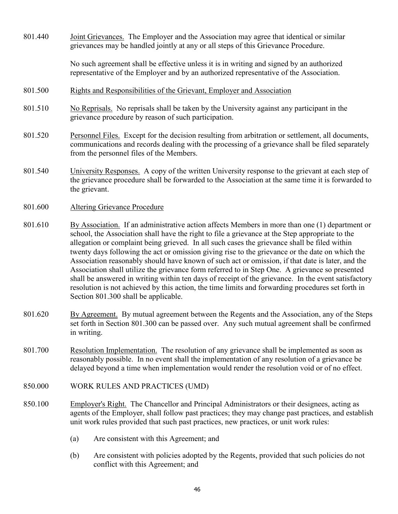| 801.440 | Joint Grievances. The Employer and the Association may agree that identical or similar<br>grievances may be handled jointly at any or all steps of this Grievance Procedure.                                                                                                                                                                                                                                                                                                                                                                                                                                                                                                                                                                                                                                             |
|---------|--------------------------------------------------------------------------------------------------------------------------------------------------------------------------------------------------------------------------------------------------------------------------------------------------------------------------------------------------------------------------------------------------------------------------------------------------------------------------------------------------------------------------------------------------------------------------------------------------------------------------------------------------------------------------------------------------------------------------------------------------------------------------------------------------------------------------|
|         | No such agreement shall be effective unless it is in writing and signed by an authorized<br>representative of the Employer and by an authorized representative of the Association.                                                                                                                                                                                                                                                                                                                                                                                                                                                                                                                                                                                                                                       |
| 801.500 | Rights and Responsibilities of the Grievant, Employer and Association                                                                                                                                                                                                                                                                                                                                                                                                                                                                                                                                                                                                                                                                                                                                                    |
| 801.510 | No Reprisals. No reprisals shall be taken by the University against any participant in the<br>grievance procedure by reason of such participation.                                                                                                                                                                                                                                                                                                                                                                                                                                                                                                                                                                                                                                                                       |
| 801.520 | Personnel Files. Except for the decision resulting from arbitration or settlement, all documents,<br>communications and records dealing with the processing of a grievance shall be filed separately<br>from the personnel files of the Members.                                                                                                                                                                                                                                                                                                                                                                                                                                                                                                                                                                         |
| 801.540 | University Responses. A copy of the written University response to the grievant at each step of<br>the grievance procedure shall be forwarded to the Association at the same time it is forwarded to<br>the grievant.                                                                                                                                                                                                                                                                                                                                                                                                                                                                                                                                                                                                    |
| 801.600 | <b>Altering Grievance Procedure</b>                                                                                                                                                                                                                                                                                                                                                                                                                                                                                                                                                                                                                                                                                                                                                                                      |
| 801.610 | By Association. If an administrative action affects Members in more than one $(1)$ department or<br>school, the Association shall have the right to file a grievance at the Step appropriate to the<br>allegation or complaint being grieved. In all such cases the grievance shall be filed within<br>twenty days following the act or omission giving rise to the grievance or the date on which the<br>Association reasonably should have known of such act or omission, if that date is later, and the<br>Association shall utilize the grievance form referred to in Step One. A grievance so presented<br>shall be answered in writing within ten days of receipt of the grievance. In the event satisfactory<br>resolution is not achieved by this action, the time limits and forwarding procedures set forth in |

- 801.620 By Agreement. By mutual agreement between the Regents and the Association, any of the Steps set forth in Section 801.300 can be passed over. Any such mutual agreement shall be confirmed in writing.
- 801.700 Resolution Implementation. The resolution of any grievance shall be implemented as soon as reasonably possible. In no event shall the implementation of any resolution of a grievance be delayed beyond a time when implementation would render the resolution void or of no effect.
- 850.000 WORK RULES AND PRACTICES (UMD)

Section 801.300 shall be applicable.

- 850.100 Employer's Right. The Chancellor and Principal Administrators or their designees, acting as agents of the Employer, shall follow past practices; they may change past practices, and establish unit work rules provided that such past practices, new practices, or unit work rules:
	- (a) Are consistent with this Agreement; and
	- (b) Are consistent with policies adopted by the Regents, provided that such policies do not conflict with this Agreement; and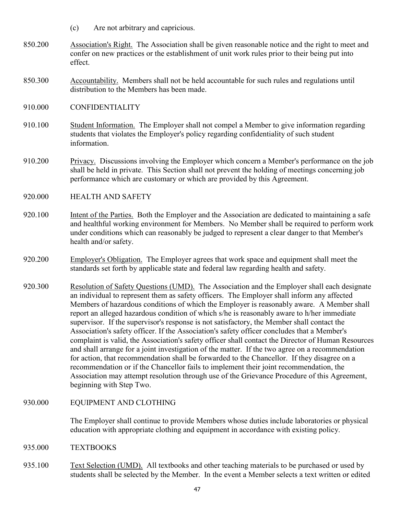- (c) Are not arbitrary and capricious.
- 850.200 Association's Right. The Association shall be given reasonable notice and the right to meet and confer on new practices or the establishment of unit work rules prior to their being put into effect.
- 850.300 Accountability. Members shall not be held accountable for such rules and regulations until distribution to the Members has been made.
- 910.000 CONFIDENTIALITY
- 910.100 Student Information. The Employer shall not compel a Member to give information regarding students that violates the Employer's policy regarding confidentiality of such student information.
- 910.200 Privacy. Discussions involving the Employer which concern a Member's performance on the job shall be held in private. This Section shall not prevent the holding of meetings concerning job performance which are customary or which are provided by this Agreement.
- 920.000 HEALTH AND SAFETY
- 920.100 Intent of the Parties. Both the Employer and the Association are dedicated to maintaining a safe and healthful working environment for Members. No Member shall be required to perform work under conditions which can reasonably be judged to represent a clear danger to that Member's health and/or safety.
- 920.200 Employer's Obligation. The Employer agrees that work space and equipment shall meet the standards set forth by applicable state and federal law regarding health and safety.
- 920.300 Resolution of Safety Questions (UMD). The Association and the Employer shall each designate an individual to represent them as safety officers. The Employer shall inform any affected Members of hazardous conditions of which the Employer is reasonably aware. A Member shall report an alleged hazardous condition of which s/he is reasonably aware to h/her immediate supervisor. If the supervisor's response is not satisfactory, the Member shall contact the Association's safety officer. If the Association's safety officer concludes that a Member's complaint is valid, the Association's safety officer shall contact the Director of Human Resources and shall arrange for a joint investigation of the matter. If the two agree on a recommendation for action, that recommendation shall be forwarded to the Chancellor. If they disagree on a recommendation or if the Chancellor fails to implement their joint recommendation, the Association may attempt resolution through use of the Grievance Procedure of this Agreement, beginning with Step Two.

# 930.000 EQUIPMENT AND CLOTHING

The Employer shall continue to provide Members whose duties include laboratories or physical education with appropriate clothing and equipment in accordance with existing policy.

- 935.000 TEXTBOOKS
- 935.100 Text Selection (UMD). All textbooks and other teaching materials to be purchased or used by students shall be selected by the Member. In the event a Member selects a text written or edited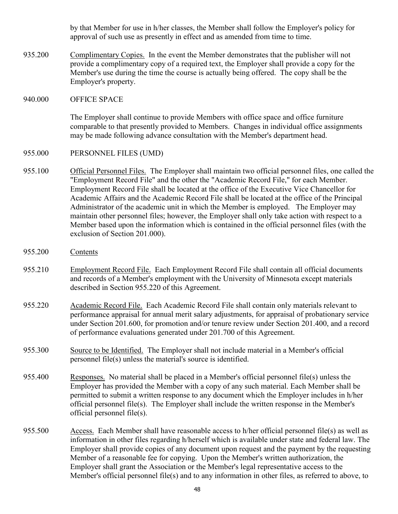by that Member for use in h/her classes, the Member shall follow the Employer's policy for approval of such use as presently in effect and as amended from time to time.

935.200 Complimentary Copies. In the event the Member demonstrates that the publisher will not provide a complimentary copy of a required text, the Employer shall provide a copy for the Member's use during the time the course is actually being offered. The copy shall be the Employer's property.

#### 940.000 OFFICE SPACE

The Employer shall continue to provide Members with office space and office furniture comparable to that presently provided to Members. Changes in individual office assignments may be made following advance consultation with the Member's department head.

- 955.000 PERSONNEL FILES (UMD)
- 955.100 Official Personnel Files. The Employer shall maintain two official personnel files, one called the "Employment Record File" and the other the "Academic Record File," for each Member. Employment Record File shall be located at the office of the Executive Vice Chancellor for Academic Affairs and the Academic Record File shall be located at the office of the Principal Administrator of the academic unit in which the Member is employed. The Employer may maintain other personnel files; however, the Employer shall only take action with respect to a Member based upon the information which is contained in the official personnel files (with the exclusion of Section 201.000).
- 955.200 Contents
- 955.210 Employment Record File. Each Employment Record File shall contain all official documents and records of a Member's employment with the University of Minnesota except materials described in Section 955.220 of this Agreement.
- 955.220 Academic Record File. Each Academic Record File shall contain only materials relevant to performance appraisal for annual merit salary adjustments, for appraisal of probationary service under Section 201.600, for promotion and/or tenure review under Section 201.400, and a record of performance evaluations generated under 201.700 of this Agreement.
- 955.300 Source to be Identified. The Employer shall not include material in a Member's official personnel file(s) unless the material's source is identified.
- 955.400 Responses. No material shall be placed in a Member's official personnel file(s) unless the Employer has provided the Member with a copy of any such material. Each Member shall be permitted to submit a written response to any document which the Employer includes in h/her official personnel file(s). The Employer shall include the written response in the Member's official personnel file(s).
- 955.500 Access. Each Member shall have reasonable access to h/her official personnel file(s) as well as information in other files regarding h/herself which is available under state and federal law. The Employer shall provide copies of any document upon request and the payment by the requesting Member of a reasonable fee for copying. Upon the Member's written authorization, the Employer shall grant the Association or the Member's legal representative access to the Member's official personnel file(s) and to any information in other files, as referred to above, to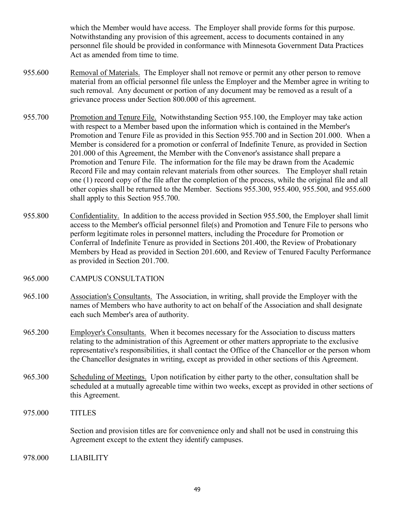which the Member would have access. The Employer shall provide forms for this purpose. Notwithstanding any provision of this agreement, access to documents contained in any personnel file should be provided in conformance with Minnesota Government Data Practices Act as amended from time to time.

- 955.600 Removal of Materials. The Employer shall not remove or permit any other person to remove material from an official personnel file unless the Employer and the Member agree in writing to such removal. Any document or portion of any document may be removed as a result of a grievance process under Section 800.000 of this agreement.
- 955.700 Promotion and Tenure File. Notwithstanding Section 955.100, the Employer may take action with respect to a Member based upon the information which is contained in the Member's Promotion and Tenure File as provided in this Section 955.700 and in Section 201.000. When a Member is considered for a promotion or conferral of Indefinite Tenure, as provided in Section 201.000 of this Agreement, the Member with the Convenor's assistance shall prepare a Promotion and Tenure File. The information for the file may be drawn from the Academic Record File and may contain relevant materials from other sources. The Employer shall retain one (1) record copy of the file after the completion of the process, while the original file and all other copies shall be returned to the Member. Sections 955.300, 955.400, 955.500, and 955.600 shall apply to this Section 955.700.
- 955.800 Confidentiality. In addition to the access provided in Section 955.500, the Employer shall limit access to the Member's official personnel file(s) and Promotion and Tenure File to persons who perform legitimate roles in personnel matters, including the Procedure for Promotion or Conferral of Indefinite Tenure as provided in Sections 201.400, the Review of Probationary Members by Head as provided in Section 201.600, and Review of Tenured Faculty Performance as provided in Section 201.700.
- 965.000 CAMPUS CONSULTATION
- 965.100 Association's Consultants. The Association, in writing, shall provide the Employer with the names of Members who have authority to act on behalf of the Association and shall designate each such Member's area of authority.
- 965.200 Employer's Consultants. When it becomes necessary for the Association to discuss matters relating to the administration of this Agreement or other matters appropriate to the exclusive representative's responsibilities, it shall contact the Office of the Chancellor or the person whom the Chancellor designates in writing, except as provided in other sections of this Agreement.
- 965.300 Scheduling of Meetings. Upon notification by either party to the other, consultation shall be scheduled at a mutually agreeable time within two weeks, except as provided in other sections of this Agreement.
- 975.000 TITLES

Section and provision titles are for convenience only and shall not be used in construing this Agreement except to the extent they identify campuses.

978.000 LIABILITY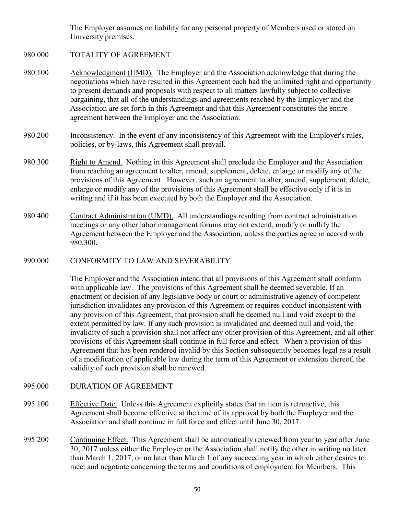The Employer assumes no liability for any personal property of Members used or stored on University premises.

- 980.000 TOTALITY OF AGREEMENT
- 980.100 Acknowledgment (UMD). The Employer and the Association acknowledge that during the negotiations which have resulted in this Agreement each had the unlimited right and opportunity to present demands and proposals with respect to all matters lawfully subject to collective bargaining, that all of the understandings and agreements reached by the Employer and the Association are set forth in this Agreement and that this Agreement constitutes the entire agreement between the Employer and the Association.
- 980.200 Inconsistency. In the event of any inconsistency of this Agreement with the Employer's rules, policies, or by-laws, this Agreement shall prevail.
- 980.300 Right to Amend. Nothing in this Agreement shall preclude the Employer and the Association from reaching an agreement to alter, amend, supplement, delete, enlarge or modify any of the provisions of this Agreement. However, such an agreement to alter, amend, supplement, delete, enlarge or modify any of the provisions of this Agreement shall be effective only if it is in writing and if it has been executed by both the Employer and the Association.
- 980.400 Contract Administration (UMD). All understandings resulting from contract administration meetings or any other labor management forums may not extend, modify or nullify the Agreement between the Employer and the Association, unless the parties agree in accord with 980.300.
- 990.000 CONFORMITY TO LAW AND SEVERABILITY

The Employer and the Association intend that all provisions of this Agreement shall conform with applicable law. The provisions of this Agreement shall be deemed severable. If an enactment or decision of any legislative body or court or administrative agency of competent jurisdiction invalidates any provision of this Agreement or requires conduct inconsistent with any provision of this Agreement, that provision shall be deemed null and void except to the extent permitted by law. If any such provision is invalidated and deemed null and void, the invalidity of such a provision shall not affect any other provision of this Agreement, and all other provisions of this Agreement shall continue in full force and effect. When a provision of this Agreement that has been rendered invalid by this Section subsequently becomes legal as a result of a modification of applicable law during the term of this Agreement or extension thereof, the validity of such provision shall be renewed.

- 995.000 DURATION OF AGREEMENT
- 995.100 Effective Date. Unless this Agreement explicitly states that an item is retroactive, this Agreement shall become effective at the time of its approval by both the Employer and the Association and shall continue in full force and effect until June 30, 2017.
- 995.200 Continuing Effect. This Agreement shall be automatically renewed from year to year after June 30, 2017 unless either the Employer or the Association shall notify the other in writing no later than March 1, 2017, or no later than March 1 of any succeeding year in which either desires to meet and negotiate concerning the terms and conditions of employment for Members. This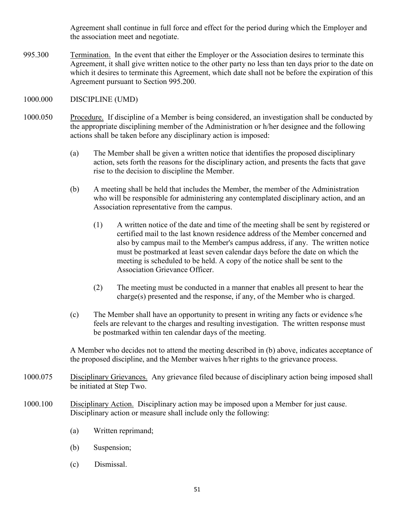Agreement shall continue in full force and effect for the period during which the Employer and the association meet and negotiate.

995.300 Termination. In the event that either the Employer or the Association desires to terminate this Agreement, it shall give written notice to the other party no less than ten days prior to the date on which it desires to terminate this Agreement, which date shall not be before the expiration of this Agreement pursuant to Section 995.200.

### 1000.000 DISCIPLINE (UMD)

- 1000.050 Procedure. If discipline of a Member is being considered, an investigation shall be conducted by the appropriate disciplining member of the Administration or h/her designee and the following actions shall be taken before any disciplinary action is imposed:
	- (a) The Member shall be given a written notice that identifies the proposed disciplinary action, sets forth the reasons for the disciplinary action, and presents the facts that gave rise to the decision to discipline the Member.
	- (b) A meeting shall be held that includes the Member, the member of the Administration who will be responsible for administering any contemplated disciplinary action, and an Association representative from the campus.
		- (1) A written notice of the date and time of the meeting shall be sent by registered or certified mail to the last known residence address of the Member concerned and also by campus mail to the Member's campus address, if any. The written notice must be postmarked at least seven calendar days before the date on which the meeting is scheduled to be held. A copy of the notice shall be sent to the Association Grievance Officer.
		- (2) The meeting must be conducted in a manner that enables all present to hear the charge(s) presented and the response, if any, of the Member who is charged.
	- (c) The Member shall have an opportunity to present in writing any facts or evidence s/he feels are relevant to the charges and resulting investigation. The written response must be postmarked within ten calendar days of the meeting.

A Member who decides not to attend the meeting described in (b) above, indicates acceptance of the proposed discipline, and the Member waives h/her rights to the grievance process.

- 1000.075 Disciplinary Grievances. Any grievance filed because of disciplinary action being imposed shall be initiated at Step Two.
- 1000.100 Disciplinary Action. Disciplinary action may be imposed upon a Member for just cause. Disciplinary action or measure shall include only the following:
	- (a) Written reprimand;
	- (b) Suspension;
	- (c) Dismissal.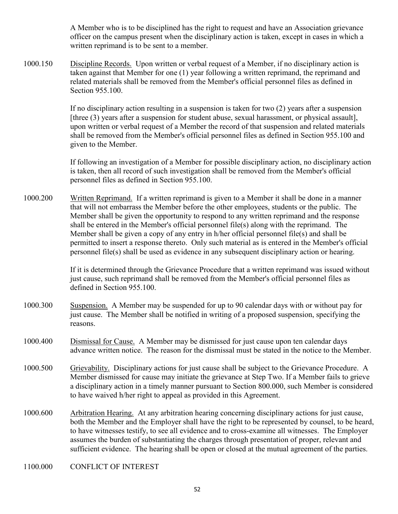A Member who is to be disciplined has the right to request and have an Association grievance officer on the campus present when the disciplinary action is taken, except in cases in which a written reprimand is to be sent to a member.

1000.150 Discipline Records. Upon written or verbal request of a Member, if no disciplinary action is taken against that Member for one (1) year following a written reprimand, the reprimand and related materials shall be removed from the Member's official personnel files as defined in Section 955.100.

> If no disciplinary action resulting in a suspension is taken for two (2) years after a suspension [three (3) years after a suspension for student abuse, sexual harassment, or physical assault], upon written or verbal request of a Member the record of that suspension and related materials shall be removed from the Member's official personnel files as defined in Section 955.100 and given to the Member.

If following an investigation of a Member for possible disciplinary action, no disciplinary action is taken, then all record of such investigation shall be removed from the Member's official personnel files as defined in Section 955.100.

1000.200 Written Reprimand. If a written reprimand is given to a Member it shall be done in a manner that will not embarrass the Member before the other employees, students or the public. The Member shall be given the opportunity to respond to any written reprimand and the response shall be entered in the Member's official personnel file(s) along with the reprimand. The Member shall be given a copy of any entry in h/her official personnel file(s) and shall be permitted to insert a response thereto. Only such material as is entered in the Member's official personnel file(s) shall be used as evidence in any subsequent disciplinary action or hearing.

> If it is determined through the Grievance Procedure that a written reprimand was issued without just cause, such reprimand shall be removed from the Member's official personnel files as defined in Section 955.100.

- 1000.300 Suspension. A Member may be suspended for up to 90 calendar days with or without pay for just cause. The Member shall be notified in writing of a proposed suspension, specifying the reasons.
- 1000.400 Dismissal for Cause. A Member may be dismissed for just cause upon ten calendar days advance written notice. The reason for the dismissal must be stated in the notice to the Member.
- 1000.500 Grievability. Disciplinary actions for just cause shall be subject to the Grievance Procedure. A Member dismissed for cause may initiate the grievance at Step Two. If a Member fails to grieve a disciplinary action in a timely manner pursuant to Section 800.000, such Member is considered to have waived h/her right to appeal as provided in this Agreement.
- 1000.600 Arbitration Hearing. At any arbitration hearing concerning disciplinary actions for just cause, both the Member and the Employer shall have the right to be represented by counsel, to be heard, to have witnesses testify, to see all evidence and to cross-examine all witnesses. The Employer assumes the burden of substantiating the charges through presentation of proper, relevant and sufficient evidence. The hearing shall be open or closed at the mutual agreement of the parties.
- 1100.000 CONFLICT OF INTEREST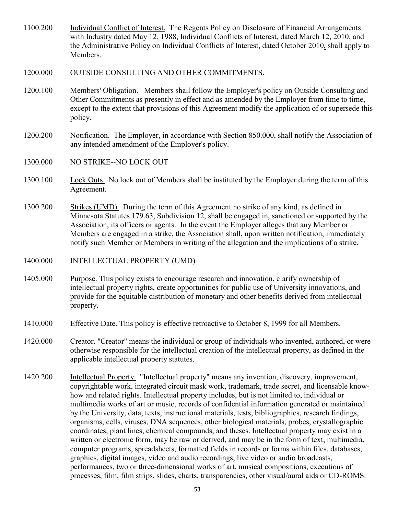- 1100.200 Individual Conflict of Interest. The Regents Policy on Disclosure of Financial Arrangements with Industry dated May 12, 1988, Individual Conflicts of Interest, dated March 12, 2010, and the Administrative Policy on Individual Conflicts of Interest, dated October 2010, shall apply to Members.
- 1200.000 OUTSIDE CONSULTING AND OTHER COMMITMENTS.
- 1200.100 Members' Obligation. Members shall follow the Employer's policy on Outside Consulting and Other Commitments as presently in effect and as amended by the Employer from time to time, except to the extent that provisions of this Agreement modify the application of or supersede this policy.
- 1200.200 Notification. The Employer, in accordance with Section 850.000, shall notify the Association of any intended amendment of the Employer's policy.
- 1300.000 NO STRIKE--NO LOCK OUT
- 1300.100 Lock Outs. No lock out of Members shall be instituted by the Employer during the term of this Agreement.
- 1300.200 Strikes (UMD). During the term of this Agreement no strike of any kind, as defined in Minnesota Statutes 179.63, Subdivision 12, shall be engaged in, sanctioned or supported by the Association, its officers or agents. In the event the Employer alleges that any Member or Members are engaged in a strike, the Association shall, upon written notification, immediately notify such Member or Members in writing of the allegation and the implications of a strike.
- 1400.000 INTELLECTUAL PROPERTY (UMD)
- 1405.000 Purpose. This policy exists to encourage research and innovation, clarify ownership of intellectual property rights, create opportunities for public use of University innovations, and provide for the equitable distribution of monetary and other benefits derived from intellectual property.
- 1410.000 Effective Date. This policy is effective retroactive to October 8, 1999 for all Members.
- 1420.000 Creator. "Creator" means the individual or group of individuals who invented, authored, or were otherwise responsible for the intellectual creation of the intellectual property, as defined in the applicable intellectual property statutes.
- 1420.200 Intellectual Property. "Intellectual property" means any invention, discovery, improvement, copyrightable work, integrated circuit mask work, trademark, trade secret, and licensable knowhow and related rights. Intellectual property includes, but is not limited to, individual or multimedia works of art or music, records of confidential information generated or maintained by the University, data, texts, instructional materials, tests, bibliographies, research findings, organisms, cells, viruses, DNA sequences, other biological materials, probes, crystallographic coordinates, plant lines, chemical compounds, and theses. Intellectual property may exist in a written or electronic form, may be raw or derived, and may be in the form of text, multimedia, computer programs, spreadsheets, formatted fields in records or forms within files, databases, graphics, digital images, video and audio recordings, live video or audio broadcasts, performances, two or three-dimensional works of art, musical compositions, executions of processes, film, film strips, slides, charts, transparencies, other visual/aural aids or CD-ROMS.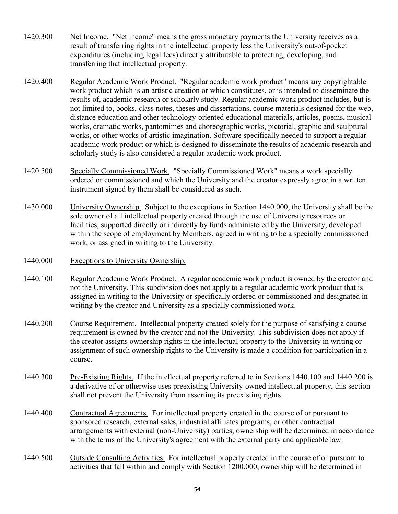- 1420.300 Net Income. "Net income" means the gross monetary payments the University receives as a result of transferring rights in the intellectual property less the University's out-of-pocket expenditures (including legal fees) directly attributable to protecting, developing, and transferring that intellectual property.
- 1420.400 Regular Academic Work Product. "Regular academic work product" means any copyrightable work product which is an artistic creation or which constitutes, or is intended to disseminate the results of, academic research or scholarly study. Regular academic work product includes, but is not limited to, books, class notes, theses and dissertations, course materials designed for the web, distance education and other technology-oriented educational materials, articles, poems, musical works, dramatic works, pantomimes and choreographic works, pictorial, graphic and sculptural works, or other works of artistic imagination. Software specifically needed to support a regular academic work product or which is designed to disseminate the results of academic research and scholarly study is also considered a regular academic work product.
- 1420.500 Specially Commissioned Work. "Specially Commissioned Work" means a work specially ordered or commissioned and which the University and the creator expressly agree in a written instrument signed by them shall be considered as such.
- 1430.000 University Ownership. Subject to the exceptions in Section 1440.000, the University shall be the sole owner of all intellectual property created through the use of University resources or facilities, supported directly or indirectly by funds administered by the University, developed within the scope of employment by Members, agreed in writing to be a specially commissioned work, or assigned in writing to the University.
- 1440.000 Exceptions to University Ownership.
- 1440.100 Regular Academic Work Product. A regular academic work product is owned by the creator and not the University. This subdivision does not apply to a regular academic work product that is assigned in writing to the University or specifically ordered or commissioned and designated in writing by the creator and University as a specially commissioned work.
- 1440.200 Course Requirement. Intellectual property created solely for the purpose of satisfying a course requirement is owned by the creator and not the University. This subdivision does not apply if the creator assigns ownership rights in the intellectual property to the University in writing or assignment of such ownership rights to the University is made a condition for participation in a course.
- 1440.300 Pre-Existing Rights. If the intellectual property referred to in Sections 1440.100 and 1440.200 is a derivative of or otherwise uses preexisting University-owned intellectual property, this section shall not prevent the University from asserting its preexisting rights.
- 1440.400 Contractual Agreements. For intellectual property created in the course of or pursuant to sponsored research, external sales, industrial affiliates programs, or other contractual arrangements with external (non-University) parties, ownership will be determined in accordance with the terms of the University's agreement with the external party and applicable law.
- 1440.500 Outside Consulting Activities. For intellectual property created in the course of or pursuant to activities that fall within and comply with Section 1200.000, ownership will be determined in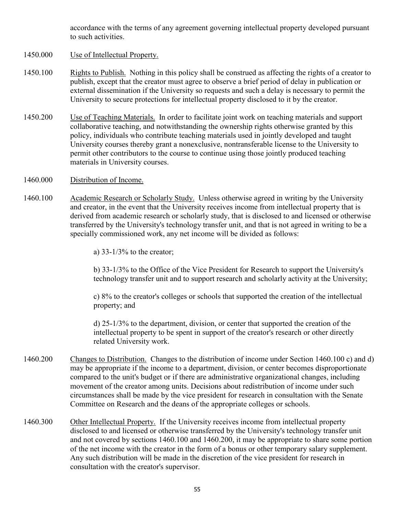accordance with the terms of any agreement governing intellectual property developed pursuant to such activities.

- 1450.000 Use of Intellectual Property.
- 1450.100 Rights to Publish. Nothing in this policy shall be construed as affecting the rights of a creator to publish, except that the creator must agree to observe a brief period of delay in publication or external dissemination if the University so requests and such a delay is necessary to permit the University to secure protections for intellectual property disclosed to it by the creator.
- 1450.200 Use of Teaching Materials. In order to facilitate joint work on teaching materials and support collaborative teaching, and notwithstanding the ownership rights otherwise granted by this policy, individuals who contribute teaching materials used in jointly developed and taught University courses thereby grant a nonexclusive, nontransferable license to the University to permit other contributors to the course to continue using those jointly produced teaching materials in University courses.
- 1460.000 Distribution of Income.
- 1460.100 Academic Research or Scholarly Study. Unless otherwise agreed in writing by the University and creator, in the event that the University receives income from intellectual property that is derived from academic research or scholarly study, that is disclosed to and licensed or otherwise transferred by the University's technology transfer unit, and that is not agreed in writing to be a specially commissioned work, any net income will be divided as follows:
	- a)  $33-1/3\%$  to the creator;

b) 33-1/3% to the Office of the Vice President for Research to support the University's technology transfer unit and to support research and scholarly activity at the University;

c) 8% to the creator's colleges or schools that supported the creation of the intellectual property; and

d) 25-1/3% to the department, division, or center that supported the creation of the intellectual property to be spent in support of the creator's research or other directly related University work.

- 1460.200 Changes to Distribution. Changes to the distribution of income under Section 1460.100 c) and d) may be appropriate if the income to a department, division, or center becomes disproportionate compared to the unit's budget or if there are administrative organizational changes, including movement of the creator among units. Decisions about redistribution of income under such circumstances shall be made by the vice president for research in consultation with the Senate Committee on Research and the deans of the appropriate colleges or schools.
- 1460.300 Other Intellectual Property. If the University receives income from intellectual property disclosed to and licensed or otherwise transferred by the University's technology transfer unit and not covered by sections 1460.100 and 1460.200, it may be appropriate to share some portion of the net income with the creator in the form of a bonus or other temporary salary supplement. Any such distribution will be made in the discretion of the vice president for research in consultation with the creator's supervisor.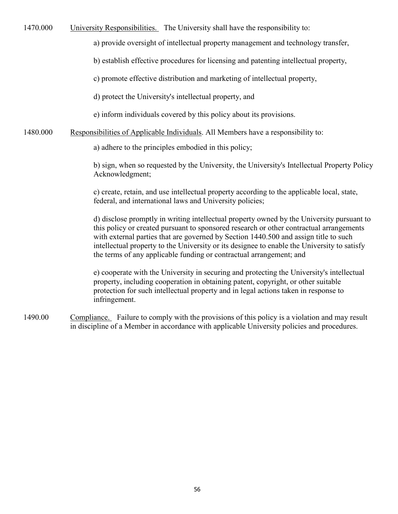1470.000 University Responsibilities. The University shall have the responsibility to:

a) provide oversight of intellectual property management and technology transfer,

b) establish effective procedures for licensing and patenting intellectual property,

c) promote effective distribution and marketing of intellectual property,

d) protect the University's intellectual property, and

e) inform individuals covered by this policy about its provisions.

## 1480.000 Responsibilities of Applicable Individuals. All Members have a responsibility to:

a) adhere to the principles embodied in this policy;

b) sign, when so requested by the University, the University's Intellectual Property Policy Acknowledgment;

c) create, retain, and use intellectual property according to the applicable local, state, federal, and international laws and University policies;

d) disclose promptly in writing intellectual property owned by the University pursuant to this policy or created pursuant to sponsored research or other contractual arrangements with external parties that are governed by Section 1440.500 and assign title to such intellectual property to the University or its designee to enable the University to satisfy the terms of any applicable funding or contractual arrangement; and

e) cooperate with the University in securing and protecting the University's intellectual property, including cooperation in obtaining patent, copyright, or other suitable protection for such intellectual property and in legal actions taken in response to infringement.

1490.00 Compliance. Failure to comply with the provisions of this policy is a violation and may result in discipline of a Member in accordance with applicable University policies and procedures.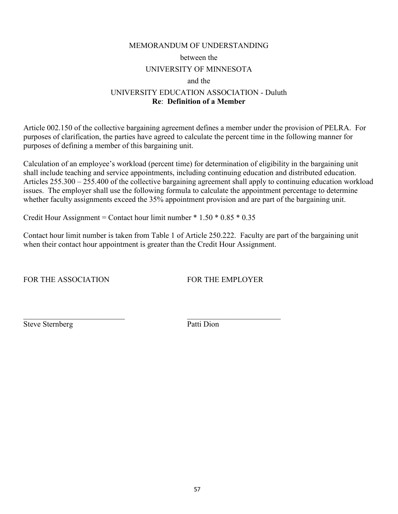## MEMORANDUM OF UNDERSTANDING between the UNIVERSITY OF MINNESOTA and the UNIVERSITY EDUCATION ASSOCIATION - Duluth **Re**: **Definition of a Member**

Article 002.150 of the collective bargaining agreement defines a member under the provision of PELRA. For purposes of clarification, the parties have agreed to calculate the percent time in the following manner for purposes of defining a member of this bargaining unit.

Calculation of an employee's workload (percent time) for determination of eligibility in the bargaining unit shall include teaching and service appointments, including continuing education and distributed education. Articles 255.300 – 255.400 of the collective bargaining agreement shall apply to continuing education workload issues. The employer shall use the following formula to calculate the appointment percentage to determine whether faculty assignments exceed the 35% appointment provision and are part of the bargaining unit.

Credit Hour Assignment = Contact hour limit number  $* 1.50 * 0.85 * 0.35$ 

 $\mathcal{L}_\text{max}$  , and the contract of the contract of the contract of the contract of the contract of the contract of the contract of the contract of the contract of the contract of the contract of the contract of the contr

Contact hour limit number is taken from Table 1 of Article 250.222. Faculty are part of the bargaining unit when their contact hour appointment is greater than the Credit Hour Assignment.

FOR THE ASSOCIATION FOR THE EMPLOYER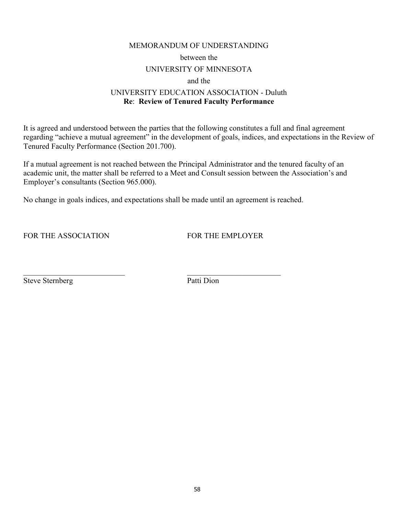#### MEMORANDUM OF UNDERSTANDING

between the

#### UNIVERSITY OF MINNESOTA

and the

## UNIVERSITY EDUCATION ASSOCIATION - Duluth **Re**: **Review of Tenured Faculty Performance**

It is agreed and understood between the parties that the following constitutes a full and final agreement regarding "achieve a mutual agreement" in the development of goals, indices, and expectations in the Review of Tenured Faculty Performance (Section 201.700).

If a mutual agreement is not reached between the Principal Administrator and the tenured faculty of an academic unit, the matter shall be referred to a Meet and Consult session between the Association's and Employer's consultants (Section 965.000).

No change in goals indices, and expectations shall be made until an agreement is reached.

 $\mathcal{L}_\text{max}$  , and the contract of the contract of the contract of the contract of the contract of the contract of the contract of the contract of the contract of the contract of the contract of the contract of the contr

FOR THE ASSOCIATION FOR THE EMPLOYER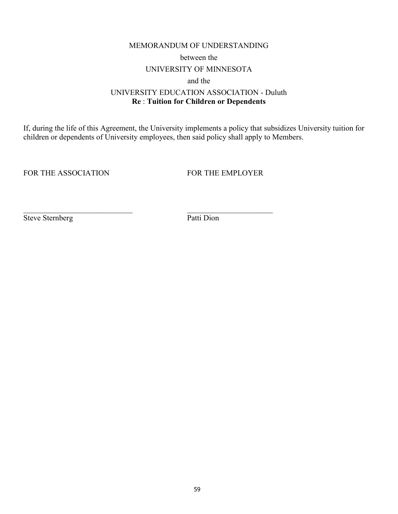#### MEMORANDUM OF UNDERSTANDING

between the

### UNIVERSITY OF MINNESOTA

and the

## UNIVERSITY EDUCATION ASSOCIATION - Duluth **Re** : **Tuition for Children or Dependents**

If, during the life of this Agreement, the University implements a policy that subsidizes University tuition for children or dependents of University employees, then said policy shall apply to Members.

FOR THE ASSOCIATION FOR THE EMPLOYER

Steve Sternberg Patti Dion

 $\_$  , and the set of the set of the set of the set of the set of the set of the set of the set of the set of the set of the set of the set of the set of the set of the set of the set of the set of the set of the set of th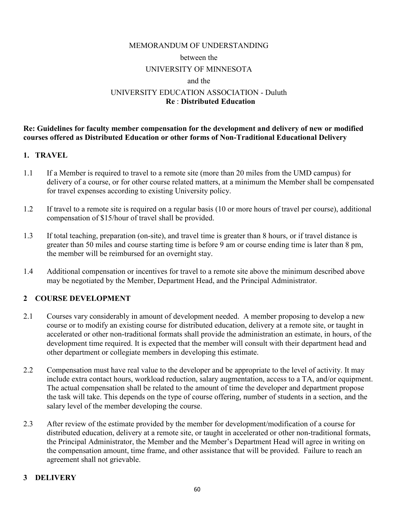## MEMORANDUM OF UNDERSTANDING between the UNIVERSITY OF MINNESOTA and the UNIVERSITY EDUCATION ASSOCIATION - Duluth **Re** : **Distributed Education**

**Re: Guidelines for faculty member compensation for the development and delivery of new or modified courses offered as Distributed Education or other forms of Non-Traditional Educational Delivery**

## **1. TRAVEL**

- 1.1 If a Member is required to travel to a remote site (more than 20 miles from the UMD campus) for delivery of a course, or for other course related matters, at a minimum the Member shall be compensated for travel expenses according to existing University policy.
- 1.2 If travel to a remote site is required on a regular basis (10 or more hours of travel per course), additional compensation of \$15/hour of travel shall be provided.
- 1.3 If total teaching, preparation (on-site), and travel time is greater than 8 hours, or if travel distance is greater than 50 miles and course starting time is before 9 am or course ending time is later than 8 pm, the member will be reimbursed for an overnight stay.
- 1.4 Additional compensation or incentives for travel to a remote site above the minimum described above may be negotiated by the Member, Department Head, and the Principal Administrator.

## **2 COURSE DEVELOPMENT**

- 2.1 Courses vary considerably in amount of development needed. A member proposing to develop a new course or to modify an existing course for distributed education, delivery at a remote site, or taught in accelerated or other non-traditional formats shall provide the administration an estimate, in hours, of the development time required. It is expected that the member will consult with their department head and other department or collegiate members in developing this estimate.
- 2.2 Compensation must have real value to the developer and be appropriate to the level of activity. It may include extra contact hours, workload reduction, salary augmentation, access to a TA, and/or equipment. The actual compensation shall be related to the amount of time the developer and department propose the task will take. This depends on the type of course offering, number of students in a section, and the salary level of the member developing the course.
- 2.3 After review of the estimate provided by the member for development/modification of a course for distributed education, delivery at a remote site, or taught in accelerated or other non-traditional formats, the Principal Administrator, the Member and the Member's Department Head will agree in writing on the compensation amount, time frame, and other assistance that will be provided. Failure to reach an agreement shall not grievable.

## **3 DELIVERY**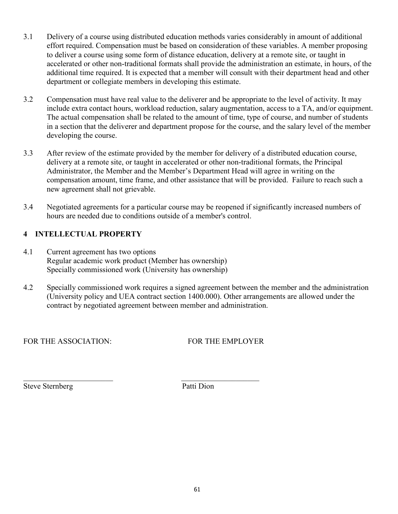- 3.1 Delivery of a course using distributed education methods varies considerably in amount of additional effort required. Compensation must be based on consideration of these variables. A member proposing to deliver a course using some form of distance education, delivery at a remote site, or taught in accelerated or other non-traditional formats shall provide the administration an estimate, in hours, of the additional time required. It is expected that a member will consult with their department head and other department or collegiate members in developing this estimate.
- 3.2 Compensation must have real value to the deliverer and be appropriate to the level of activity. It may include extra contact hours, workload reduction, salary augmentation, access to a TA, and/or equipment. The actual compensation shall be related to the amount of time, type of course, and number of students in a section that the deliverer and department propose for the course, and the salary level of the member developing the course.
- 3.3 After review of the estimate provided by the member for delivery of a distributed education course, delivery at a remote site, or taught in accelerated or other non-traditional formats, the Principal Administrator, the Member and the Member's Department Head will agree in writing on the compensation amount, time frame, and other assistance that will be provided. Failure to reach such a new agreement shall not grievable.
- 3.4 Negotiated agreements for a particular course may be reopened if significantly increased numbers of hours are needed due to conditions outside of a member's control.

## **4 INTELLECTUAL PROPERTY**

- 4.1 Current agreement has two options Regular academic work product (Member has ownership) Specially commissioned work (University has ownership)
- 4.2 Specially commissioned work requires a signed agreement between the member and the administration (University policy and UEA contract section 1400.000). Other arrangements are allowed under the contract by negotiated agreement between member and administration.

FOR THE ASSOCIATION: FOR THE EMPLOYER

Steve Sternberg Patti Dion

\_\_\_\_\_\_\_\_\_\_\_\_\_\_\_\_\_\_\_\_\_\_\_ \_\_\_\_\_\_\_\_\_\_\_\_\_\_\_\_\_\_\_\_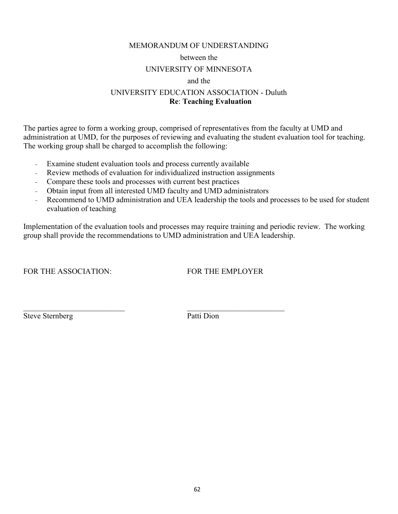#### MEMORANDUM OF UNDERSTANDING

#### between the

## UNIVERSITY OF MINNESOTA

#### and the

## UNIVERSITY EDUCATION ASSOCIATION - Duluth **Re**: **Teaching Evaluation**

The parties agree to form a working group, comprised of representatives from the faculty at UMD and administration at UMD, for the purposes of reviewing and evaluating the student evaluation tool for teaching. The working group shall be charged to accomplish the following:

- Examine student evaluation tools and process currently available
- Review methods of evaluation for individualized instruction assignments
- Compare these tools and processes with current best practices
- Obtain input from all interested UMD faculty and UMD administrators
- Recommend to UMD administration and UEA leadership the tools and processes to be used for student evaluation of teaching

Implementation of the evaluation tools and processes may require training and periodic review. The working group shall provide the recommendations to UMD administration and UEA leadership.

FOR THE ASSOCIATION: FOR THE EMPLOYER

Steve Sternberg Patti Dion

 $\overline{\phantom{a}}$  , and the contribution of the contribution of  $\overline{\phantom{a}}$  , and the contribution of  $\overline{\phantom{a}}$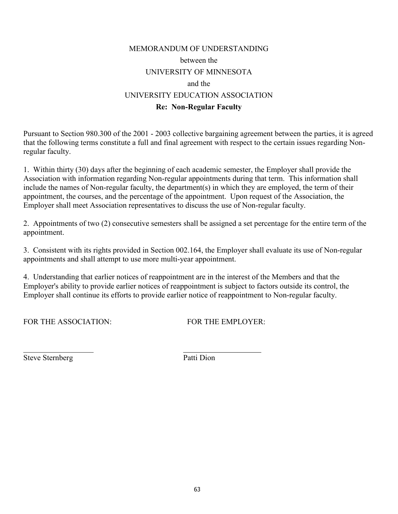# MEMORANDUM OF UNDERSTANDING between the UNIVERSITY OF MINNESOTA and the UNIVERSITY EDUCATION ASSOCIATION **Re: Non-Regular Faculty**

Pursuant to Section 980.300 of the 2001 - 2003 collective bargaining agreement between the parties, it is agreed that the following terms constitute a full and final agreement with respect to the certain issues regarding Nonregular faculty.

1. Within thirty (30) days after the beginning of each academic semester, the Employer shall provide the Association with information regarding Non-regular appointments during that term. This information shall include the names of Non-regular faculty, the department(s) in which they are employed, the term of their appointment, the courses, and the percentage of the appointment. Upon request of the Association, the Employer shall meet Association representatives to discuss the use of Non-regular faculty.

2. Appointments of two (2) consecutive semesters shall be assigned a set percentage for the entire term of the appointment.

3. Consistent with its rights provided in Section 002.164, the Employer shall evaluate its use of Non-regular appointments and shall attempt to use more multi-year appointment.

4. Understanding that earlier notices of reappointment are in the interest of the Members and that the Employer's ability to provide earlier notices of reappointment is subject to factors outside its control, the Employer shall continue its efforts to provide earlier notice of reappointment to Non-regular faculty.

 $\overline{\phantom{a}}$  , and the contract of the contract of the contract of the contract of the contract of the contract of the contract of the contract of the contract of the contract of the contract of the contract of the contrac

FOR THE ASSOCIATION: FOR THE EMPLOYER: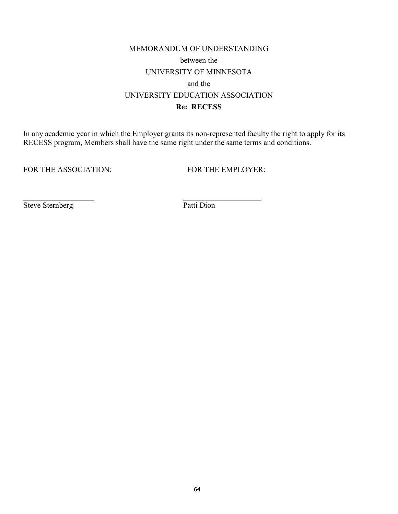# MEMORANDUM OF UNDERSTANDING between the UNIVERSITY OF MINNESOTA and the UNIVERSITY EDUCATION ASSOCIATION **Re: RECESS**

In any academic year in which the Employer grants its non-represented faculty the right to apply for its RECESS program, Members shall have the same right under the same terms and conditions.

 $\overline{\phantom{a}}$  , and the contract of the contract of the contract of the contract of the contract of the contract of the contract of the contract of the contract of the contract of the contract of the contract of the contrac

FOR THE ASSOCIATION: FOR THE EMPLOYER: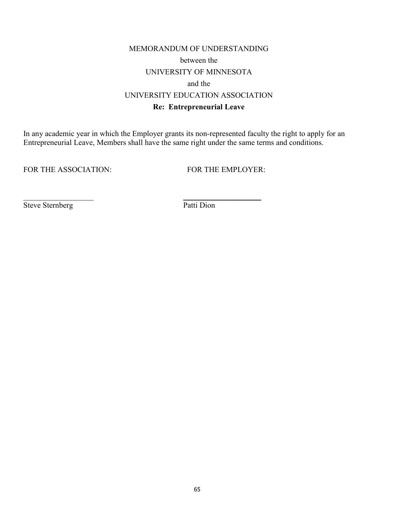# MEMORANDUM OF UNDERSTANDING between the UNIVERSITY OF MINNESOTA and the UNIVERSITY EDUCATION ASSOCIATION **Re: Entrepreneurial Leave**

In any academic year in which the Employer grants its non-represented faculty the right to apply for an Entrepreneurial Leave, Members shall have the same right under the same terms and conditions.

 $\overline{\phantom{a}}$  , and the contract of the contract of the contract of the contract of the contract of the contract of the contract of the contract of the contract of the contract of the contract of the contract of the contrac

FOR THE ASSOCIATION: FOR THE EMPLOYER: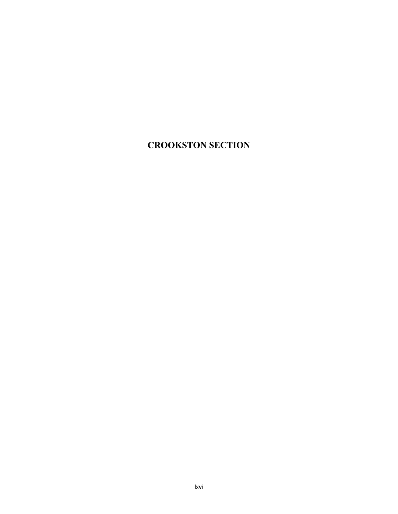# **CROOKSTON SECTION**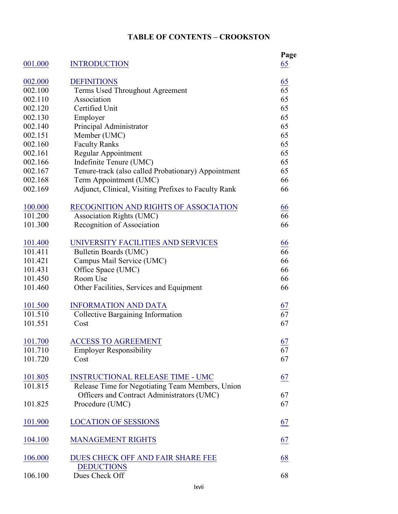## **TABLE OF CONTENTS – CROOKSTON**

| 001.000        | <b>INTRODUCTION</b>                                  | Page<br>65       |
|----------------|------------------------------------------------------|------------------|
| 002,000        | <b>DEFINITIONS</b>                                   |                  |
| 002.100        | Terms Used Throughout Agreement                      | $\frac{65}{65}$  |
| 002.110        | Association                                          | 65               |
| 002.120        | Certified Unit                                       | 65               |
| 002.130        | Employer                                             | 65               |
| 002.140        | Principal Administrator                              | 65               |
| 002.151        | Member (UMC)                                         | 65               |
| 002.160        | <b>Faculty Ranks</b>                                 | 65               |
| 002.161        | Regular Appointment                                  | 65               |
| 002.166        | Indefinite Tenure (UMC)                              | 65               |
| 002.167        | Tenure-track (also called Probationary) Appointment  | 65               |
| 002.168        | Term Appointment (UMC)                               | 66               |
| 002.169        | Adjunct, Clinical, Visiting Prefixes to Faculty Rank | 66               |
| 100.000        | RECOGNITION AND RIGHTS OF ASSOCIATION                | 66               |
| 101.200        | <b>Association Rights (UMC)</b>                      | 66               |
| 101.300        | Recognition of Association                           | 66               |
| 101.400        | UNIVERSITY FACILITIES AND SERVICES                   | $\underline{66}$ |
| 101.411        | Bulletin Boards (UMC)                                | 66               |
| 101.421        | Campus Mail Service (UMC)                            | 66               |
| 101.431        | Office Space (UMC)                                   | 66               |
| 101.450        | Room Use                                             | 66               |
| 101.460        | Other Facilities, Services and Equipment             | 66               |
| 101.500        | <b>INFORMATION AND DATA</b>                          | $\frac{67}{67}$  |
| 101.510        | Collective Bargaining Information                    |                  |
| 101.551        | Cost                                                 | 67               |
| 101.700        | <b>ACCESS TO AGREEMENT</b>                           | $\frac{67}{67}$  |
| 101.710        | <b>Employer Responsibility</b>                       |                  |
| 101.720        | Cost                                                 | 67               |
| <u>101.805</u> | <b>INSTRUCTIONAL RELEASE TIME - UMC</b>              | 67               |
| 101.815        | Release Time for Negotiating Team Members, Union     |                  |
|                | Officers and Contract Administrators (UMC)           | 67               |
| 101.825        | Procedure (UMC)                                      | 67               |
| 101.900        | <b>LOCATION OF SESSIONS</b>                          | $\underline{67}$ |
| 104.100        | <b>MANAGEMENT RIGHTS</b>                             | 67               |
| 106.000        | DUES CHECK OFF AND FAIR SHARE FEE                    | 68               |
|                | <b>DEDUCTIONS</b>                                    |                  |
| 106.100        | Dues Check Off                                       | 68               |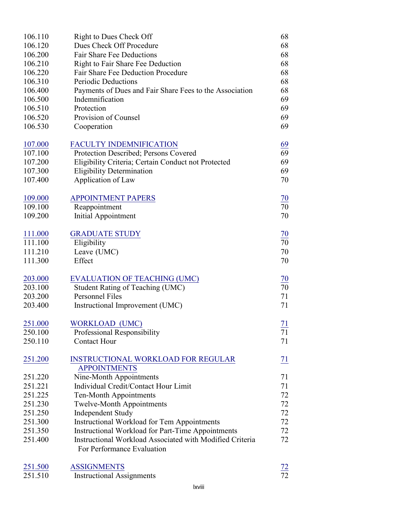| 106.110 | Right to Dues Check Off                                  | 68              |
|---------|----------------------------------------------------------|-----------------|
| 106.120 | Dues Check Off Procedure                                 | 68              |
| 106.200 | <b>Fair Share Fee Deductions</b>                         | 68              |
| 106.210 | Right to Fair Share Fee Deduction                        | 68              |
| 106.220 | Fair Share Fee Deduction Procedure                       | 68              |
| 106.310 | <b>Periodic Deductions</b>                               | 68              |
| 106.400 | Payments of Dues and Fair Share Fees to the Association  | 68              |
| 106.500 | Indemnification                                          | 69              |
| 106.510 | Protection                                               | 69              |
| 106.520 | Provision of Counsel                                     | 69              |
| 106.530 | Cooperation                                              | 69              |
| 107.000 | <b>FACULTY INDEMNIFICATION</b>                           | <u>69</u>       |
| 107.100 | Protection Described; Persons Covered                    | 69              |
| 107.200 | Eligibility Criteria; Certain Conduct not Protected      | 69              |
| 107.300 | <b>Eligibility Determination</b>                         | 69              |
| 107.400 | Application of Law                                       | 70              |
| 109.000 | <b>APPOINTMENT PAPERS</b>                                | $\frac{70}{70}$ |
| 109.100 | Reappointment                                            |                 |
| 109.200 | Initial Appointment                                      | 70              |
| 111.000 | <b>GRADUATE STUDY</b>                                    | $\overline{10}$ |
| 111.100 | Eligibility                                              | 70              |
| 111.210 | Leave (UMC)                                              | 70              |
| 111.300 | Effect                                                   | 70              |
| 203.000 | <b>EVALUATION OF TEACHING (UMC)</b>                      | 70              |
| 203.100 | <b>Student Rating of Teaching (UMC)</b>                  | 70              |
| 203.200 | Personnel Files                                          | 71              |
| 203.400 | Instructional Improvement (UMC)                          | 71              |
| 251.000 | <b>WORKLOAD (UMC)</b>                                    | $\frac{71}{2}$  |
| 250.100 | Professional Responsibility                              | 71              |
| 250.110 | <b>Contact Hour</b>                                      | 71              |
| 251.200 | <b>INSTRUCTIONAL WORKLOAD FOR REGULAR</b>                | 71              |
|         | <b>APPOINTMENTS</b>                                      |                 |
| 251.220 | Nine-Month Appointments                                  | 71              |
| 251.221 | Individual Credit/Contact Hour Limit                     | 71              |
| 251.225 | Ten-Month Appointments                                   | 72              |
| 251.230 | <b>Twelve-Month Appointments</b>                         | 72              |
| 251.250 | <b>Independent Study</b>                                 | 72              |
| 251.300 | Instructional Workload for Tem Appointments              | 72              |
| 251.350 | Instructional Workload for Part-Time Appointments        | 72              |
| 251.400 | Instructional Workload Associated with Modified Criteria | 72              |
|         | For Performance Evaluation                               |                 |
| 251.500 | <b>ASSIGNMENTS</b>                                       | $\frac{72}{72}$ |
| 251.510 | <b>Instructional Assignments</b>                         |                 |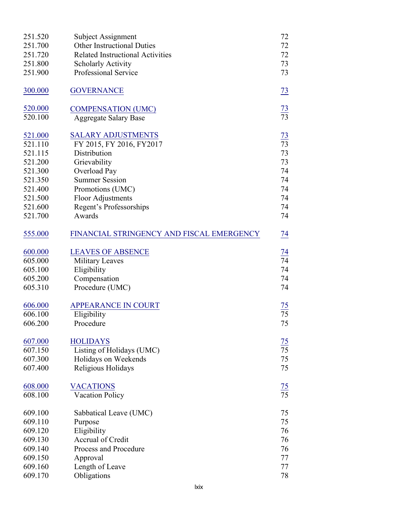| 251.520        | Subject Assignment                        | 72              |
|----------------|-------------------------------------------|-----------------|
| 251.700        | <b>Other Instructional Duties</b>         | 72              |
| 251.720        | <b>Related Instructional Activities</b>   | 72              |
| 251.800        | <b>Scholarly Activity</b>                 | 73              |
| 251.900        | Professional Service                      | 73              |
|                |                                           |                 |
| 300.000        | <b>GOVERNANCE</b>                         | $\frac{73}{2}$  |
|                |                                           |                 |
| <u>520.000</u> | <b>COMPENSATION (UMC)</b>                 | $\frac{73}{73}$ |
| 520.100        | <b>Aggregate Salary Base</b>              |                 |
|                |                                           |                 |
| 521.000        | <b>SALARY ADJUSTMENTS</b>                 | $\frac{73}{73}$ |
| 521.110        | FY 2015, FY 2016, FY2017                  |                 |
| 521.115        | Distribution                              | 73              |
| 521.200        | Grievability                              | 73              |
| 521.300        | Overload Pay                              | 74              |
| 521.350        | <b>Summer Session</b>                     | 74              |
| 521.400        | Promotions (UMC)                          | 74              |
| 521.500        | Floor Adjustments                         | 74              |
| 521.600        | Regent's Professorships                   | 74              |
| 521.700        | Awards                                    | 74              |
| 555.000        | FINANCIAL STRINGENCY AND FISCAL EMERGENCY | $\frac{74}{1}$  |
|                |                                           |                 |
| 600.000        | <b>LEAVES OF ABSENCE</b>                  |                 |
| 605.000        | Military Leaves                           | $\frac{74}{74}$ |
| 605.100        | Eligibility                               | 74              |
| 605.200        | Compensation                              | 74              |
| 605.310        | Procedure (UMC)                           | 74              |
|                |                                           |                 |
| 606.000        | <b>APPEARANCE IN COURT</b>                | $\frac{75}{75}$ |
| 606.100        | Eligibility                               |                 |
| 606.200        | Procedure                                 | 75              |
| 607.000        | <b>HOLIDAYS</b>                           |                 |
| 607.150        | Listing of Holidays (UMC)                 | $\frac{75}{75}$ |
| 607.300        | Holidays on Weekends                      | 75              |
| 607.400        | Religious Holidays                        | 75              |
|                |                                           |                 |
| 608.000        | <b>VACATIONS</b>                          |                 |
| 608.100        | <b>Vacation Policy</b>                    | $\frac{75}{75}$ |
|                |                                           |                 |
| 609.100        | Sabbatical Leave (UMC)                    | 75              |
| 609.110        | Purpose                                   | 75              |
| 609.120        | Eligibility                               | 76              |
| 609.130        | Accrual of Credit                         | 76              |
| 609.140        | Process and Procedure                     | 76              |
| 609.150        | Approval                                  | 77              |
| 609.160        | Length of Leave                           | 77              |
| 609.170        | Obligations                               | 78              |
|                |                                           |                 |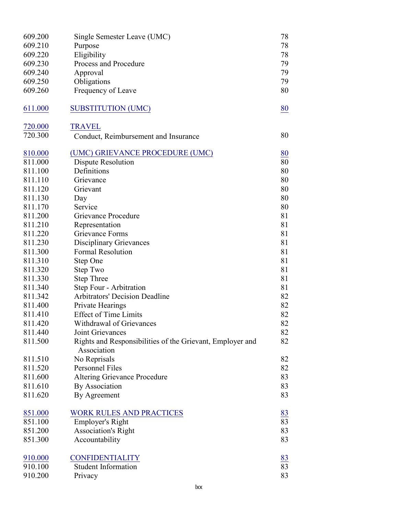| 609.200 | Single Semester Leave (UMC)                                              | 78 |
|---------|--------------------------------------------------------------------------|----|
| 609.210 | Purpose                                                                  | 78 |
| 609.220 | Eligibility                                                              | 78 |
| 609.230 | Process and Procedure                                                    | 79 |
| 609.240 | Approval                                                                 | 79 |
| 609.250 | Obligations                                                              | 79 |
| 609.260 | Frequency of Leave                                                       | 80 |
|         |                                                                          |    |
| 611.000 | <b>SUBSTITUTION (UMC)</b>                                                | 80 |
|         |                                                                          |    |
| 720.000 | <b>TRAVEL</b>                                                            |    |
| 720.300 | Conduct, Reimbursement and Insurance                                     | 80 |
| 810.000 | (UMC) GRIEVANCE PROCEDURE (UMC)                                          | 80 |
| 811.000 | <b>Dispute Resolution</b>                                                | 80 |
| 811.100 | Definitions                                                              | 80 |
| 811.110 | Grievance                                                                | 80 |
| 811.120 | Grievant                                                                 | 80 |
| 811.130 |                                                                          | 80 |
| 811.170 | Day<br>Service                                                           | 80 |
| 811.200 | Grievance Procedure                                                      | 81 |
| 811.210 | Representation                                                           | 81 |
| 811.220 | Grievance Forms                                                          | 81 |
| 811.230 |                                                                          | 81 |
|         | <b>Disciplinary Grievances</b><br><b>Formal Resolution</b>               | 81 |
| 811.300 |                                                                          |    |
| 811.310 | Step One                                                                 | 81 |
| 811.320 | Step Two                                                                 | 81 |
| 811.330 | <b>Step Three</b>                                                        | 81 |
| 811.340 | Step Four - Arbitration                                                  | 81 |
| 811.342 | <b>Arbitrators' Decision Deadline</b>                                    | 82 |
| 811.400 | Private Hearings                                                         | 82 |
| 811.410 | <b>Effect of Time Limits</b>                                             | 82 |
| 811.420 | Withdrawal of Grievances                                                 | 82 |
| 811.440 | Joint Grievances                                                         | 82 |
| 811.500 | Rights and Responsibilities of the Grievant, Employer and<br>Association | 82 |
| 811.510 | No Reprisals                                                             | 82 |
| 811.520 | Personnel Files                                                          | 82 |
| 811.600 | <b>Altering Grievance Procedure</b>                                      | 83 |
| 811.610 | <b>By Association</b>                                                    | 83 |
| 811.620 | By Agreement                                                             | 83 |
| 851.000 | <b>WORK RULES AND PRACTICES</b>                                          | 83 |
| 851.100 |                                                                          | 83 |
| 851.200 | <b>Employer's Right</b>                                                  | 83 |
| 851.300 | <b>Association's Right</b>                                               | 83 |
|         | Accountability                                                           |    |
| 910.000 | <b>CONFIDENTIALITY</b>                                                   | 83 |
| 910.100 | <b>Student Information</b>                                               | 83 |
| 910.200 | Privacy                                                                  | 83 |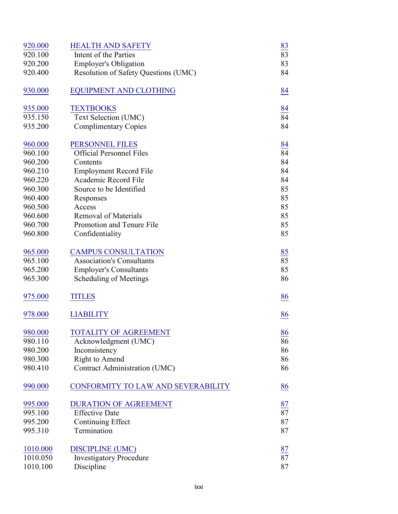| 920.000  | <b>HEALTH AND SAFETY</b>             | 83              |
|----------|--------------------------------------|-----------------|
| 920.100  | Intent of the Parties                | 83              |
| 920.200  | <b>Employer's Obligation</b>         | 83              |
| 920.400  | Resolution of Safety Questions (UMC) | 84              |
|          |                                      |                 |
| 930.000  | <b>EQUIPMENT AND CLOTHING</b>        | 84              |
| 935.000  | <b>TEXTBOOKS</b>                     | 84              |
| 935.150  | Text Selection (UMC)                 | 84              |
| 935.200  | <b>Complimentary Copies</b>          | 84              |
|          |                                      |                 |
| 960.000  | PERSONNEL FILES                      | 84              |
| 960.100  | <b>Official Personnel Files</b>      | 84              |
| 960.200  | Contents                             | 84              |
| 960.210  | <b>Employment Record File</b>        | 84              |
| 960.220  | Academic Record File                 | 84              |
| 960.300  | Source to be Identified              | 85              |
| 960.400  | Responses                            | 85              |
| 960.500  | Access                               | 85              |
| 960.600  | <b>Removal of Materials</b>          | 85              |
| 960.700  | Promotion and Tenure File            | 85              |
| 960.800  | Confidentiality                      | 85              |
|          |                                      |                 |
| 965.000  | <b>CAMPUS CONSULTATION</b>           | 85              |
| 965.100  | <b>Association's Consultants</b>     | $\overline{85}$ |
| 965.200  | <b>Employer's Consultants</b>        | 85              |
| 965.300  | Scheduling of Meetings               | 86              |
|          |                                      |                 |
| 975.000  | <b>TITLES</b>                        | 86              |
|          |                                      |                 |
| 978.000  | <b>LIABILITY</b>                     | 86              |
|          |                                      |                 |
| 980.000  | TOTALITY OF AGREEMENT                | 86              |
| 980.110  | Acknowledgment (UMC)                 | 86              |
| 980.200  | Inconsistency                        | 86              |
| 980.300  | Right to Amend                       | 86              |
| 980.410  | Contract Administration (UMC)        | 86              |
| 990.000  | CONFORMITY TO LAW AND SEVERABILITY   | 86              |
|          |                                      |                 |
| 995.000  | <b>DURATION OF AGREEMENT</b>         |                 |
| 995.100  | <b>Effective Date</b>                | $\frac{87}{87}$ |
| 995.200  | Continuing Effect                    | 87              |
| 995.310  | Termination                          | 87              |
|          |                                      |                 |
| 1010.000 | <b>DISCIPLINE (UMC)</b>              | 87              |
| 1010.050 | <b>Investigatory Procedure</b>       | $\overline{87}$ |
| 1010.100 | Discipline                           | 87              |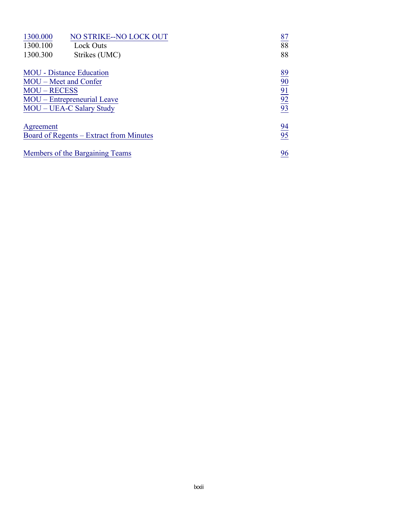| NO STRIKE--NO LOCK OUT<br>1300.000      | $\frac{87}{88}$                                       |
|-----------------------------------------|-------------------------------------------------------|
| 1300.100<br>Lock Outs                   |                                                       |
| 1300.300<br>Strikes (UMC)               | 88                                                    |
| <b>MOU</b> - Distance Education         | $\frac{89}{90}$<br>$\frac{90}{92}$<br>$\frac{92}{93}$ |
| MOU – Meet and Confer                   |                                                       |
| <b>MOU - RECESS</b>                     |                                                       |
| MOU – Entrepreneurial Leave             |                                                       |
| MOU – UEA-C Salary Study                |                                                       |
| Agreement                               | $\frac{94}{95}$                                       |
| Board of Regents – Extract from Minutes |                                                       |
| Members of the Bargaining Teams         | 96                                                    |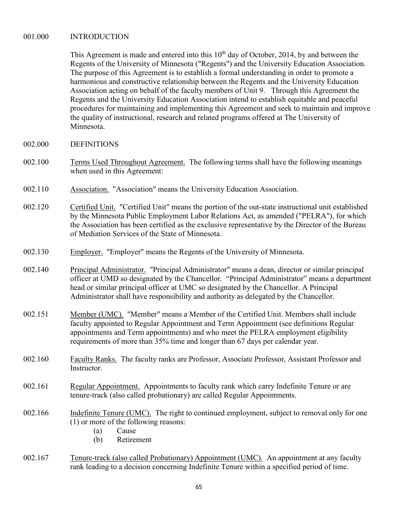#### <span id="page-97-0"></span>001.000 INTRODUCTION

This Agreement is made and entered into this  $10<sup>th</sup>$  day of October, 2014, by and between the Regents of the University of Minnesota ("Regents") and the University Education Association. The purpose of this Agreement is to establish a formal understanding in order to promote a harmonious and constructive relationship between the Regents and the University Education Association acting on behalf of the faculty members of Unit 9. Through this Agreement the Regents and the University Education Association intend to establish equitable and peaceful procedures for maintaining and implementing this Agreement and seek to maintain and improve the quality of instructional, research and related programs offered at The University of Minnesota.

- 002.000 DEFINITIONS
- 002.100 Terms Used Throughout Agreement. The following terms shall have the following meanings when used in this Agreement:
- 002.110 Association. "Association" means the University Education Association.
- 002.120 Certified Unit. "Certified Unit" means the portion of the out-state instructional unit established by the Minnesota Public Employment Labor Relations Act, as amended ("PELRA"), for which the Association has been certified as the exclusive representative by the Director of the Bureau of Mediation Services of the State of Minnesota.
- 002.130 Employer. "Employer" means the Regents of the University of Minnesota.
- 002.140 Principal Administrator. "Principal Administrator" means a dean, director or similar principal officer at UMD so designated by the Chancellor. "Principal Administrator" means a department head or similar principal officer at UMC so designated by the Chancellor. A Principal Administrator shall have responsibility and authority as delegated by the Chancellor.
- 002.151 Member (UMC). "Member" means a Member of the Certified Unit. Members shall include faculty appointed to Regular Appointment and Term Appointment (see definitions Regular appointments and Term appointments) and who meet the PELRA employment eligibility requirements of more than 35% time and longer than 67 days per calendar year.
- 002.160 Faculty Ranks. The faculty ranks are Professor, Associate Professor, Assistant Professor and Instructor.
- 002.161 Regular Appointment. Appointments to faculty rank which carry Indefinite Tenure or are tenure-track (also called probationary) are called Regular Appointments.
- 002.166 Indefinite Tenure (UMC). The right to continued employment, subject to removal only for one (1) or more of the following reasons:
	- (a) Cause
	- (b) Retirement
- 002.167 Tenure-track (also called Probationary) Appointment (UMC). An appointment at any faculty rank leading to a decision concerning Indefinite Tenure within a specified period of time.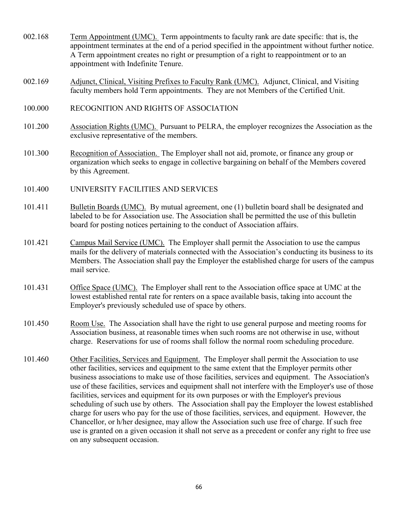- <span id="page-98-0"></span>002.168 Term Appointment (UMC). Term appointments to faculty rank are date specific: that is, the appointment terminates at the end of a period specified in the appointment without further notice. A Term appointment creates no right or presumption of a right to reappointment or to an appointment with Indefinite Tenure.
- 002.169 Adjunct, Clinical, Visiting Prefixes to Faculty Rank (UMC). Adjunct, Clinical, and Visiting faculty members hold Term appointments. They are not Members of the Certified Unit.
- 100.000 RECOGNITION AND RIGHTS OF ASSOCIATION
- 101.200 Association Rights (UMC). Pursuant to PELRA, the employer recognizes the Association as the exclusive representative of the members.
- 101.300 Recognition of Association. The Employer shall not aid, promote, or finance any group or organization which seeks to engage in collective bargaining on behalf of the Members covered by this Agreement.
- 101.400 UNIVERSITY FACILITIES AND SERVICES
- 101.411 Bulletin Boards (UMC). By mutual agreement, one (1) bulletin board shall be designated and labeled to be for Association use. The Association shall be permitted the use of this bulletin board for posting notices pertaining to the conduct of Association affairs.
- 101.421 Campus Mail Service (UMC). The Employer shall permit the Association to use the campus mails for the delivery of materials connected with the Association's conducting its business to its Members. The Association shall pay the Employer the established charge for users of the campus mail service.
- 101.431 Office Space (UMC). The Employer shall rent to the Association office space at UMC at the lowest established rental rate for renters on a space available basis, taking into account the Employer's previously scheduled use of space by others.
- 101.450 Room Use. The Association shall have the right to use general purpose and meeting rooms for Association business, at reasonable times when such rooms are not otherwise in use, without charge. Reservations for use of rooms shall follow the normal room scheduling procedure.
- 101.460 Other Facilities, Services and Equipment. The Employer shall permit the Association to use other facilities, services and equipment to the same extent that the Employer permits other business associations to make use of those facilities, services and equipment. The Association's use of these facilities, services and equipment shall not interfere with the Employer's use of those facilities, services and equipment for its own purposes or with the Employer's previous scheduling of such use by others. The Association shall pay the Employer the lowest established charge for users who pay for the use of those facilities, services, and equipment. However, the Chancellor, or h/her designee, may allow the Association such use free of charge. If such free use is granted on a given occasion it shall not serve as a precedent or confer any right to free use on any subsequent occasion.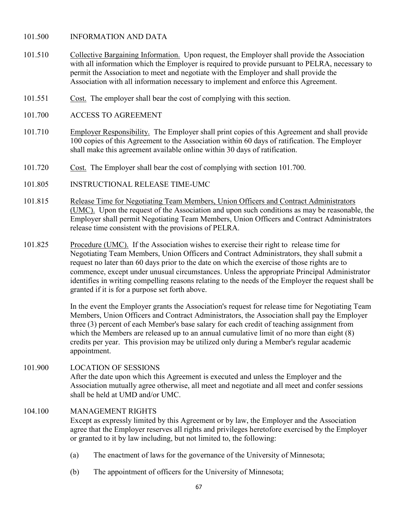### <span id="page-99-0"></span>101.500 INFORMATION AND DATA

- 101.510 Collective Bargaining Information. Upon request, the Employer shall provide the Association with all information which the Employer is required to provide pursuant to PELRA, necessary to permit the Association to meet and negotiate with the Employer and shall provide the Association with all information necessary to implement and enforce this Agreement.
- 101.551 Cost. The employer shall bear the cost of complying with this section.
- 101.700 ACCESS TO AGREEMENT
- 101.710 Employer Responsibility. The Employer shall print copies of this Agreement and shall provide 100 copies of this Agreement to the Association within 60 days of ratification. The Employer shall make this agreement available online within 30 days of ratification.
- 101.720 Cost. The Employer shall bear the cost of complying with section 101.700.
- 101.805 INSTRUCTIONAL RELEASE TIME-UMC
- 101.815 Release Time for Negotiating Team Members, Union Officers and Contract Administrators (UMC). Upon the request of the Association and upon such conditions as may be reasonable, the Employer shall permit Negotiating Team Members, Union Officers and Contract Administrators release time consistent with the provisions of PELRA.
- 101.825 Procedure (UMC). If the Association wishes to exercise their right to release time for Negotiating Team Members, Union Officers and Contract Administrators, they shall submit a request no later than 60 days prior to the date on which the exercise of those rights are to commence, except under unusual circumstances. Unless the appropriate Principal Administrator identifies in writing compelling reasons relating to the needs of the Employer the request shall be granted if it is for a purpose set forth above.

In the event the Employer grants the Association's request for release time for Negotiating Team Members, Union Officers and Contract Administrators, the Association shall pay the Employer three (3) percent of each Member's base salary for each credit of teaching assignment from which the Members are released up to an annual cumulative limit of no more than eight (8) credits per year. This provision may be utilized only during a Member's regular academic appointment.

### 101.900 LOCATION OF SESSIONS After the date upon which this Agreement is executed and unless the Employer and the Association mutually agree otherwise, all meet and negotiate and all meet and confer sessions shall be held at UMD and/or UMC.

#### 104.100 MANAGEMENT RIGHTS

Except as expressly limited by this Agreement or by law, the Employer and the Association agree that the Employer reserves all rights and privileges heretofore exercised by the Employer or granted to it by law including, but not limited to, the following:

- (a) The enactment of laws for the governance of the University of Minnesota;
- (b) The appointment of officers for the University of Minnesota;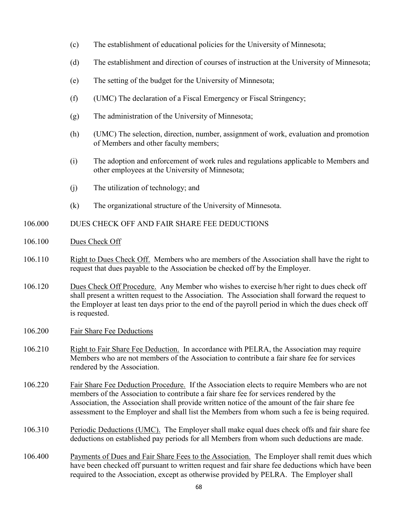- <span id="page-100-0"></span>(c) The establishment of educational policies for the University of Minnesota;
- (d) The establishment and direction of courses of instruction at the University of Minnesota;
- (e) The setting of the budget for the University of Minnesota;
- (f) (UMC) The declaration of a Fiscal Emergency or Fiscal Stringency;
- (g) The administration of the University of Minnesota;
- (h) (UMC) The selection, direction, number, assignment of work, evaluation and promotion of Members and other faculty members;
- (i) The adoption and enforcement of work rules and regulations applicable to Members and other employees at the University of Minnesota;
- (j) The utilization of technology; and
- (k) The organizational structure of the University of Minnesota.

## 106.000 DUES CHECK OFF AND FAIR SHARE FEE DEDUCTIONS

- 106.100 Dues Check Off
- 106.110 Right to Dues Check Off. Members who are members of the Association shall have the right to request that dues payable to the Association be checked off by the Employer.
- 106.120 Dues Check Off Procedure. Any Member who wishes to exercise h/her right to dues check off shall present a written request to the Association. The Association shall forward the request to the Employer at least ten days prior to the end of the payroll period in which the dues check off is requested.
- 106.200 Fair Share Fee Deductions
- 106.210 Right to Fair Share Fee Deduction. In accordance with PELRA, the Association may require Members who are not members of the Association to contribute a fair share fee for services rendered by the Association.
- 106.220 Fair Share Fee Deduction Procedure. If the Association elects to require Members who are not members of the Association to contribute a fair share fee for services rendered by the Association, the Association shall provide written notice of the amount of the fair share fee assessment to the Employer and shall list the Members from whom such a fee is being required.
- 106.310 Periodic Deductions (UMC). The Employer shall make equal dues check offs and fair share fee deductions on established pay periods for all Members from whom such deductions are made.
- 106.400 Payments of Dues and Fair Share Fees to the Association. The Employer shall remit dues which have been checked off pursuant to written request and fair share fee deductions which have been required to the Association, except as otherwise provided by PELRA. The Employer shall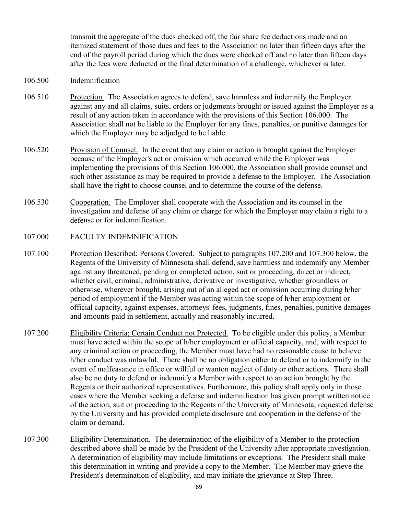<span id="page-101-0"></span>transmit the aggregate of the dues checked off, the fair share fee deductions made and an itemized statement of those dues and fees to the Association no later than fifteen days after the end of the payroll period during which the dues were checked off and no later than fifteen days after the fees were deducted or the final determination of a challenge, whichever is later.

- 106.500 Indemnification
- 106.510 Protection. The Association agrees to defend, save harmless and indemnify the Employer against any and all claims, suits, orders or judgments brought or issued against the Employer as a result of any action taken in accordance with the provisions of this Section 106.000. The Association shall not be liable to the Employer for any fines, penalties, or punitive damages for which the Employer may be adjudged to be liable.
- 106.520 Provision of Counsel. In the event that any claim or action is brought against the Employer because of the Employer's act or omission which occurred while the Employer was implementing the provisions of this Section 106.000, the Association shall provide counsel and such other assistance as may be required to provide a defense to the Employer. The Association shall have the right to choose counsel and to determine the course of the defense.
- 106.530 Cooperation. The Employer shall cooperate with the Association and its counsel in the investigation and defense of any claim or charge for which the Employer may claim a right to a defense or for indemnification.
- 107.000 FACULTY INDEMNIFICATION
- 107.100 Protection Described; Persons Covered. Subject to paragraphs 107.200 and 107.300 below, the Regents of the University of Minnesota shall defend, save harmless and indemnify any Member against any threatened, pending or completed action, suit or proceeding, direct or indirect, whether civil, criminal, administrative, derivative or investigative, whether groundless or otherwise, wherever brought, arising out of an alleged act or omission occurring during h/her period of employment if the Member was acting within the scope of h/her employment or official capacity, against expenses, attorneys' fees, judgments, fines, penalties, punitive damages and amounts paid in settlement, actually and reasonably incurred.
- 107.200 Eligibility Criteria; Certain Conduct not Protected. To be eligible under this policy, a Member must have acted within the scope of h/her employment or official capacity, and, with respect to any criminal action or proceeding, the Member must have had no reasonable cause to believe h/her conduct was unlawful. There shall be no obligation either to defend or to indemnify in the event of malfeasance in office or willful or wanton neglect of duty or other actions. There shall also be no duty to defend or indemnify a Member with respect to an action brought by the Regents or their authorized representatives. Furthermore, this policy shall apply only in those cases where the Member seeking a defense and indemnification has given prompt written notice of the action, suit or proceeding to the Regents of the University of Minnesota, requested defense by the University and has provided complete disclosure and cooperation in the defense of the claim or demand.
- 107.300 Eligibility Determination. The determination of the eligibility of a Member to the protection described above shall be made by the President of the University after appropriate investigation. A determination of eligibility may include limitations or exceptions. The President shall make this determination in writing and provide a copy to the Member. The Member may grieve the President's determination of eligibility, and may initiate the grievance at Step Three.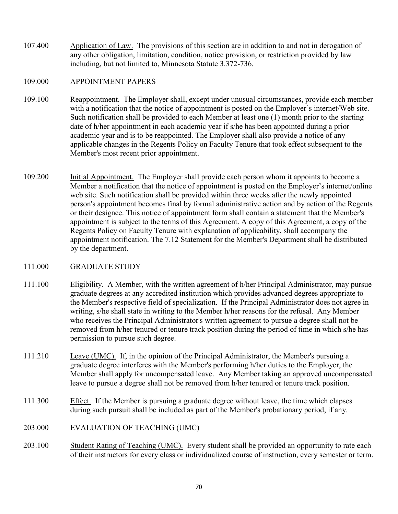<span id="page-102-0"></span>107.400 Application of Law. The provisions of this section are in addition to and not in derogation of any other obligation, limitation, condition, notice provision, or restriction provided by law including, but not limited to, Minnesota Statute 3.372-736.

#### 109.000 APPOINTMENT PAPERS

- 109.100 Reappointment. The Employer shall, except under unusual circumstances, provide each member with a notification that the notice of appointment is posted on the Employer's internet/Web site. Such notification shall be provided to each Member at least one (1) month prior to the starting date of h/her appointment in each academic year if s/he has been appointed during a prior academic year and is to be reappointed. The Employer shall also provide a notice of any applicable changes in the Regents Policy on Faculty Tenure that took effect subsequent to the Member's most recent prior appointment.
- 109.200 Initial Appointment. The Employer shall provide each person whom it appoints to become a Member a notification that the notice of appointment is posted on the Employer's internet/online web site. Such notification shall be provided within three weeks after the newly appointed person's appointment becomes final by formal administrative action and by action of the Regents or their designee. This notice of appointment form shall contain a statement that the Member's appointment is subject to the terms of this Agreement. A copy of this Agreement, a copy of the Regents Policy on Faculty Tenure with explanation of applicability, shall accompany the appointment notification. The 7.12 Statement for the Member's Department shall be distributed by the department.

#### 111.000 GRADUATE STUDY

- 111.100 Eligibility. A Member, with the written agreement of h/her Principal Administrator, may pursue graduate degrees at any accredited institution which provides advanced degrees appropriate to the Member's respective field of specialization. If the Principal Administrator does not agree in writing, s/he shall state in writing to the Member h/her reasons for the refusal. Any Member who receives the Principal Administrator's written agreement to pursue a degree shall not be removed from h/her tenured or tenure track position during the period of time in which s/he has permission to pursue such degree.
- 111.210 Leave (UMC). If, in the opinion of the Principal Administrator, the Member's pursuing a graduate degree interferes with the Member's performing h/her duties to the Employer, the Member shall apply for uncompensated leave. Any Member taking an approved uncompensated leave to pursue a degree shall not be removed from h/her tenured or tenure track position.
- 111.300 Effect. If the Member is pursuing a graduate degree without leave, the time which elapses during such pursuit shall be included as part of the Member's probationary period, if any.
- 203.000 EVALUATION OF TEACHING (UMC)
- 203.100 Student Rating of Teaching (UMC). Every student shall be provided an opportunity to rate each of their instructors for every class or individualized course of instruction, every semester or term.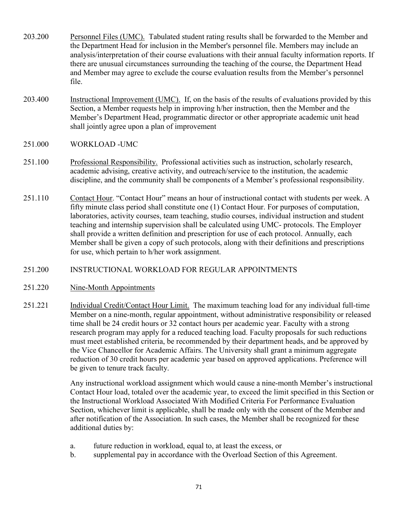- <span id="page-103-0"></span>203.200 Personnel Files (UMC). Tabulated student rating results shall be forwarded to the Member and the Department Head for inclusion in the Member's personnel file. Members may include an analysis/interpretation of their course evaluations with their annual faculty information reports. If there are unusual circumstances surrounding the teaching of the course, the Department Head and Member may agree to exclude the course evaluation results from the Member's personnel file.
- 203.400 Instructional Improvement (UMC). If, on the basis of the results of evaluations provided by this Section, a Member requests help in improving h/her instruction, then the Member and the Member's Department Head, programmatic director or other appropriate academic unit head shall jointly agree upon a plan of improvement
- 251.000 WORKLOAD -UMC
- 251.100 Professional Responsibility. Professional activities such as instruction, scholarly research, academic advising, creative activity, and outreach/service to the institution, the academic discipline, and the community shall be components of a Member's professional responsibility.
- 251.110 Contact Hour. "Contact Hour" means an hour of instructional contact with students per week. A fifty minute class period shall constitute one (1) Contact Hour. For purposes of computation, laboratories, activity courses, team teaching, studio courses, individual instruction and student teaching and internship supervision shall be calculated using UMC- protocols. The Employer shall provide a written definition and prescription for use of each protocol. Annually, each Member shall be given a copy of such protocols, along with their definitions and prescriptions for use, which pertain to h/her work assignment.
- 251.200 INSTRUCTIONAL WORKLOAD FOR REGULAR APPOINTMENTS
- 251.220 Nine-Month Appointments
- 251.221 Individual Credit/Contact Hour Limit. The maximum teaching load for any individual full-time Member on a nine-month, regular appointment, without administrative responsibility or released time shall be 24 credit hours or 32 contact hours per academic year. Faculty with a strong research program may apply for a reduced teaching load. Faculty proposals for such reductions must meet established criteria, be recommended by their department heads, and be approved by the Vice Chancellor for Academic Affairs. The University shall grant a minimum aggregate reduction of 30 credit hours per academic year based on approved applications. Preference will be given to tenure track faculty.

Any instructional workload assignment which would cause a nine-month Member's instructional Contact Hour load, totaled over the academic year, to exceed the limit specified in this Section or the Instructional Workload Associated With Modified Criteria For Performance Evaluation Section, whichever limit is applicable, shall be made only with the consent of the Member and after notification of the Association. In such cases, the Member shall be recognized for these additional duties by:

- a. future reduction in workload, equal to, at least the excess, or
- b. supplemental pay in accordance with the Overload Section of this Agreement.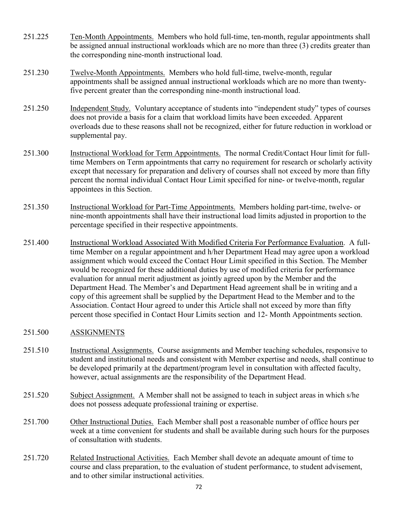- <span id="page-104-0"></span>251.225 Ten-Month Appointments. Members who hold full-time, ten-month, regular appointments shall be assigned annual instructional workloads which are no more than three (3) credits greater than the corresponding nine-month instructional load.
- 251.230 Twelve-Month Appointments. Members who hold full-time, twelve-month, regular appointments shall be assigned annual instructional workloads which are no more than twentyfive percent greater than the corresponding nine-month instructional load.
- 251.250 Independent Study. Voluntary acceptance of students into "independent study" types of courses does not provide a basis for a claim that workload limits have been exceeded. Apparent overloads due to these reasons shall not be recognized, either for future reduction in workload or supplemental pay.
- 251.300 Instructional Workload for Term Appointments. The normal Credit/Contact Hour limit for fulltime Members on Term appointments that carry no requirement for research or scholarly activity except that necessary for preparation and delivery of courses shall not exceed by more than fifty percent the normal individual Contact Hour Limit specified for nine- or twelve-month, regular appointees in this Section.
- 251.350 Instructional Workload for Part-Time Appointments. Members holding part-time, twelve- or nine-month appointments shall have their instructional load limits adjusted in proportion to the percentage specified in their respective appointments.
- 251.400 Instructional Workload Associated With Modified Criteria For Performance Evaluation. A fulltime Member on a regular appointment and h/her Department Head may agree upon a workload assignment which would exceed the Contact Hour Limit specified in this Section. The Member would be recognized for these additional duties by use of modified criteria for performance evaluation for annual merit adjustment as jointly agreed upon by the Member and the Department Head. The Member's and Department Head agreement shall be in writing and a copy of this agreement shall be supplied by the Department Head to the Member and to the Association. Contact Hour agreed to under this Article shall not exceed by more than fifty percent those specified in Contact Hour Limits section and 12- Month Appointments section.

## 251.500 ASSIGNMENTS

- 251.510 Instructional Assignments. Course assignments and Member teaching schedules, responsive to student and institutional needs and consistent with Member expertise and needs, shall continue to be developed primarily at the department/program level in consultation with affected faculty, however, actual assignments are the responsibility of the Department Head.
- 251.520 Subject Assignment. A Member shall not be assigned to teach in subject areas in which s/he does not possess adequate professional training or expertise.
- 251.700 Other Instructional Duties. Each Member shall post a reasonable number of office hours per week at a time convenient for students and shall be available during such hours for the purposes of consultation with students.
- 251.720 Related Instructional Activities. Each Member shall devote an adequate amount of time to course and class preparation, to the evaluation of student performance, to student advisement, and to other similar instructional activities.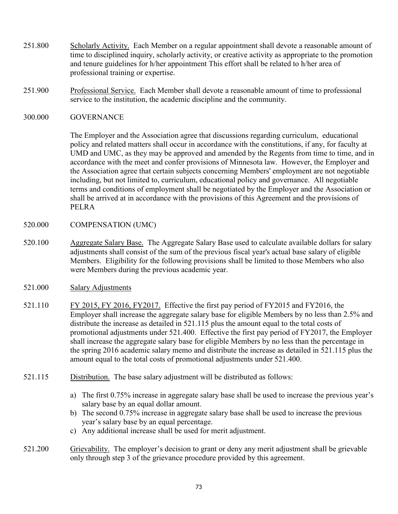- <span id="page-105-0"></span>251.800 Scholarly Activity. Each Member on a regular appointment shall devote a reasonable amount of time to disciplined inquiry, scholarly activity, or creative activity as appropriate to the promotion and tenure guidelines for h/her appointment This effort shall be related to h/her area of professional training or expertise.
- 251.900 Professional Service. Each Member shall devote a reasonable amount of time to professional service to the institution, the academic discipline and the community.
- 300.000 GOVERNANCE

The Employer and the Association agree that discussions regarding curriculum, educational policy and related matters shall occur in accordance with the constitutions, if any, for faculty at UMD and UMC, as they may be approved and amended by the Regents from time to time, and in accordance with the meet and confer provisions of Minnesota law. However, the Employer and the Association agree that certain subjects concerning Members' employment are not negotiable including, but not limited to, curriculum, educational policy and governance. All negotiable terms and conditions of employment shall be negotiated by the Employer and the Association or shall be arrived at in accordance with the provisions of this Agreement and the provisions of PELRA

- 520.000 COMPENSATION (UMC)
- 520.100 Aggregate Salary Base. The Aggregate Salary Base used to calculate available dollars for salary adjustments shall consist of the sum of the previous fiscal year's actual base salary of eligible Members. Eligibility for the following provisions shall be limited to those Members who also were Members during the previous academic year.
- 521.000 Salary Adjustments
- 521.110 FY 2015, FY 2016, FY 2017. Effective the first pay period of FY 2015 and FY 2016, the Employer shall increase the aggregate salary base for eligible Members by no less than 2.5% and distribute the increase as detailed in 521.115 plus the amount equal to the total costs of promotional adjustments under 521.400. Effective the first pay period of FY2017, the Employer shall increase the aggregate salary base for eligible Members by no less than the percentage in the spring 2016 academic salary memo and distribute the increase as detailed in 521.115 plus the amount equal to the total costs of promotional adjustments under 521.400.
- 521.115 Distribution. The base salary adjustment will be distributed as follows:
	- a) The first 0.75% increase in aggregate salary base shall be used to increase the previous year's salary base by an equal dollar amount.
	- b) The second 0.75% increase in aggregate salary base shall be used to increase the previous year's salary base by an equal percentage.
	- c) Any additional increase shall be used for merit adjustment.
- 521.200 Grievability. The employer's decision to grant or deny any merit adjustment shall be grievable only through step 3 of the grievance procedure provided by this agreement.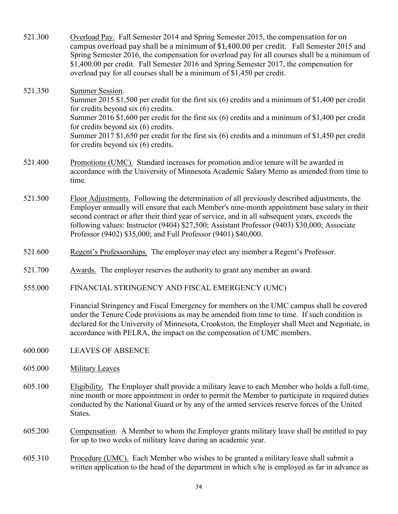<span id="page-106-0"></span>

| 521.300 | Overload Pay. Fall Semester 2014 and Spring Semester 2015, the compensation for on<br>campus overload pay shall be a minimum of \$1,400.00 per credit. Fall Semester 2015 and<br>Spring Semester 2016, the compensation for overload pay for all courses shall be a minimum of<br>\$1,400.00 per credit. Fall Semester 2016 and Spring Semester 2017, the compensation for<br>overload pay for all courses shall be a minimum of \$1,450 per credit.            |
|---------|-----------------------------------------------------------------------------------------------------------------------------------------------------------------------------------------------------------------------------------------------------------------------------------------------------------------------------------------------------------------------------------------------------------------------------------------------------------------|
| 521.350 | <b>Summer Session.</b><br>Summer 2015 \$1,500 per credit for the first six (6) credits and a minimum of \$1,400 per credit<br>for credits beyond six (6) credits.<br>Summer 2016 \$1,600 per credit for the first six $(6)$ credits and a minimum of \$1,400 per credit<br>for credits beyond six (6) credits.<br>Summer 2017 \$1,650 per credit for the first six (6) credits and a minimum of \$1,450 per credit<br>for credits beyond six $(6)$ credits.     |
| 521.400 | Promotions (UMC). Standard increases for promotion and/or tenure will be awarded in<br>accordance with the University of Minnesota Academic Salary Memo as amended from time to<br>time.                                                                                                                                                                                                                                                                        |
| 521.500 | Floor Adjustments. Following the determination of all previously described adjustments, the<br>Employer annually will ensure that each Member's nine-month appointment base salary in their<br>second contract or after their third year of service, and in all subsequent years, exceeds the<br>following values: Instructor (9404) \$27,500; Assistant Professor (9403) \$30,000; Associate<br>Professor (9402) \$35,000; and Full Professor (9401) \$40,000. |
| 521.600 | Regent's Professorships. The employer may elect any member a Regent's Professor.                                                                                                                                                                                                                                                                                                                                                                                |
| 521.700 | Awards. The employer reserves the authority to grant any member an award.                                                                                                                                                                                                                                                                                                                                                                                       |
| 555.000 | FINANCIAL STRINGENCY AND FISCAL EMERGENCY (UMC)                                                                                                                                                                                                                                                                                                                                                                                                                 |
|         | Financial Stringency and Fiscal Emergency for members on the UMC campus shall be covered<br>under the Tenure Code provisions as may be amended from time to time. If such condition is<br>declared for the University of Minnesota, Crookston, the Employer shall Meet and Negotiate, in<br>accordance with PELRA, the impact on the compensation of UMC members.                                                                                               |
| 600.000 | <b>LEAVES OF ABSENCE</b>                                                                                                                                                                                                                                                                                                                                                                                                                                        |
| 605.000 | <b>Military Leaves</b>                                                                                                                                                                                                                                                                                                                                                                                                                                          |
| 605.100 | Eligibility. The Employer shall provide a military leave to each Member who holds a full-time,<br>nine month or more appointment in order to permit the Member to participate in required duties<br>conducted by the National Guard or by any of the armed services reserve forces of the United<br>States.                                                                                                                                                     |
| 605.200 | Compensation. A Member to whom the Employer grants military leave shall be entitled to pay<br>for up to two weeks of military leave during an academic year.                                                                                                                                                                                                                                                                                                    |

605.310 Procedure (UMC). Each Member who wishes to be granted a military leave shall submit a written application to the head of the department in which s/he is employed as far in advance as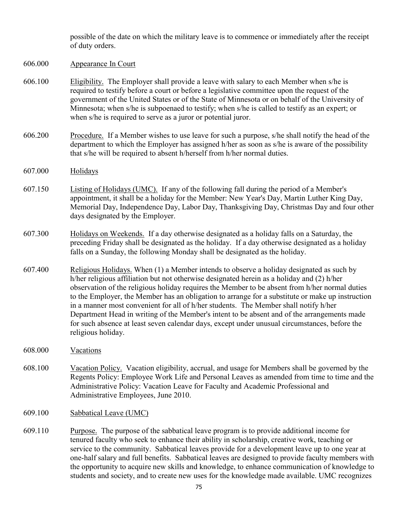possible of the date on which the military leave is to commence or immediately after the receipt of duty orders.

- <span id="page-107-0"></span>606.000 Appearance In Court
- 606.100 Eligibility. The Employer shall provide a leave with salary to each Member when s/he is required to testify before a court or before a legislative committee upon the request of the government of the United States or of the State of Minnesota or on behalf of the University of Minnesota; when s/he is subpoenaed to testify; when s/he is called to testify as an expert; or when s/he is required to serve as a juror or potential juror.
- 606.200 Procedure. If a Member wishes to use leave for such a purpose, s/he shall notify the head of the department to which the Employer has assigned h/her as soon as s/he is aware of the possibility that s/he will be required to absent h/herself from h/her normal duties.
- 607.000 Holidays
- 607.150 Listing of Holidays (UMC). If any of the following fall during the period of a Member's appointment, it shall be a holiday for the Member: New Year's Day, Martin Luther King Day, Memorial Day, Independence Day, Labor Day, Thanksgiving Day, Christmas Day and four other days designated by the Employer.
- 607.300 Holidays on Weekends. If a day otherwise designated as a holiday falls on a Saturday, the preceding Friday shall be designated as the holiday. If a day otherwise designated as a holiday falls on a Sunday, the following Monday shall be designated as the holiday.
- 607.400 Religious Holidays. When (1) a Member intends to observe a holiday designated as such by h/her religious affiliation but not otherwise designated herein as a holiday and (2) h/her observation of the religious holiday requires the Member to be absent from h/her normal duties to the Employer, the Member has an obligation to arrange for a substitute or make up instruction in a manner most convenient for all of h/her students. The Member shall notify h/her Department Head in writing of the Member's intent to be absent and of the arrangements made for such absence at least seven calendar days, except under unusual circumstances, before the religious holiday.
- 608.000 Vacations
- 608.100 Vacation Policy. Vacation eligibility, accrual, and usage for Members shall be governed by the Regents Policy: Employee Work Life and Personal Leaves as amended from time to time and the Administrative Policy: Vacation Leave for Faculty and Academic Professional and Administrative Employees, June 2010.
- 609.100 Sabbatical Leave (UMC)
- 609.110 Purpose. The purpose of the sabbatical leave program is to provide additional income for tenured faculty who seek to enhance their ability in scholarship, creative work, teaching or service to the community. Sabbatical leaves provide for a development leave up to one year at one-half salary and full benefits. Sabbatical leaves are designed to provide faculty members with the opportunity to acquire new skills and knowledge, to enhance communication of knowledge to students and society, and to create new uses for the knowledge made available. UMC recognizes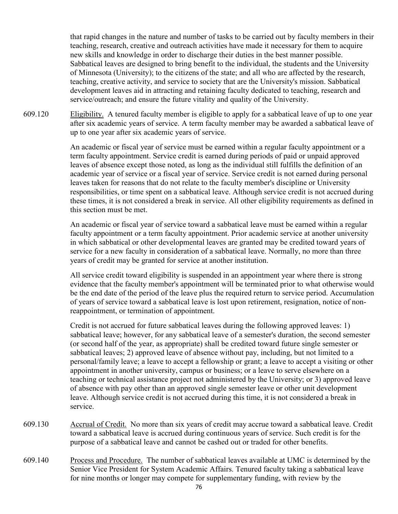that rapid changes in the nature and number of tasks to be carried out by faculty members in their teaching, research, creative and outreach activities have made it necessary for them to acquire new skills and knowledge in order to discharge their duties in the best manner possible. Sabbatical leaves are designed to bring benefit to the individual, the students and the University of Minnesota (University); to the citizens of the state; and all who are affected by the research, teaching, creative activity, and service to society that are the University's mission. Sabbatical development leaves aid in attracting and retaining faculty dedicated to teaching, research and service/outreach; and ensure the future vitality and quality of the University.

609.120 Eligibility. A tenured faculty member is eligible to apply for a sabbatical leave of up to one year after six academic years of service. A term faculty member may be awarded a sabbatical leave of up to one year after six academic years of service.

> An academic or fiscal year of service must be earned within a regular faculty appointment or a term faculty appointment. Service credit is earned during periods of paid or unpaid approved leaves of absence except those noted, as long as the individual still fulfills the definition of an academic year of service or a fiscal year of service. Service credit is not earned during personal leaves taken for reasons that do not relate to the faculty member's discipline or University responsibilities, or time spent on a sabbatical leave. Although service credit is not accrued during these times, it is not considered a break in service. All other eligibility requirements as defined in this section must be met.

An academic or fiscal year of service toward a sabbatical leave must be earned within a regular faculty appointment or a term faculty appointment. Prior academic service at another university in which sabbatical or other developmental leaves are granted may be credited toward years of service for a new faculty in consideration of a sabbatical leave. Normally, no more than three years of credit may be granted for service at another institution.

All service credit toward eligibility is suspended in an appointment year where there is strong evidence that the faculty member's appointment will be terminated prior to what otherwise would be the end date of the period of the leave plus the required return to service period. Accumulation of years of service toward a sabbatical leave is lost upon retirement, resignation, notice of nonreappointment, or termination of appointment.

Credit is not accrued for future sabbatical leaves during the following approved leaves: 1) sabbatical leave; however, for any sabbatical leave of a semester's duration, the second semester (or second half of the year, as appropriate) shall be credited toward future single semester or sabbatical leaves; 2) approved leave of absence without pay, including, but not limited to a personal/family leave; a leave to accept a fellowship or grant; a leave to accept a visiting or other appointment in another university, campus or business; or a leave to serve elsewhere on a teaching or technical assistance project not administered by the University; or 3) approved leave of absence with pay other than an approved single semester leave or other unit development leave. Although service credit is not accrued during this time, it is not considered a break in service.

- 609.130 Accrual of Credit. No more than six years of credit may accrue toward a sabbatical leave. Credit toward a sabbatical leave is accrued during continuous years of service. Such credit is for the purpose of a sabbatical leave and cannot be cashed out or traded for other benefits.
- 609.140 Process and Procedure. The number of sabbatical leaves available at UMC is determined by the Senior Vice President for System Academic Affairs. Tenured faculty taking a sabbatical leave for nine months or longer may compete for supplementary funding, with review by the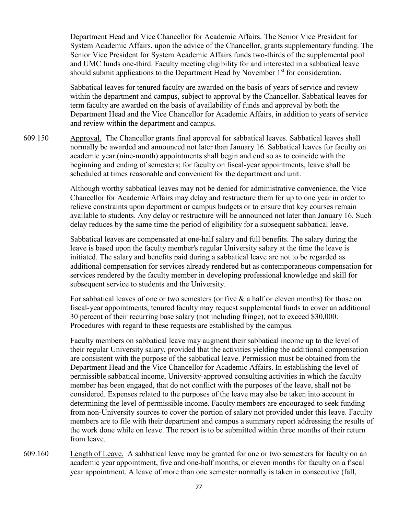Department Head and Vice Chancellor for Academic Affairs. The Senior Vice President for System Academic Affairs, upon the advice of the Chancellor, grants supplementary funding. The Senior Vice President for System Academic Affairs funds two-thirds of the supplemental pool and UMC funds one-third. Faculty meeting eligibility for and interested in a sabbatical leave should submit applications to the Department Head by November  $1<sup>st</sup>$  for consideration.

Sabbatical leaves for tenured faculty are awarded on the basis of years of service and review within the department and campus, subject to approval by the Chancellor. Sabbatical leaves for term faculty are awarded on the basis of availability of funds and approval by both the Department Head and the Vice Chancellor for Academic Affairs, in addition to years of service and review within the department and campus.

609.150 Approval. The Chancellor grants final approval for sabbatical leaves. Sabbatical leaves shall normally be awarded and announced not later than January 16. Sabbatical leaves for faculty on academic year (nine-month) appointments shall begin and end so as to coincide with the beginning and ending of semesters; for faculty on fiscal-year appointments, leave shall be scheduled at times reasonable and convenient for the department and unit.

> Although worthy sabbatical leaves may not be denied for administrative convenience, the Vice Chancellor for Academic Affairs may delay and restructure them for up to one year in order to relieve constraints upon department or campus budgets or to ensure that key courses remain available to students. Any delay or restructure will be announced not later than January 16. Such delay reduces by the same time the period of eligibility for a subsequent sabbatical leave.

> Sabbatical leaves are compensated at one-half salary and full benefits. The salary during the leave is based upon the faculty member's regular University salary at the time the leave is initiated. The salary and benefits paid during a sabbatical leave are not to be regarded as additional compensation for services already rendered but as contemporaneous compensation for services rendered by the faculty member in developing professional knowledge and skill for subsequent service to students and the University.

> For sabbatical leaves of one or two semesters (or five  $\&$  a half or eleven months) for those on fiscal-year appointments, tenured faculty may request supplemental funds to cover an additional 30 percent of their recurring base salary (not including fringe), not to exceed \$30,000. Procedures with regard to these requests are established by the campus.

Faculty members on sabbatical leave may augment their sabbatical income up to the level of their regular University salary, provided that the activities yielding the additional compensation are consistent with the purpose of the sabbatical leave. Permission must be obtained from the Department Head and the Vice Chancellor for Academic Affairs. In establishing the level of permissible sabbatical income, University-approved consulting activities in which the faculty member has been engaged, that do not conflict with the purposes of the leave, shall not be considered. Expenses related to the purposes of the leave may also be taken into account in determining the level of permissible income. Faculty members are encouraged to seek funding from non-University sources to cover the portion of salary not provided under this leave. Faculty members are to file with their department and campus a summary report addressing the results of the work done while on leave. The report is to be submitted within three months of their return from leave.

609.160 Length of Leave. A sabbatical leave may be granted for one or two semesters for faculty on an academic year appointment, five and one-half months, or eleven months for faculty on a fiscal year appointment. A leave of more than one semester normally is taken in consecutive (fall,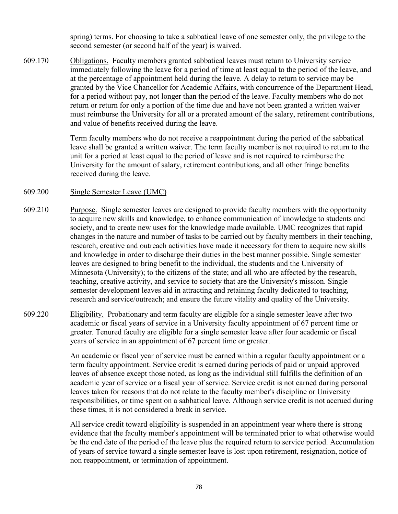spring) terms. For choosing to take a sabbatical leave of one semester only, the privilege to the second semester (or second half of the year) is waived.

609.170 Obligations. Faculty members granted sabbatical leaves must return to University service immediately following the leave for a period of time at least equal to the period of the leave, and at the percentage of appointment held during the leave. A delay to return to service may be granted by the Vice Chancellor for Academic Affairs, with concurrence of the Department Head, for a period without pay, not longer than the period of the leave. Faculty members who do not return or return for only a portion of the time due and have not been granted a written waiver must reimburse the University for all or a prorated amount of the salary, retirement contributions, and value of benefits received during the leave.

> Term faculty members who do not receive a reappointment during the period of the sabbatical leave shall be granted a written waiver. The term faculty member is not required to return to the unit for a period at least equal to the period of leave and is not required to reimburse the University for the amount of salary, retirement contributions, and all other fringe benefits received during the leave.

# 609.200 Single Semester Leave (UMC)

- 609.210 Purpose. Single semester leaves are designed to provide faculty members with the opportunity to acquire new skills and knowledge, to enhance communication of knowledge to students and society, and to create new uses for the knowledge made available. UMC recognizes that rapid changes in the nature and number of tasks to be carried out by faculty members in their teaching, research, creative and outreach activities have made it necessary for them to acquire new skills and knowledge in order to discharge their duties in the best manner possible. Single semester leaves are designed to bring benefit to the individual, the students and the University of Minnesota (University); to the citizens of the state; and all who are affected by the research, teaching, creative activity, and service to society that are the University's mission. Single semester development leaves aid in attracting and retaining faculty dedicated to teaching, research and service/outreach; and ensure the future vitality and quality of the University.
- 609.220 Eligibility. Probationary and term faculty are eligible for a single semester leave after two academic or fiscal years of service in a University faculty appointment of 67 percent time or greater. Tenured faculty are eligible for a single semester leave after four academic or fiscal years of service in an appointment of 67 percent time or greater.

An academic or fiscal year of service must be earned within a regular faculty appointment or a term faculty appointment. Service credit is earned during periods of paid or unpaid approved leaves of absence except those noted, as long as the individual still fulfills the definition of an academic year of service or a fiscal year of service. Service credit is not earned during personal leaves taken for reasons that do not relate to the faculty member's discipline or University responsibilities, or time spent on a sabbatical leave. Although service credit is not accrued during these times, it is not considered a break in service.

All service credit toward eligibility is suspended in an appointment year where there is strong evidence that the faculty member's appointment will be terminated prior to what otherwise would be the end date of the period of the leave plus the required return to service period. Accumulation of years of service toward a single semester leave is lost upon retirement, resignation, notice of non reappointment, or termination of appointment.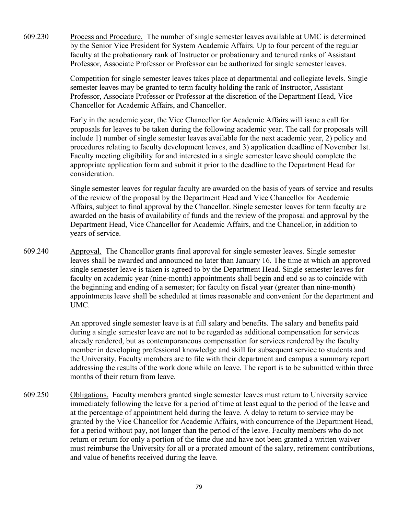609.230 Process and Procedure. The number of single semester leaves available at UMC is determined by the Senior Vice President for System Academic Affairs. Up to four percent of the regular faculty at the probationary rank of Instructor or probationary and tenured ranks of Assistant Professor, Associate Professor or Professor can be authorized for single semester leaves.

> Competition for single semester leaves takes place at departmental and collegiate levels. Single semester leaves may be granted to term faculty holding the rank of Instructor, Assistant Professor, Associate Professor or Professor at the discretion of the Department Head, Vice Chancellor for Academic Affairs, and Chancellor.

> Early in the academic year, the Vice Chancellor for Academic Affairs will issue a call for proposals for leaves to be taken during the following academic year. The call for proposals will include 1) number of single semester leaves available for the next academic year, 2) policy and procedures relating to faculty development leaves, and 3) application deadline of November 1st. Faculty meeting eligibility for and interested in a single semester leave should complete the appropriate application form and submit it prior to the deadline to the Department Head for consideration.

> Single semester leaves for regular faculty are awarded on the basis of years of service and results of the review of the proposal by the Department Head and Vice Chancellor for Academic Affairs, subject to final approval by the Chancellor. Single semester leaves for term faculty are awarded on the basis of availability of funds and the review of the proposal and approval by the Department Head, Vice Chancellor for Academic Affairs, and the Chancellor, in addition to years of service.

609.240 Approval. The Chancellor grants final approval for single semester leaves. Single semester leaves shall be awarded and announced no later than January 16. The time at which an approved single semester leave is taken is agreed to by the Department Head. Single semester leaves for faculty on academic year (nine-month) appointments shall begin and end so as to coincide with the beginning and ending of a semester; for faculty on fiscal year (greater than nine-month) appointments leave shall be scheduled at times reasonable and convenient for the department and UMC.

> An approved single semester leave is at full salary and benefits. The salary and benefits paid during a single semester leave are not to be regarded as additional compensation for services already rendered, but as contemporaneous compensation for services rendered by the faculty member in developing professional knowledge and skill for subsequent service to students and the University. Faculty members are to file with their department and campus a summary report addressing the results of the work done while on leave. The report is to be submitted within three months of their return from leave.

609.250 Obligations. Faculty members granted single semester leaves must return to University service immediately following the leave for a period of time at least equal to the period of the leave and at the percentage of appointment held during the leave. A delay to return to service may be granted by the Vice Chancellor for Academic Affairs, with concurrence of the Department Head, for a period without pay, not longer than the period of the leave. Faculty members who do not return or return for only a portion of the time due and have not been granted a written waiver must reimburse the University for all or a prorated amount of the salary, retirement contributions, and value of benefits received during the leave.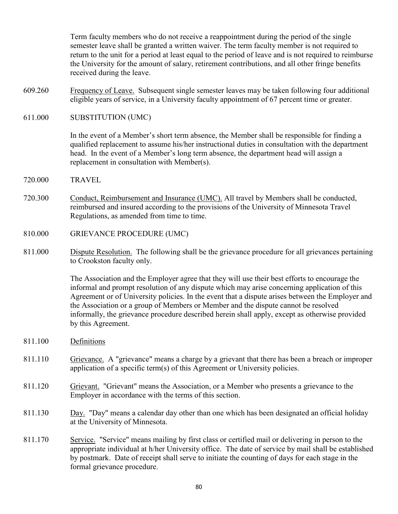Term faculty members who do not receive a reappointment during the period of the single semester leave shall be granted a written waiver. The term faculty member is not required to return to the unit for a period at least equal to the period of leave and is not required to reimburse the University for the amount of salary, retirement contributions, and all other fringe benefits received during the leave.

- 609.260 Frequency of Leave. Subsequent single semester leaves may be taken following four additional eligible years of service, in a University faculty appointment of 67 percent time or greater.
- 611.000 SUBSTITUTION (UMC)

In the event of a Member's short term absence, the Member shall be responsible for finding a qualified replacement to assume his/her instructional duties in consultation with the department head. In the event of a Member's long term absence, the department head will assign a replacement in consultation with Member(s).

- 720.000 TRAVEL
- 720.300 Conduct, Reimbursement and Insurance (UMC). All travel by Members shall be conducted, reimbursed and insured according to the provisions of the University of Minnesota Travel Regulations, as amended from time to time.
- 810.000 GRIEVANCE PROCEDURE (UMC)
- 811.000 Dispute Resolution. The following shall be the grievance procedure for all grievances pertaining to Crookston faculty only.

The Association and the Employer agree that they will use their best efforts to encourage the informal and prompt resolution of any dispute which may arise concerning application of this Agreement or of University policies. In the event that a dispute arises between the Employer and the Association or a group of Members or Member and the dispute cannot be resolved informally, the grievance procedure described herein shall apply, except as otherwise provided by this Agreement.

- 811.100 Definitions
- 811.110 Grievance. A "grievance" means a charge by a grievant that there has been a breach or improper application of a specific term(s) of this Agreement or University policies.
- 811.120 Grievant. "Grievant" means the Association, or a Member who presents a grievance to the Employer in accordance with the terms of this section.
- 811.130 Day. "Day" means a calendar day other than one which has been designated an official holiday at the University of Minnesota.
- 811.170 Service. "Service" means mailing by first class or certified mail or delivering in person to the appropriate individual at h/her University office. The date of service by mail shall be established by postmark. Date of receipt shall serve to initiate the counting of days for each stage in the formal grievance procedure.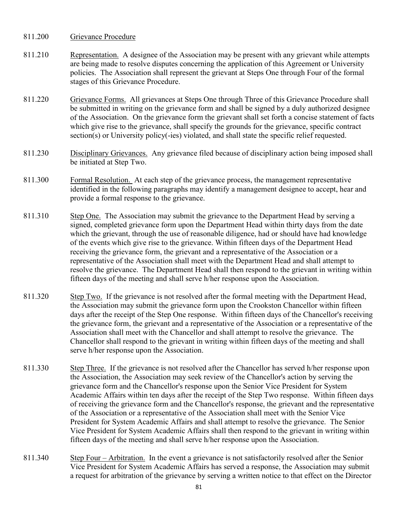- 811.200 Grievance Procedure
- 811.210 Representation. A designee of the Association may be present with any grievant while attempts are being made to resolve disputes concerning the application of this Agreement or University policies. The Association shall represent the grievant at Steps One through Four of the formal stages of this Grievance Procedure.
- 811.220 Grievance Forms. All grievances at Steps One through Three of this Grievance Procedure shall be submitted in writing on the grievance form and shall be signed by a duly authorized designee of the Association. On the grievance form the grievant shall set forth a concise statement of facts which give rise to the grievance, shall specify the grounds for the grievance, specific contract section(s) or University policy(-ies) violated, and shall state the specific relief requested.
- 811.230 Disciplinary Grievances. Any grievance filed because of disciplinary action being imposed shall be initiated at Step Two.
- 811.300 Formal Resolution. At each step of the grievance process, the management representative identified in the following paragraphs may identify a management designee to accept, hear and provide a formal response to the grievance.
- 811.310 Step One. The Association may submit the grievance to the Department Head by serving a signed, completed grievance form upon the Department Head within thirty days from the date which the grievant, through the use of reasonable diligence, had or should have had knowledge of the events which give rise to the grievance. Within fifteen days of the Department Head receiving the grievance form, the grievant and a representative of the Association or a representative of the Association shall meet with the Department Head and shall attempt to resolve the grievance. The Department Head shall then respond to the grievant in writing within fifteen days of the meeting and shall serve h/her response upon the Association.
- 811.320 Step Two. If the grievance is not resolved after the formal meeting with the Department Head, the Association may submit the grievance form upon the Crookston Chancellor within fifteen days after the receipt of the Step One response. Within fifteen days of the Chancellor's receiving the grievance form, the grievant and a representative of the Association or a representative of the Association shall meet with the Chancellor and shall attempt to resolve the grievance. The Chancellor shall respond to the grievant in writing within fifteen days of the meeting and shall serve h/her response upon the Association.
- 811.330 Step Three. If the grievance is not resolved after the Chancellor has served h/her response upon the Association, the Association may seek review of the Chancellor's action by serving the grievance form and the Chancellor's response upon the Senior Vice President for System Academic Affairs within ten days after the receipt of the Step Two response. Within fifteen days of receiving the grievance form and the Chancellor's response, the grievant and the representative of the Association or a representative of the Association shall meet with the Senior Vice President for System Academic Affairs and shall attempt to resolve the grievance. The Senior Vice President for System Academic Affairs shall then respond to the grievant in writing within fifteen days of the meeting and shall serve h/her response upon the Association.
- 811.340 Step Four Arbitration. In the event a grievance is not satisfactorily resolved after the Senior Vice President for System Academic Affairs has served a response, the Association may submit a request for arbitration of the grievance by serving a written notice to that effect on the Director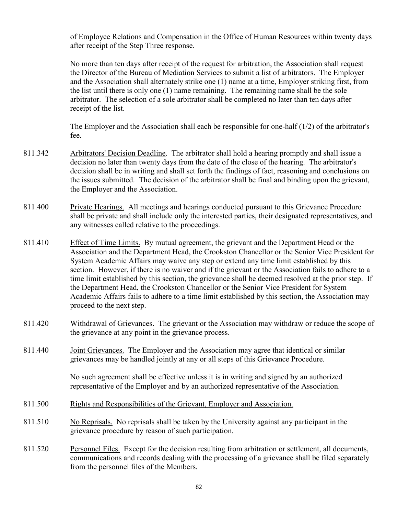of Employee Relations and Compensation in the Office of Human Resources within twenty days after receipt of the Step Three response.

No more than ten days after receipt of the request for arbitration, the Association shall request the Director of the Bureau of Mediation Services to submit a list of arbitrators. The Employer and the Association shall alternately strike one (1) name at a time, Employer striking first, from the list until there is only one (1) name remaining. The remaining name shall be the sole arbitrator. The selection of a sole arbitrator shall be completed no later than ten days after receipt of the list.

The Employer and the Association shall each be responsible for one-half  $(1/2)$  of the arbitrator's fee.

- 811.342 Arbitrators' Decision Deadline. The arbitrator shall hold a hearing promptly and shall issue a decision no later than twenty days from the date of the close of the hearing. The arbitrator's decision shall be in writing and shall set forth the findings of fact, reasoning and conclusions on the issues submitted. The decision of the arbitrator shall be final and binding upon the grievant, the Employer and the Association.
- 811.400 Private Hearings. All meetings and hearings conducted pursuant to this Grievance Procedure shall be private and shall include only the interested parties, their designated representatives, and any witnesses called relative to the proceedings.
- 811.410 Effect of Time Limits. By mutual agreement, the grievant and the Department Head or the Association and the Department Head, the Crookston Chancellor or the Senior Vice President for System Academic Affairs may waive any step or extend any time limit established by this section. However, if there is no waiver and if the grievant or the Association fails to adhere to a time limit established by this section, the grievance shall be deemed resolved at the prior step. If the Department Head, the Crookston Chancellor or the Senior Vice President for System Academic Affairs fails to adhere to a time limit established by this section, the Association may proceed to the next step.
- 811.420 Withdrawal of Grievances. The grievant or the Association may withdraw or reduce the scope of the grievance at any point in the grievance process.
- 811.440 Joint Grievances. The Employer and the Association may agree that identical or similar grievances may be handled jointly at any or all steps of this Grievance Procedure.

No such agreement shall be effective unless it is in writing and signed by an authorized representative of the Employer and by an authorized representative of the Association.

- 811.500 Rights and Responsibilities of the Grievant, Employer and Association.
- 811.510 No Reprisals. No reprisals shall be taken by the University against any participant in the grievance procedure by reason of such participation.
- 811.520 Personnel Files. Except for the decision resulting from arbitration or settlement, all documents, communications and records dealing with the processing of a grievance shall be filed separately from the personnel files of the Members.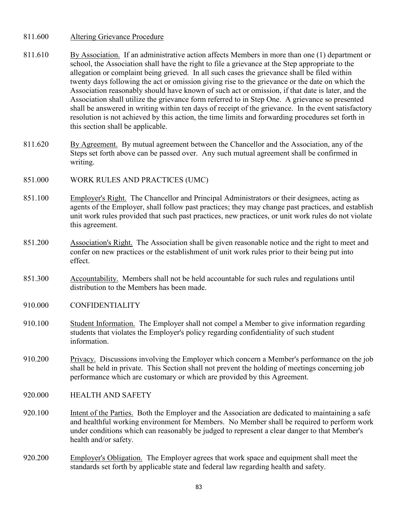# 811.600 Altering Grievance Procedure

- 811.610 By Association. If an administrative action affects Members in more than one (1) department or school, the Association shall have the right to file a grievance at the Step appropriate to the allegation or complaint being grieved. In all such cases the grievance shall be filed within twenty days following the act or omission giving rise to the grievance or the date on which the Association reasonably should have known of such act or omission, if that date is later, and the Association shall utilize the grievance form referred to in Step One. A grievance so presented shall be answered in writing within ten days of receipt of the grievance. In the event satisfactory resolution is not achieved by this action, the time limits and forwarding procedures set forth in this section shall be applicable.
- 811.620 By Agreement. By mutual agreement between the Chancellor and the Association, any of the Steps set forth above can be passed over. Any such mutual agreement shall be confirmed in writing.
- 851.000 WORK RULES AND PRACTICES (UMC)
- 851.100 Employer's Right. The Chancellor and Principal Administrators or their designees, acting as agents of the Employer, shall follow past practices; they may change past practices, and establish unit work rules provided that such past practices, new practices, or unit work rules do not violate this agreement.
- 851.200 Association's Right. The Association shall be given reasonable notice and the right to meet and confer on new practices or the establishment of unit work rules prior to their being put into effect.
- 851.300 Accountability. Members shall not be held accountable for such rules and regulations until distribution to the Members has been made.
- 910.000 CONFIDENTIALITY
- 910.100 Student Information. The Employer shall not compel a Member to give information regarding students that violates the Employer's policy regarding confidentiality of such student information.
- 910.200 Privacy. Discussions involving the Employer which concern a Member's performance on the job shall be held in private. This Section shall not prevent the holding of meetings concerning job performance which are customary or which are provided by this Agreement.
- 920.000 HEALTH AND SAFETY
- 920.100 Intent of the Parties. Both the Employer and the Association are dedicated to maintaining a safe and healthful working environment for Members. No Member shall be required to perform work under conditions which can reasonably be judged to represent a clear danger to that Member's health and/or safety.
- 920.200 Employer's Obligation. The Employer agrees that work space and equipment shall meet the standards set forth by applicable state and federal law regarding health and safety.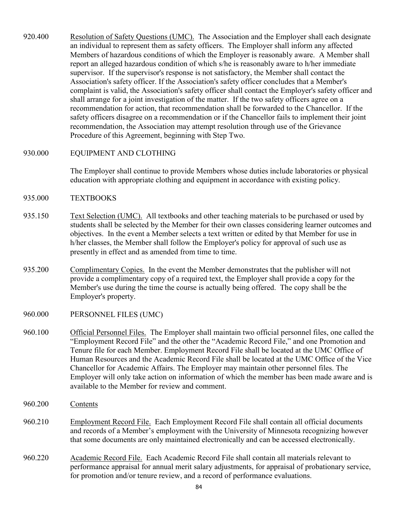- 920.400 Resolution of Safety Questions (UMC). The Association and the Employer shall each designate an individual to represent them as safety officers. The Employer shall inform any affected Members of hazardous conditions of which the Employer is reasonably aware. A Member shall report an alleged hazardous condition of which s/he is reasonably aware to h/her immediate supervisor. If the supervisor's response is not satisfactory, the Member shall contact the Association's safety officer. If the Association's safety officer concludes that a Member's complaint is valid, the Association's safety officer shall contact the Employer's safety officer and shall arrange for a joint investigation of the matter. If the two safety officers agree on a recommendation for action, that recommendation shall be forwarded to the Chancellor. If the safety officers disagree on a recommendation or if the Chancellor fails to implement their joint recommendation, the Association may attempt resolution through use of the Grievance Procedure of this Agreement, beginning with Step Two.
- 930.000 EQUIPMENT AND CLOTHING

The Employer shall continue to provide Members whose duties include laboratories or physical education with appropriate clothing and equipment in accordance with existing policy.

- 935.000 TEXTBOOKS
- 935.150 Text Selection (UMC). All textbooks and other teaching materials to be purchased or used by students shall be selected by the Member for their own classes considering learner outcomes and objectives. In the event a Member selects a text written or edited by that Member for use in h/her classes, the Member shall follow the Employer's policy for approval of such use as presently in effect and as amended from time to time.
- 935.200 Complimentary Copies. In the event the Member demonstrates that the publisher will not provide a complimentary copy of a required text, the Employer shall provide a copy for the Member's use during the time the course is actually being offered. The copy shall be the Employer's property.
- 960.000 PERSONNEL FILES (UMC)
- 960.100 Official Personnel Files. The Employer shall maintain two official personnel files, one called the "Employment Record File" and the other the "Academic Record File," and one Promotion and Tenure file for each Member. Employment Record File shall be located at the UMC Office of Human Resources and the Academic Record File shall be located at the UMC Office of the Vice Chancellor for Academic Affairs. The Employer may maintain other personnel files. The Employer will only take action on information of which the member has been made aware and is available to the Member for review and comment.
- 960.200 Contents
- 960.210 Employment Record File. Each Employment Record File shall contain all official documents and records of a Member's employment with the University of Minnesota recognizing however that some documents are only maintained electronically and can be accessed electronically.
- 960.220 Academic Record File. Each Academic Record File shall contain all materials relevant to performance appraisal for annual merit salary adjustments, for appraisal of probationary service, for promotion and/or tenure review, and a record of performance evaluations.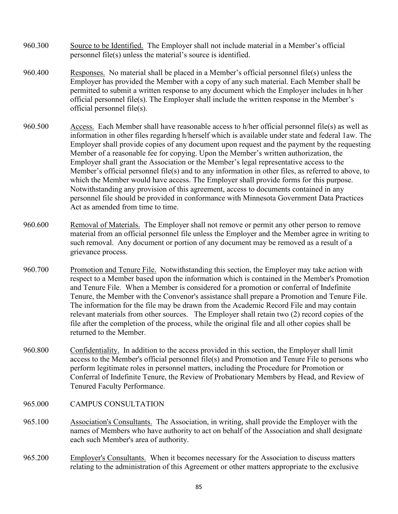- 960.300 Source to be Identified. The Employer shall not include material in a Member's official personnel file(s) unless the material's source is identified.
- 960.400 Responses. No material shall be placed in a Member's official personnel file(s) unless the Employer has provided the Member with a copy of any such material. Each Member shall be permitted to submit a written response to any document which the Employer includes in h/her official personnel file(s). The Employer shall include the written response in the Member's official personnel file(s).
- 960.500 Access. Each Member shall have reasonable access to h/her official personnel file(s) as well as information in other files regarding h/herself which is available under state and federal 1aw. The Employer shall provide copies of any document upon request and the payment by the requesting Member of a reasonable fee for copying. Upon the Member's written authorization, the Employer shall grant the Association or the Member's legal representative access to the Member's official personnel file(s) and to any information in other files, as referred to above, to which the Member would have access. The Employer shall provide forms for this purpose. Notwithstanding any provision of this agreement, access to documents contained in any personnel file should be provided in conformance with Minnesota Government Data Practices Act as amended from time to time.
- 960.600 Removal of Materials. The Employer shall not remove or permit any other person to remove material from an official personnel file unless the Employer and the Member agree in writing to such removal. Any document or portion of any document may be removed as a result of a grievance process.
- 960.700 Promotion and Tenure File. Notwithstanding this section, the Employer may take action with respect to a Member based upon the information which is contained in the Member's Promotion and Tenure File. When a Member is considered for a promotion or conferral of Indefinite Tenure, the Member with the Convenor's assistance shall prepare a Promotion and Tenure File. The information for the file may be drawn from the Academic Record File and may contain relevant materials from other sources. The Employer shall retain two (2) record copies of the file after the completion of the process, while the original file and all other copies shall be returned to the Member.
- 960.800 Confidentiality. In addition to the access provided in this section, the Employer shall limit access to the Member's official personnel file(s) and Promotion and Tenure File to persons who perform legitimate roles in personnel matters, including the Procedure for Promotion or Conferral of Indefinite Tenure, the Review of Probationary Members by Head, and Review of Tenured Faculty Performance.
- 965.000 CAMPUS CONSULTATION
- 965.100 Association's Consultants. The Association, in writing, shall provide the Employer with the names of Members who have authority to act on behalf of the Association and shall designate each such Member's area of authority.
- 965.200 Employer's Consultants. When it becomes necessary for the Association to discuss matters relating to the administration of this Agreement or other matters appropriate to the exclusive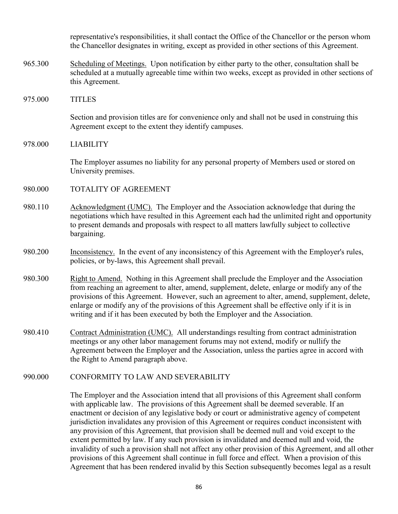representative's responsibilities, it shall contact the Office of the Chancellor or the person whom the Chancellor designates in writing, except as provided in other sections of this Agreement.

- 965.300 Scheduling of Meetings. Upon notification by either party to the other, consultation shall be scheduled at a mutually agreeable time within two weeks, except as provided in other sections of this Agreement.
- 975.000 TITLES

Section and provision titles are for convenience only and shall not be used in construing this Agreement except to the extent they identify campuses.

978.000 LIABILITY

The Employer assumes no liability for any personal property of Members used or stored on University premises.

- 980.000 TOTALITY OF AGREEMENT
- 980.110 Acknowledgment (UMC). The Employer and the Association acknowledge that during the negotiations which have resulted in this Agreement each had the unlimited right and opportunity to present demands and proposals with respect to all matters lawfully subject to collective bargaining.
- 980.200 Inconsistency. In the event of any inconsistency of this Agreement with the Employer's rules, policies, or by-laws, this Agreement shall prevail.
- 980.300 Right to Amend. Nothing in this Agreement shall preclude the Employer and the Association from reaching an agreement to alter, amend, supplement, delete, enlarge or modify any of the provisions of this Agreement. However, such an agreement to alter, amend, supplement, delete, enlarge or modify any of the provisions of this Agreement shall be effective only if it is in writing and if it has been executed by both the Employer and the Association.
- 980.410 Contract Administration (UMC). All understandings resulting from contract administration meetings or any other labor management forums may not extend, modify or nullify the Agreement between the Employer and the Association, unless the parties agree in accord with the Right to Amend paragraph above.
- 990.000 CONFORMITY TO LAW AND SEVERABILITY

The Employer and the Association intend that all provisions of this Agreement shall conform with applicable law. The provisions of this Agreement shall be deemed severable. If an enactment or decision of any legislative body or court or administrative agency of competent jurisdiction invalidates any provision of this Agreement or requires conduct inconsistent with any provision of this Agreement, that provision shall be deemed null and void except to the extent permitted by law. If any such provision is invalidated and deemed null and void, the invalidity of such a provision shall not affect any other provision of this Agreement, and all other provisions of this Agreement shall continue in full force and effect. When a provision of this Agreement that has been rendered invalid by this Section subsequently becomes legal as a result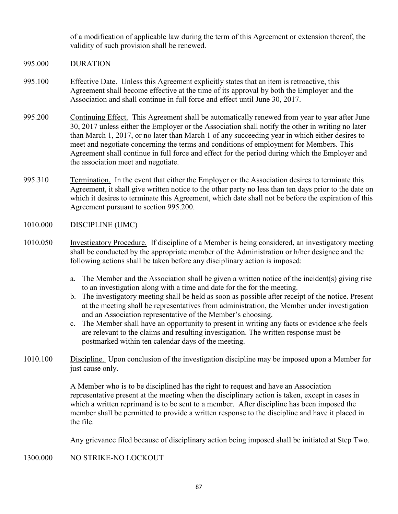of a modification of applicable law during the term of this Agreement or extension thereof, the validity of such provision shall be renewed.

- 995.000 DURATION
- 995.100 Effective Date. Unless this Agreement explicitly states that an item is retroactive, this Agreement shall become effective at the time of its approval by both the Employer and the Association and shall continue in full force and effect until June 30, 2017.
- 995.200 Continuing Effect. This Agreement shall be automatically renewed from year to year after June 30, 2017 unless either the Employer or the Association shall notify the other in writing no later than March 1, 2017, or no later than March 1 of any succeeding year in which either desires to meet and negotiate concerning the terms and conditions of employment for Members. This Agreement shall continue in full force and effect for the period during which the Employer and the association meet and negotiate.
- 995.310 Termination. In the event that either the Employer or the Association desires to terminate this Agreement, it shall give written notice to the other party no less than ten days prior to the date on which it desires to terminate this Agreement, which date shall not be before the expiration of this Agreement pursuant to section 995.200.
- 1010.000 DISCIPLINE (UMC)
- 1010.050 Investigatory Procedure. If discipline of a Member is being considered, an investigatory meeting shall be conducted by the appropriate member of the Administration or h/her designee and the following actions shall be taken before any disciplinary action is imposed:
	- a. The Member and the Association shall be given a written notice of the incident(s) giving rise to an investigation along with a time and date for the for the meeting.
	- b. The investigatory meeting shall be held as soon as possible after receipt of the notice. Present at the meeting shall be representatives from administration, the Member under investigation and an Association representative of the Member's choosing.
	- c. The Member shall have an opportunity to present in writing any facts or evidence s/he feels are relevant to the claims and resulting investigation. The written response must be postmarked within ten calendar days of the meeting.
- 1010.100 Discipline. Upon conclusion of the investigation discipline may be imposed upon a Member for just cause only.

A Member who is to be disciplined has the right to request and have an Association representative present at the meeting when the disciplinary action is taken, except in cases in which a written reprimand is to be sent to a member. After discipline has been imposed the member shall be permitted to provide a written response to the discipline and have it placed in the file.

Any grievance filed because of disciplinary action being imposed shall be initiated at Step Two.

1300.000 NO STRIKE-NO LOCKOUT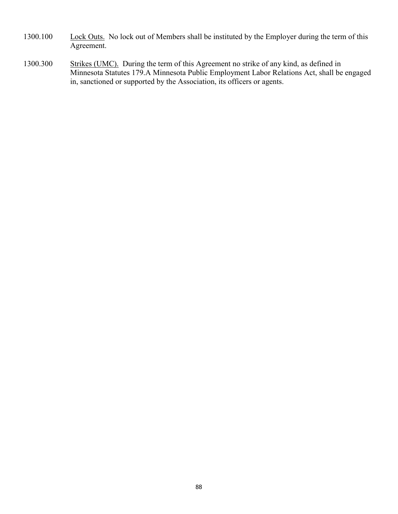- 1300.100 Lock Outs. No lock out of Members shall be instituted by the Employer during the term of this Agreement.
- 1300.300 Strikes (UMC). During the term of this Agreement no strike of any kind, as defined in Minnesota Statutes 179.A Minnesota Public Employment Labor Relations Act, shall be engaged in, sanctioned or supported by the Association, its officers or agents.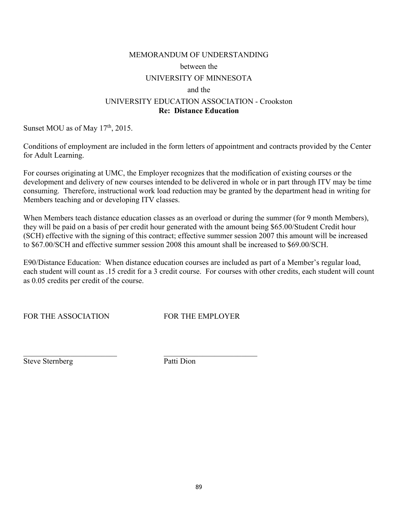### MEMORANDUM OF UNDERSTANDING

#### between the

## UNIVERSITY OF MINNESOTA

#### and the

# UNIVERSITY EDUCATION ASSOCIATION - Crookston **Re: Distance Education**

Sunset MOU as of May  $17<sup>th</sup>$ , 2015.

Conditions of employment are included in the form letters of appointment and contracts provided by the Center for Adult Learning.

For courses originating at UMC, the Employer recognizes that the modification of existing courses or the development and delivery of new courses intended to be delivered in whole or in part through ITV may be time consuming. Therefore, instructional work load reduction may be granted by the department head in writing for Members teaching and or developing ITV classes.

When Members teach distance education classes as an overload or during the summer (for 9 month Members), they will be paid on a basis of per credit hour generated with the amount being \$65.00/Student Credit hour (SCH) effective with the signing of this contract; effective summer session 2007 this amount will be increased to \$67.00/SCH and effective summer session 2008 this amount shall be increased to \$69.00/SCH.

E90/Distance Education: When distance education courses are included as part of a Member's regular load, each student will count as .15 credit for a 3 credit course. For courses with other credits, each student will count as 0.05 credits per credit of the course.

FOR THE ASSOCIATION FOR THE EMPLOYER

Steve Sternberg Patti Dion

\_\_\_\_\_\_\_\_\_\_\_\_\_\_\_\_\_\_\_\_\_\_\_\_ \_\_\_\_\_\_\_\_\_\_\_\_\_\_\_\_\_\_\_\_\_\_\_\_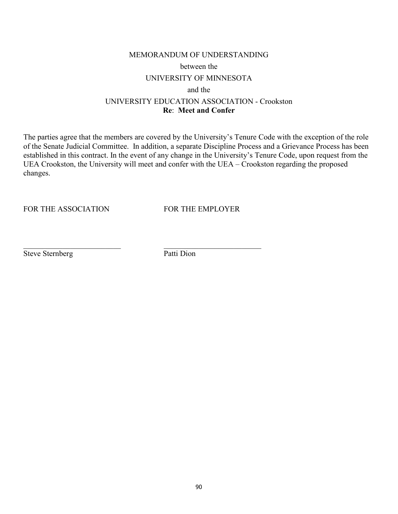# MEMORANDUM OF UNDERSTANDING

#### between the

# UNIVERSITY OF MINNESOTA

and the

### UNIVERSITY EDUCATION ASSOCIATION - Crookston **Re**: **Meet and Confer**

The parties agree that the members are covered by the University's Tenure Code with the exception of the role of the Senate Judicial Committee. In addition, a separate Discipline Process and a Grievance Process has been established in this contract. In the event of any change in the University's Tenure Code, upon request from the UEA Crookston, the University will meet and confer with the UEA – Crookston regarding the proposed changes.

FOR THE ASSOCIATION FOR THE EMPLOYER

Steve Sternberg Patti Dion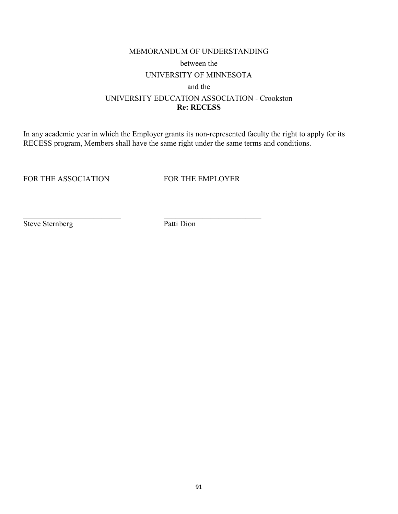# MEMORANDUM OF UNDERSTANDING between the UNIVERSITY OF MINNESOTA and the UNIVERSITY EDUCATION ASSOCIATION - Crookston **Re: RECESS**

In any academic year in which the Employer grants its non-represented faculty the right to apply for its RECESS program, Members shall have the same right under the same terms and conditions.

FOR THE ASSOCIATION FOR THE EMPLOYER

Steve Sternberg Patti Dion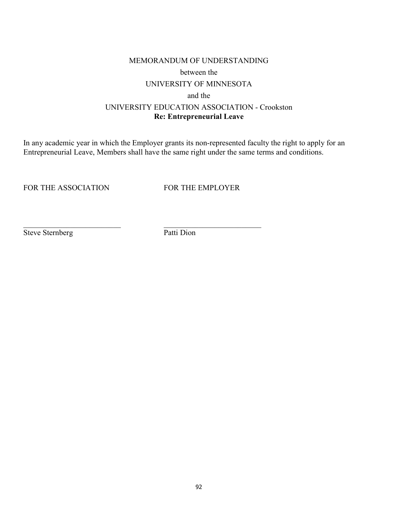### MEMORANDUM OF UNDERSTANDING

#### between the

# UNIVERSITY OF MINNESOTA

### and the

# UNIVERSITY EDUCATION ASSOCIATION - Crookston **Re: Entrepreneurial Leave**

In any academic year in which the Employer grants its non-represented faculty the right to apply for an Entrepreneurial Leave, Members shall have the same right under the same terms and conditions.

FOR THE ASSOCIATION FOR THE EMPLOYER

Steve Sternberg Patti Dion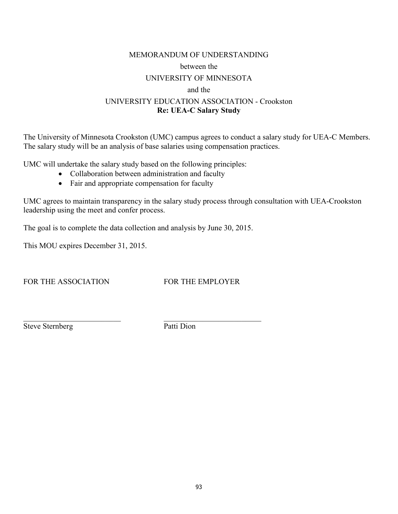# MEMORANDUM OF UNDERSTANDING between the UNIVERSITY OF MINNESOTA

# and the

# UNIVERSITY EDUCATION ASSOCIATION - Crookston **Re: UEA-C Salary Study**

The University of Minnesota Crookston (UMC) campus agrees to conduct a salary study for UEA-C Members. The salary study will be an analysis of base salaries using compensation practices.

UMC will undertake the salary study based on the following principles:

- Collaboration between administration and faculty
- Fair and appropriate compensation for faculty

UMC agrees to maintain transparency in the salary study process through consultation with UEA-Crookston leadership using the meet and confer process.

The goal is to complete the data collection and analysis by June 30, 2015.

This MOU expires December 31, 2015.

FOR THE ASSOCIATION FOR THE EMPLOYER

Steve Sternberg Patti Dion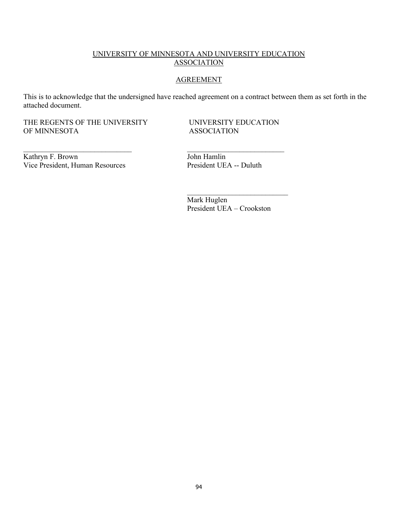# UNIVERSITY OF MINNESOTA AND UNIVERSITY EDUCATION ASSOCIATION

### AGREEMENT

This is to acknowledge that the undersigned have reached agreement on a contract between them as set forth in the attached document.

\_\_\_\_\_\_\_\_\_\_\_\_\_\_\_\_\_\_\_\_\_\_\_\_\_\_\_\_\_ \_\_\_\_\_\_\_\_\_\_\_\_\_\_\_\_\_\_\_\_\_\_\_\_\_\_

 $\frac{1}{\sqrt{2}}$  ,  $\frac{1}{\sqrt{2}}$  ,  $\frac{1}{\sqrt{2}}$  ,  $\frac{1}{\sqrt{2}}$  ,  $\frac{1}{\sqrt{2}}$  ,  $\frac{1}{\sqrt{2}}$  ,  $\frac{1}{\sqrt{2}}$  ,  $\frac{1}{\sqrt{2}}$  ,  $\frac{1}{\sqrt{2}}$  ,  $\frac{1}{\sqrt{2}}$  ,  $\frac{1}{\sqrt{2}}$  ,  $\frac{1}{\sqrt{2}}$  ,  $\frac{1}{\sqrt{2}}$  ,  $\frac{1}{\sqrt{2}}$  ,  $\frac{1}{\sqrt{2}}$ 

THE REGENTS OF THE UNIVERSITY UNIVERSITY EDUCATION OF MINNESOTA ASSOCIATION OF MINNESOTA

Kathryn F. Brown<br>
Vice President, Human Resources<br>
President UEA -- Duluth Vice President, Human Resources

 Mark Huglen President UEA – Crookston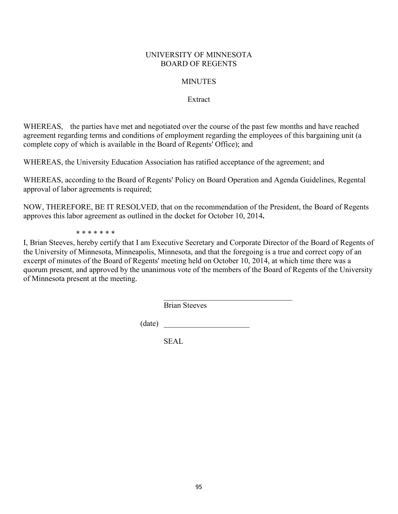# UNIVERSITY OF MINNESOTA BOARD OF REGENTS

# **MINUTES**

# Extract

WHEREAS, the parties have met and negotiated over the course of the past few months and have reached agreement regarding terms and conditions of employment regarding the employees of this bargaining unit (a complete copy of which is available in the Board of Regents' Office); and

WHEREAS, the University Education Association has ratified acceptance of the agreement; and

WHEREAS, according to the Board of Regents' Policy on Board Operation and Agenda Guidelines, Regental approval of labor agreements is required;

NOW, THEREFORE, BE IT RESOLVED, that on the recommendation of the President, the Board of Regents approves this labor agreement as outlined in the docket for October 10, 2014**.** 

\* \* \* \* \* \* \*

I, Brian Steeves, hereby certify that I am Executive Secretary and Corporate Director of the Board of Regents of the University of Minnesota, Minneapolis, Minnesota, and that the foregoing is a true and correct copy of an excerpt of minutes of the Board of Regents' meeting held on October 10, 2014, at which time there was a quorum present, and approved by the unanimous vote of the members of the Board of Regents of the University of Minnesota present at the meeting.

Brian Steeves

(date) \_\_\_\_\_\_\_\_\_\_\_\_\_\_\_\_\_\_\_\_\_\_

 $\mathcal{L}_\text{max}$  , and the set of the set of the set of the set of the set of the set of the set of the set of the set of the set of the set of the set of the set of the set of the set of the set of the set of the set of the

SEAL.